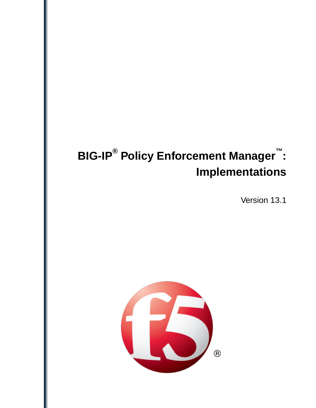# **BIG-IP® Policy Enforcement Manager ™ : Implementations**

Version 13.1

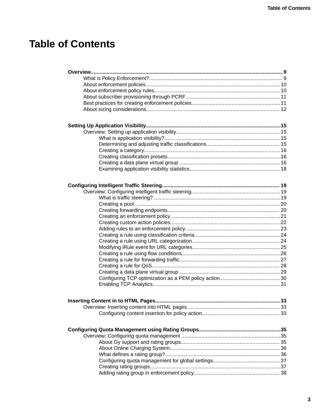## **Table of Contents**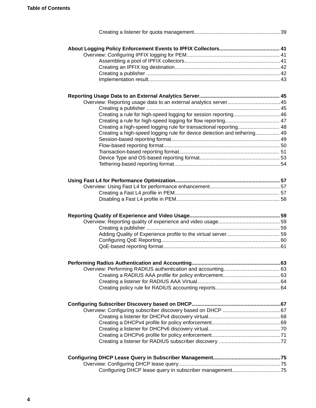| Creating a rule for high-speed logging for session reporting46           |  |
|--------------------------------------------------------------------------|--|
|                                                                          |  |
| Creating a high-speed logging rule for transactional reporting 48        |  |
| Creating a high-speed logging rule for device detection and tethering 49 |  |
|                                                                          |  |
|                                                                          |  |
|                                                                          |  |
|                                                                          |  |
|                                                                          |  |
|                                                                          |  |
|                                                                          |  |
|                                                                          |  |
|                                                                          |  |
|                                                                          |  |
|                                                                          |  |
|                                                                          |  |
|                                                                          |  |
|                                                                          |  |
|                                                                          |  |
|                                                                          |  |
|                                                                          |  |
|                                                                          |  |
|                                                                          |  |
|                                                                          |  |
|                                                                          |  |
|                                                                          |  |
|                                                                          |  |
|                                                                          |  |
|                                                                          |  |
|                                                                          |  |
|                                                                          |  |
|                                                                          |  |
| Configuring DHCP lease query in subscriber management75                  |  |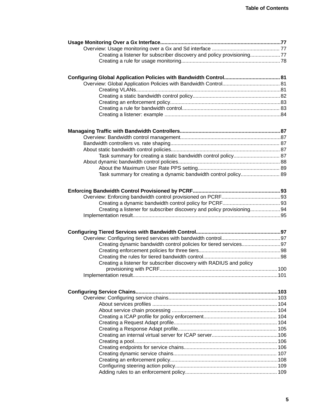| Creating a listener for subscriber discovery and policy provisioning77  |  |
|-------------------------------------------------------------------------|--|
|                                                                         |  |
|                                                                         |  |
|                                                                         |  |
|                                                                         |  |
|                                                                         |  |
|                                                                         |  |
|                                                                         |  |
|                                                                         |  |
|                                                                         |  |
|                                                                         |  |
|                                                                         |  |
|                                                                         |  |
|                                                                         |  |
|                                                                         |  |
|                                                                         |  |
| Task summary for creating a dynamic bandwidth control policy 89         |  |
|                                                                         |  |
|                                                                         |  |
|                                                                         |  |
| Creating a listener for subscriber discovery and policy provisioning 94 |  |
|                                                                         |  |
|                                                                         |  |
|                                                                         |  |
|                                                                         |  |
|                                                                         |  |
| Creating dynamic bandwidth control policies for tiered services97       |  |
|                                                                         |  |
| Creating a listener for subscriber discovery with RADIUS and policy     |  |
|                                                                         |  |
|                                                                         |  |
|                                                                         |  |
|                                                                         |  |
|                                                                         |  |
|                                                                         |  |
|                                                                         |  |
|                                                                         |  |
|                                                                         |  |
|                                                                         |  |
|                                                                         |  |
|                                                                         |  |
|                                                                         |  |
|                                                                         |  |
|                                                                         |  |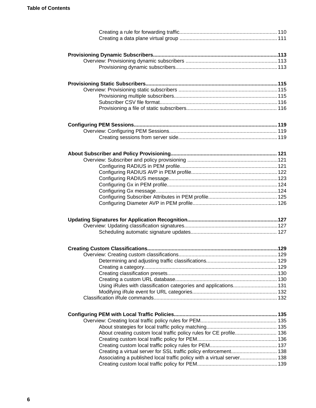| Using iRules with classification categories and applications131        |  |
|------------------------------------------------------------------------|--|
|                                                                        |  |
|                                                                        |  |
|                                                                        |  |
|                                                                        |  |
|                                                                        |  |
| About creating custom local traffic policy rules for CE profile 136    |  |
|                                                                        |  |
|                                                                        |  |
| Creating a virtual server for SSL traffic policy enforcement 138       |  |
| Associating a published local traffic policy with a virtual server 138 |  |
|                                                                        |  |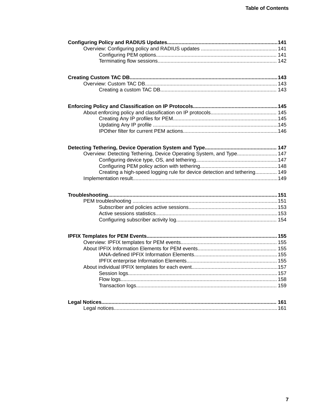| Overview: Detecting Tethering, Device Operating System, and Type 147<br>Creating a high-speed logging rule for device detection and tethering 149 |  |
|---------------------------------------------------------------------------------------------------------------------------------------------------|--|
|                                                                                                                                                   |  |
|                                                                                                                                                   |  |
|                                                                                                                                                   |  |
|                                                                                                                                                   |  |
|                                                                                                                                                   |  |
|                                                                                                                                                   |  |
|                                                                                                                                                   |  |
|                                                                                                                                                   |  |
|                                                                                                                                                   |  |
|                                                                                                                                                   |  |
|                                                                                                                                                   |  |
|                                                                                                                                                   |  |
|                                                                                                                                                   |  |
|                                                                                                                                                   |  |
|                                                                                                                                                   |  |
|                                                                                                                                                   |  |
|                                                                                                                                                   |  |
|                                                                                                                                                   |  |
|                                                                                                                                                   |  |
|                                                                                                                                                   |  |
|                                                                                                                                                   |  |
|                                                                                                                                                   |  |
|                                                                                                                                                   |  |
|                                                                                                                                                   |  |
|                                                                                                                                                   |  |
|                                                                                                                                                   |  |
|                                                                                                                                                   |  |
|                                                                                                                                                   |  |
|                                                                                                                                                   |  |
|                                                                                                                                                   |  |
|                                                                                                                                                   |  |
|                                                                                                                                                   |  |
|                                                                                                                                                   |  |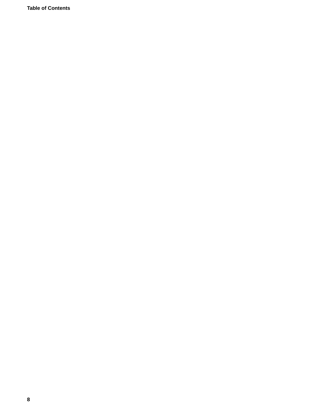**Table of Contents**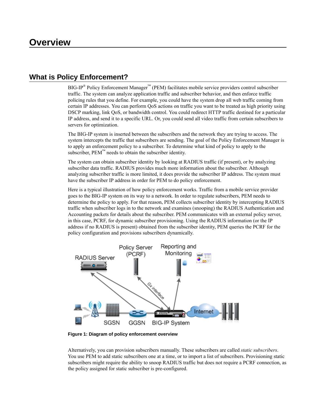## <span id="page-8-0"></span>**What is Policy Enforcement?**

BIG-IP<sup>®</sup> Policy Enforcement Manager<sup>™</sup> (PEM) facilitates mobile service providers control subscriber traffic. The system can analyze application traffic and subscriber behavior, and then enforce traffic policing rules that you define. For example, you could have the system drop all web traffic coming from certain IP addresses. You can perform QoS actions on traffic you want to be treated as high priority using DSCP marking, link QoS, or bandwidth control. You could redirect HTTP traffic destined for a particular IP address, and send it to a specific URL. Or, you could send all video traffic from certain subscribers to servers for optimization.

The BIG-IP system is inserted between the subscribers and the network they are trying to access. The system intercepts the traffic that subscribers are sending. The goal of the Policy Enforcement Manager is to apply an enforcement policy to a subscriber. To determine what kind of policy to apply to the subscriber,  $PEM<sup>TM</sup>$  needs to obtain the subscriber identity.

The system can obtain subscriber identity by looking at RADIUS traffic (if present), or by analyzing subscriber data traffic. RADIUS provides much more information about the subscriber. Although analyzing subscriber traffic is more limited, it does provide the subscriber IP address. The system must have the subscriber IP address in order for PEM to do policy enforcement.

Here is a typical illustration of how policy enforcement works. Traffic from a mobile service provider goes to the BIG-IP system on its way to a network. In order to regulate subscribers, PEM needs to determine the policy to apply. For that reason, PEM collects subscriber identity by intercepting RADIUS traffic when subscriber logs in to the network and examines (snooping) the RADIUS Authentication and Accounting packets for details about the subscriber. PEM communicates with an external policy server, in this case, PCRF, for dynamic subscriber provisioning. Using the RADIUS information (or the IP address if no RADIUS is present) obtained from the subscriber identity, PEM queries the PCRF for the policy configuration and provisions subscribers dynamically.



**Figure 1: Diagram of policy enforcement overview**

Alternatively, you can provision subscribers manually. These subscribers are called *static subscribers*. You use PEM to add static subscribers one at a time, or to import a list of subscribers. Provisioning static subscribers might require the ability to snoop RADIUS traffic but does not require a PCRF connection, as the policy assigned for static subscriber is pre-configured.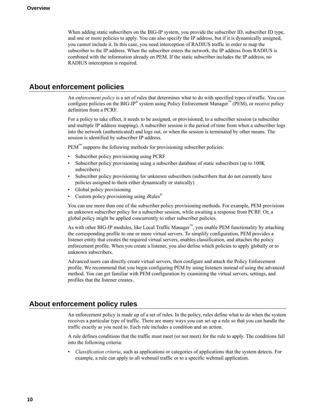<span id="page-9-0"></span>When adding static subscribers on the BIG-IP system, you provide the subscriber ID, subscriber ID type, and one or more policies to apply. You can also specify the IP address, but if it is dynamically assigned, you cannot include it. In this case, you need interception of RADIUS traffic in order to map the subscriber to the IP address. When the subscriber enters the network, the IP address from RADIUS is combined with the information already on PEM. If the static subscriber includes the IP address, no RADIUS interception is required.

### **About enforcement policies**

An *enforcement policy* is a set of rules that determines what to do with specified types of traffic. You can configure policies on the BIG-IP<sup>®</sup> system using Policy Enforcement Manager<sup>™</sup> (PEM), or receive policy definition from a PCRF.

For a policy to take effect, it needs to be assigned, or provisioned, to a subscriber session (a subscriber and multiple IP address mapping). A subscriber session is the period of time from when a subscriber logs into the network (authenticated) and logs out, or when the session is terminated by other means. The session is identified by subscriber IP address.

 $PEM^{\mathbb{M}}$  supports the following methods for provisioning subscriber policies:

- Subscriber policy provisioning using PCRF
- Subscriber policy provisioning using a subscriber database of static subscribers (up to 100K subscribers)
- Subscriber policy provisioning for unknown subscribers (subscribers that do not currently have policies assigned to them either dynamically or statically)
- Global policy provisioning
- Custom policy provisioning using iRules<sup>®</sup>

You can use more than one of the subscriber policy provisioning methods. For example, PEM provisions an unknown subscriber policy for a subscriber session, while awaiting a response from PCRF. Or, a global policy might be applied concurrently to other subscriber policies.

As with other BIG-IP modules, like Local Traffic Manager™, you enable PEM functionality by attaching the corresponding profile to one or more virtual servers. To simplify configuration, PEM provides a listener entity that creates the required virtual servers, enables classification, and attaches the policy enforcement profile. When you create a listener, you also define which policies to apply globally or to unknown subscribers.

Advanced users can directly create virtual servers, then configure and attach the Policy Enforcement profile. We recommend that you begin configuring PEM by using listeners instead of using the advanced method. You can get familiar with PEM configuration by examining the virtual servers, settings, and profiles that the listener creates.

## **About enforcement policy rules**

An enforcement policy is made up of a set of rules. In the policy, rules define what to do when the system receives a particular type of traffic. There are many ways you can set up a rule so that you can handle the traffic exactly as you need to. Each rule includes a condition and an action.

A rule defines conditions that the traffic must meet (or not meet) for the rule to apply. The conditions fall into the following criteria:

• *Classification criteria*, such as applications or categories of applications that the system detects. For example, a rule can apply to all webmail traffic or to a specific webmail application.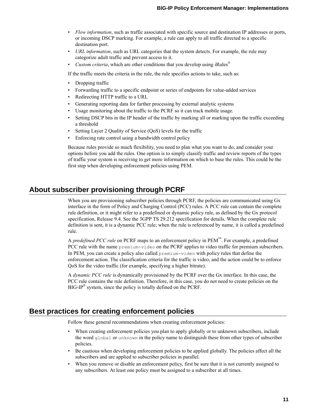- <span id="page-10-0"></span>• *Flow information*, such as traffic associated with specific source and destination IP addresses or ports, or incoming DSCP marking. For example, a rule can apply to all traffic directed to a specific destination port.
- *URL information*, such as URL categories that the system detects. For example, the rule may categorize adult traffic and prevent access to it.
- *Custom criteria*, which are other conditions that you develop using iRules®

If the traffic meets the criteria in the rule, the rule specifies actions to take, such as:

- Dropping traffic
- Forwarding traffic to a specific endpoint or series of endpoints for value-added services
- Redirecting HTTP traffic to a URL
- Generating reporting data for further processing by external analytic systems
- Usage monitoring about the traffic to the PCRF so it can track mobile usage.
- Setting DSCP bits in the IP header of the traffic by marking all or marking upon the traffic exceeding a threshold
- Setting Layer 2 Quality of Service (QoS) levels for the traffic
- Enforcing rate control using a bandwidth control policy

Because rules provide so much flexibility, you need to plan what you want to do, and consider your options before you add the rules. One option is to simply classify traffic and review reports of the types of traffic your system is receiving to get more information on which to base the rules. This could be the first step when developing enforcement policies using PEM.

## **About subscriber provisioning through PCRF**

When you are provisioning subscriber policies through PCRF, the policies are communicated using Gx interface in the form of Policy and Charging Control (PCC) rules. A PCC rule can contain the complete rule definition, or it might refer to a predefined or dynamic policy rule, as defined by the Gx protocol specification, Release 9.4. See the 3GPP TS 29.212 specification for details. When the complete rule definition is sent, it is a dynamic PCC rule; when the rule is referenced by name, it is called a predefined rule.

A *predefined PCC rule* on PCRF maps to an enforcement policy in PEM<sup>™</sup>. For example, a predefined PCC rule with the name premium-video on the PCRF applies to video traffic for premium subscribers. In PEM, you can create a policy also called premium-video with policy rules that define the enforcement action. The classification criteria for the traffic is video, and the action could be to enforce QoS for the video traffic (for example, specifying a higher bitrate).

A *dynamic PCC rule* is dynamically provisioned by the PCRF over the Gx interface. In this case, the PCC rule contains the rule definition. Therefore, in this case, you do not need to create policies on the  $BIG-IP^{\circledR}$  system, since the policy is totally defined on the PCRF.

## **Best practices for creating enforcement policies**

Follow these general recommendations when creating enforcement policies:

- When creating enforcement policies you plan to apply globally or to unknown subscribers, include the word global or unknown in the policy name to distinguish these from other types of subscriber policies.
- Be cautious when developing enforcement policies to be applied globally. The policies affect all the subscribers and are applied to subscriber policies in parallel.
- When you remove or disable an enforcement policy, first be sure that it is not currently assigned to any subscribers. At least one policy must be assigned to a subscriber at all times.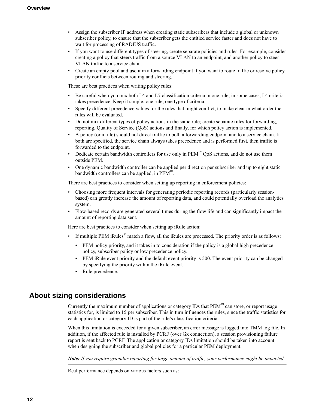- <span id="page-11-0"></span>• Assign the subscriber IP address when creating static subscribers that include a global or unknown subscriber policy, to ensure that the subscriber gets the entitled service faster and does not have to wait for processing of RADIUS traffic.
- If you want to use different types of steering, create separate policies and rules. For example, consider creating a policy that steers traffic from a source VLAN to an endpoint, and another policy to steer VLAN traffic to a service chain.
- Create an empty pool and use it in a forwarding endpoint if you want to route traffic or resolve policy priority conflicts between routing and steering.

These are best practices when writing policy rules:

- Be careful when you mix both L4 and L7 classification criteria in one rule; in some cases, L4 criteria takes precedence. Keep it simple: one rule, one type of criteria.
- Specify different precedence values for the rules that might conflict, to make clear in what order the rules will be evaluated.
- Do not mix different types of policy actions in the same rule; create separate rules for forwarding, reporting, Quality of Service (QoS) actions and finally, for which policy action is implemented.
- A policy (or a rule) should not direct traffic to both a forwarding endpoint and to a service chain. If both are specified, the service chain always takes precedence and is performed first, then traffic is forwarded to the endpoint.
- Dedicate certain bandwidth controllers for use only in  $PEM<sup>1M</sup>$  QoS actions, and do not use them outside PEM.
- One dynamic bandwidth controller can be applied per direction per subscriber and up to eight static bandwidth controllers can be applied, in  $PEM<sup>™</sup>$ .

There are best practices to consider when setting up reporting in enforcement policies:

- Choosing more frequent intervals for generating periodic reporting records (particularly sessionbased) can greatly increase the amount of reporting data, and could potentially overload the analytics system.
- Flow-based records are generated several times during the flow life and can significantly impact the amount of reporting data sent.

Here are best practices to consider when setting up iRule action:

- If multiple PEM iRules<sup>®</sup> match a flow, all the iRules are processed. The priority order is as follows:
	- PEM policy priority, and it takes in to consideration if the policy is a global high precedence policy, subscriber policy or low precedence policy.
	- PEM iRule event priority and the default event priority is 500. The event priority can be changed by specifying the priority within the iRule event.
	- Rule precedence.

## **About sizing considerations**

Currently the maximum number of applications or category IDs that  $PEM^{\prime\prime}$  can store, or report usage statistics for, is limited to 15 per subscriber. This in turn influences the rules, since the traffic statistics for each application or category ID is part of the rule's classification criteria.

When this limitation is exceeded for a given subscriber, an error message is logged into TMM log file. In addition, if the affected rule is installed by PCRF (over Gx connection), a session provisioning failure report is sent back to PCRF. The application or category IDs limitation should be taken into account when designing the subscriber and global policies for a particular PEM deployment.

*Note: If you require granular reporting for large amount of traffic, your performance might be impacted.*

Real performance depends on various factors such as: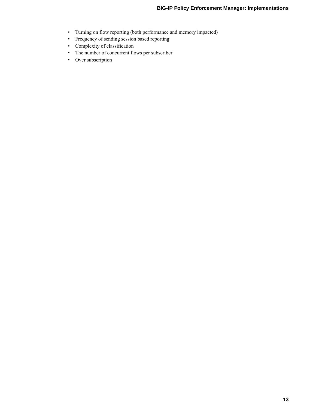- Turning on flow reporting (both performance and memory impacted)
- Frequency of sending session based reporting
- Complexity of classification
- The number of concurrent flows per subscriber
- Over subscription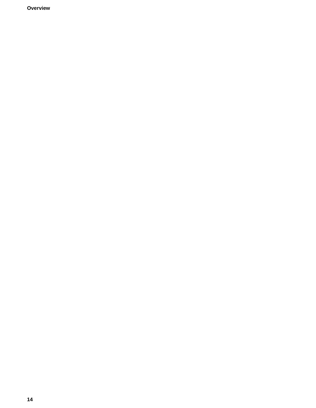**Overview**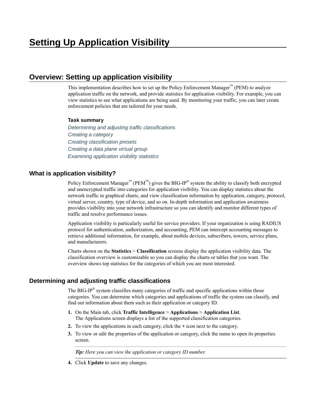## <span id="page-14-0"></span>**Overview: Setting up application visibility**

This implementation describes how to set up the Policy Enforcement Manager™ (PEM) to analyze application traffic on the network, and provide statistics for application visibility. For example, you can view statistics to see what applications are being used. By monitoring your traffic, you can later create enforcement policies that are tailored for your needs.

#### **Task summary**

Determining and adjusting traffic classifications [Creating a category](#page-15-0) [Creating classification presets](#page-15-0) [Creating a data plane virtual group](#page-15-0) [Examining application visibility statistics](#page-17-0)

### **What is application visibility?**

Policy Enforcement Manager<sup>™</sup> (PEM<sup>™</sup>) gives the BIG-IP<sup>®</sup> system the ability to classify both encrypted and unencrypted traffic into categories for application visibility. You can display statistics about the network traffic in graphical charts, and view classification information by application, category, protocol, virtual server, country, type of device, and so on. In-depth information and application awareness provides visibility into your network infrastructure so you can identify and monitor different types of traffic and resolve performance issues.

Application visibility is particularly useful for service providers. If your organization is using RADIUS protocol for authentication, authorization, and accounting, PEM can intercept accounting messages to retrieve additional information, for example, about mobile devices, subscribers, towers, service plans, and manufacturers.

Charts shown on the **Statistics** > **Classification** screens display the application visibility data. The classification overview is customizable so you can display the charts or tables that you want. The overview shows top statistics for the categories of which you are most interested.

## **Determining and adjusting traffic classifications**

The BIG-IP<sup>®</sup> system classifies many categories of traffic and specific applications within those categories. You can determine which categories and applications of traffic the system can classify, and find out information about them such as their application or category ID.

- **1.** On the Main tab, click **Traffic Intelligence** > **Applications** > **Application List**. The Applications screen displays a list of the supported classification categories.
- **2.** To view the applications in each category, click the **+** icon next to the category.
- **3.** To view or edit the properties of the application or category, click the name to open its properties screen.

*Tip: Here you can view the application or category ID number.*

**4.** Click **Update** to save any changes.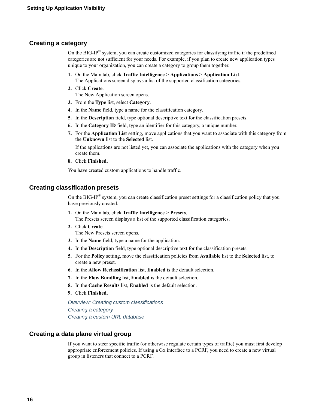#### <span id="page-15-0"></span>**Creating a category**

On the BIG-IP<sup>®</sup> system, you can create customized categories for classifying traffic if the predefined categories are not sufficient for your needs. For example, if you plan to create new application types unique to your organization, you can create a category to group them together.

- **1.** On the Main tab, click **Traffic Intelligence** > **Applications** > **Application List**. The Applications screen displays a list of the supported classification categories.
- **2.** Click **Create**. The New Application screen opens.
- **3.** From the **Type** list, select **Category**.
- **4.** In the **Name** field, type a name for the classification category.
- **5.** In the **Description** field, type optional descriptive text for the classification presets.
- **6.** In the **Category ID** field, type an identifier for this category, a unique number.
- **7.** For the **Application List** setting, move applications that you want to associate with this category from the **Unknown** list to the **Selected** list.

If the applications are not listed yet, you can associate the applications with the category when you create them.

**8.** Click **Finished**.

You have created custom applications to handle traffic.

#### **Creating classification presets**

On the BIG-IP<sup>®</sup> system, you can create classification preset settings for a classification policy that you have previously created.

- **1.** On the Main tab, click **Traffic Intelligence** > **Presets**. The Presets screen displays a list of the supported classification categories.
- **2.** Click **Create**. The New Presets screen opens.
- **3.** In the **Name** field, type a name for the application.
- **4.** In the **Description** field, type optional descriptive text for the classification presets.
- **5.** For the **Policy** setting, move the classification policies from **Available** list to the **Selected** list, to create a new preset.
- **6.** In the **Allow Reclassification** list, **Enabled** is the default selection.
- **7.** In the **Flow Bundling** list, **Enabled** is the default selection.
- **8.** In the **Cache Results** list, **Enabled** is the default selection.
- **9.** Click **Finished**.

[Overview: Creating custom classifications](#page-128-0) Creating a category [Creating a custom URL database](#page-129-0)

#### **Creating a data plane virtual group**

If you want to steer specific traffic (or otherwise regulate certain types of traffic) you must first develop appropriate enforcement policies. If using a Gx interface to a PCRF, you need to create a new virtual group in listeners that connect to a PCRF.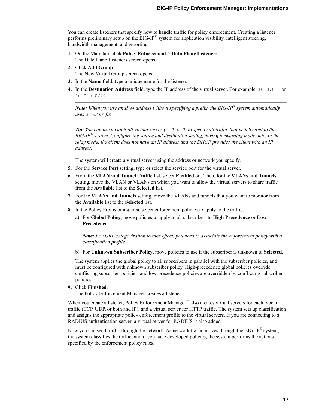You can create listeners that specify how to handle traffic for policy enforcement. Creating a listener performs preliminary setup on the BIG-IP<sup>®</sup> system for application visibility, intelligent steering, bandwidth management, and reporting.

- **1.** On the Main tab, click **Policy Enforcement** > **Data Plane Listeners**. The Date Plane Listeners screen opens.
- **2.** Click **Add Group**. The New Virtual Group screen opens.
- **3.** In the **Name** field, type a unique name for the listener.
- **4.** In the **Destination Address** field, type the IP address of the virtual server. For example, 10.0.0.1 or 10.0.0.0/24.

*Note: When you use an IPv4 address without specifying a prefix, the BIG-IP® system automatically uses a /32 prefix.*

*Tip: You can use a catch-all virtual server (0.0.0.0) to specify all traffic that is delivered to the BIG-IP® system. Configure the source and destination setting, during forwarding mode only. In the relay mode, the client does not have an IP address and the DHCP provides the client with an IP address.*

The system will create a virtual server using the address or network you specify.

- **5.** For the **Service Port** setting, type or select the service port for the virtual server.
- **6.** From the **VLAN and Tunnel Traffic** list, select **Enabled on**. Then, for the **VLANs and Tunnels** setting, move the VLAN or VLANs on which you want to allow the virtual servers to share traffic from the **Available** list to the **Selected** list.
- **7.** For the **VLANs and Tunnels** setting, move the VLANs and tunnels that you want to monitor from the **Available** list to the **Selected** list.
- **8.** In the Policy Provisioning area, select enforcement policies to apply to the traffic.
	- a) For **Global Policy**, move policies to apply to all subscribers to **High Precedence** or **Low Precedence**.

*Note: For URL categorization to take effect, you need to associate the enforcement policy with a classification profile.*

b) For **Unknown Subscriber Policy**, move policies to use if the subscriber is unknown to **Selected**.

The system applies the global policy to all subscribers in parallel with the subscriber policies, and must be configured with unknown subscriber policy. High-precedence global policies override conflicting subscriber policies, and low-precedence policies are overridden by conflicting subscriber policies.

**9.** Click **Finished**.

The Policy Enforcement Manager creates a listener.

When you create a listener, Policy Enforcement Manager<sup>™</sup> also creates virtual servers for each type of traffic (TCP, UDP, or both and IP), and a virtual server for HTTP traffic. The system sets up classification and assigns the appropriate policy enforcement profile to the virtual servers. If you are connecting to a RADIUS authentication server, a virtual server for RADIUS is also added.

Now you can send traffic through the network. As network traffic moves through the BIG-IP<sup>®</sup> system, the system classifies the traffic, and if you have developed policies, the system performs the actions specified by the enforcement policy rules.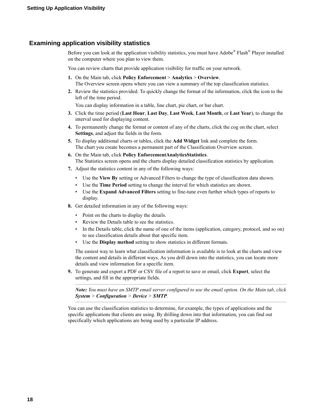#### <span id="page-17-0"></span>**Examining application visibility statistics**

Before you can look at the application visibility statistics, you must have Adobe® Flash® Player installed on the computer where you plan to view them.

You can review charts that provide application visibility for traffic on your network.

- **1.** On the Main tab, click **Policy Enforcement** > **Analytics** > **Overview**. The Overview screen opens where you can view a summary of the top classification statistics.
- **2.** Review the statistics provided. To quickly change the format of the information, click the icon to the left of the time period.

You can display information in a table, line chart, pie chart, or bar chart.

- **3.** Click the time period (**Last Hour**, **Last Day**, **Last Week**, **Last Month**, or **Last Year**), to change the interval used for displaying content.
- **4.** To permanently change the format or content of any of the charts, click the cog on the chart, select **Settings**, and adjust the fields in the form.
- **5.** To display additional charts or tables, click the **Add Widget** link and complete the form. The chart you create becomes a permanent part of the Classification Overview screen.
- **6.** On the Main tab, click **Policy EnforcementAnalyticsStatistics**. The Statistics screen opens and the charts display detailed classification statistics by application.
- **7.** Adjust the statistics content in any of the following ways:
	- Use the **View By** setting or Advanced Filters to change the type of classification data shown.
	- Use the **Time Period** setting to change the interval for which statistics are shown.
	- Use the **Expand Advanced Filters** setting to fine-tune even further which types of reports to display.
- **8.** Get detailed information in any of the following ways:
	- Point on the charts to display the details.
	- Review the Details table to see the statistics.
	- In the Details table, click the name of one of the items (application, category, protocol, and so on) to see classification details about that specific item.
	- Use the **Display method** setting to show statistics in different formats.

The easiest way to learn what classification information is available is to look at the charts and view the content and details in different ways. As you drill down into the statistics, you can locate more details and view information for a specific item.

**9.** To generate and export a PDF or CSV file of a report to save or email, click **Export**, select the settings, and fill in the appropriate fields.

*Note: You must have an SMTP email server configured to use the email option. On the Main tab, click System > Configuration > Device > SMTP.*

You can use the classification statistics to determine, for example, the types of applications and the specific applications that clients are using. By drilling down into that information, you can find out specifically which applications are being used by a particular IP address.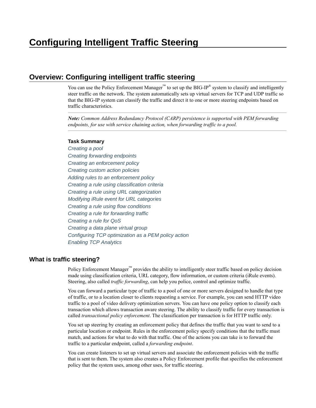## <span id="page-18-0"></span>**Overview: Configuring intelligent traffic steering**

You can use the Policy Enforcement Manager<sup>™</sup> to set up the BIG-IP<sup>®</sup> system to classify and intelligently steer traffic on the network. The system automatically sets up virtual servers for TCP and UDP traffic so that the BIG-IP system can classify the traffic and direct it to one or more steering endpoints based on traffic characteristics.

*Note: Common Address Redundancy Protocol (CARP) persistence is supported with PEM forwarding endpoints, for use with service chaining action, when forwarding traffic to a pool.*

#### **Task Summary**

[Creating a pool](#page-19-0) [Creating forwarding endpoints](#page-19-0) [Creating an enforcement policy](#page-20-0) [Creating custom action policies](#page-21-0) [Adding rules to an enforcement policy](#page-22-0) [Creating a rule using classification criteria](#page-23-0) [Creating a rule using URL categorization](#page-23-0) [Modifying iRule event for URL categories](#page-24-0) [Creating a rule using flow conditions](#page-25-0) [Creating a rule for forwarding traffic](#page-26-0) [Creating a rule for QoS](#page-27-0) [Creating a data plane virtual group](#page-15-0) [Configuring TCP optimization as a PEM policy action](#page-29-0) [Enabling TCP Analytics](#page-30-0)

#### **What is traffic steering?**

Policy Enforcement Manager<sup>™</sup> provides the ability to intelligently steer traffic based on policy decision made using classification criteria, URL category, flow information, or custom criteria (iRule events). Steering, also called *traffic forwarding*, can help you police, control and optimize traffic.

You can forward a particular type of traffic to a pool of one or more servers designed to handle that type of traffic, or to a location closer to clients requesting a service. For example, you can send HTTP video traffic to a pool of video delivery optimization servers. You can have one policy option to classify each transaction which allows transaction aware steering. The ability to classify traffic for every transaction is called *transactional policy enforcement*. The classification per transaction is for HTTP traffic only.

You set up steering by creating an enforcement policy that defines the traffic that you want to send to a particular location or endpoint. Rules in the enforcement policy specify conditions that the traffic must match, and actions for what to do with that traffic. One of the actions you can take is to forward the traffic to a particular endpoint, called a *forwarding endpoint*.

You can create listeners to set up virtual servers and associate the enforcement policies with the traffic that is sent to them. The system also creates a Policy Enforcement profile that specifies the enforcement policy that the system uses, among other uses, for traffic steering.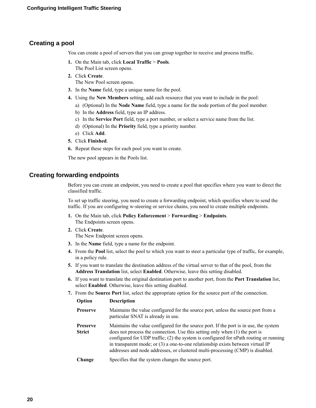#### <span id="page-19-0"></span>**Creating a pool**

You can create a pool of servers that you can group together to receive and process traffic.

- **1.** On the Main tab, click **Local Traffic** > **Pools**. The Pool List screen opens.
- **2.** Click **Create**. The New Pool screen opens.
- **3.** In the **Name** field, type a unique name for the pool.
- **4.** Using the **New Members** setting, add each resource that you want to include in the pool:
	- a) (Optional) In the **Node Name** field, type a name for the node portion of the pool member.
	- b) In the **Address** field, type an IP address.
	- c) In the **Service Port** field, type a port number, or select a service name from the list.
	- d) (Optional) In the **Priority** field, type a priority number.
	- e) Click **Add**.
- **5.** Click **Finished**.
- **6.** Repeat these steps for each pool you want to create.

The new pool appears in the Pools list.

#### **Creating forwarding endpoints**

Before you can create an endpoint, you need to create a pool that specifies where you want to direct the classified traffic.

To set up traffic steering, you need to create a forwarding endpoint, which specifies where to send the traffic. If you are configuring w-steering or service chains, you need to create multiple endpoints.

- **1.** On the Main tab, click **Policy Enforcement** > **Forwarding** > **Endpoints**. The Endpoints screen opens.
- **2.** Click **Create**.

The New Endpoint screen opens.

- **3.** In the **Name** field, type a name for the endpoint.
- **4.** From the **Pool** list, select the pool to which you want to steer a particular type of traffic, for example, in a policy rule.
- **5.** If you want to translate the destination address of the virtual server to that of the pool, from the **Address Translation** list, select **Enabled**. Otherwise, leave this setting disabled.
- **6.** If you want to translate the original destination port to another port, from the **Port Translation** list, select **Enabled**. Otherwise, leave this setting disabled.
- **7.** From the **Source Port** list, select the appropriate option for the source port of the connection.

| Option                           | <b>Description</b>                                                                                                                                                                                                                                                                                                                                                                                                                 |
|----------------------------------|------------------------------------------------------------------------------------------------------------------------------------------------------------------------------------------------------------------------------------------------------------------------------------------------------------------------------------------------------------------------------------------------------------------------------------|
| <b>Preserve</b>                  | Maintains the value configured for the source port, unless the source port from a<br>particular SNAT is already in use.                                                                                                                                                                                                                                                                                                            |
| <b>Preserve</b><br><b>Strict</b> | Maintains the value configured for the source port. If the port is in use, the system<br>does not process the connection. Use this setting only when (1) the port is<br>configured for UDP traffic; (2) the system is configured for nPath routing or running<br>in transparent mode; or (3) a one-to-one relationship exists between virtual IP<br>addresses and node addresses, or clustered multi-processing (CMP) is disabled. |
| Change                           | Specifies that the system changes the source port.                                                                                                                                                                                                                                                                                                                                                                                 |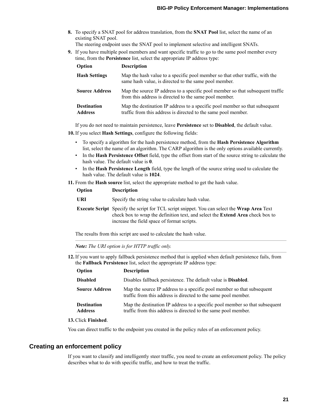<span id="page-20-0"></span>**8.** To specify a SNAT pool for address translation, from the **SNAT Pool** list, select the name of an existing SNAT pool.

The steering endpoint uses the SNAT pool to implement selective and intelligent SNATs.

**9.** If you have multiple pool members and want specific traffic to go to the same pool member every time, from the **Persistence** list, select the appropriate IP address type:

| Option                               | <b>Description</b>                                                                                                                            |
|--------------------------------------|-----------------------------------------------------------------------------------------------------------------------------------------------|
| <b>Hash Settings</b>                 | Map the hash value to a specific pool member so that other traffic, with the<br>same hash value, is directed to the same pool member.         |
| <b>Source Address</b>                | Map the source IP address to a specific pool member so that subsequent traffic<br>from this address is directed to the same pool member.      |
| <b>Destination</b><br><b>Address</b> | Map the destination IP address to a specific pool member so that subsequent<br>traffic from this address is directed to the same pool member. |

If you do not need to maintain persistence, leave **Persistence** set to **Disabled**, the default value.

**10.** If you select **Hash Settings**, configure the following fields:

- To specify a algorithm for the hash persistence method, from the **Hash Persistence Algorithm** list, select the name of an algorithm. The CARP algorithm is the only options available currently.
- In the **Hash Persistence Offset** field, type the offset from start of the source string to calculate the hash value. The default value is **0**.
- In the **Hash Persistence Length** field, type the length of the source string used to calculate the hash value. The default value is **1024**.
- **11.** From the **Hash source** list, select the appropriate method to get the hash value.

| Option | <b>Description</b>                                                                                                                                                                                                                                |
|--------|---------------------------------------------------------------------------------------------------------------------------------------------------------------------------------------------------------------------------------------------------|
| URI    | Specify the string value to calculate hash value.                                                                                                                                                                                                 |
|        | <b>Execute Script</b> Specify the script for TCL script snippet. You can select the <b>Wrap Area</b> Text<br>check box to wrap the definition text, and select the <b>Extend Area</b> check box to<br>increase the field space of format scripts. |

The results from this script are used to calculate the hash value.

*Note: The URI option is for HTTP traffic only.*

**12.** If you want to apply fallback persistence method that is applied when default persistence fails, from the **Fallback Persistence** list, select the appropriate IP address type:

| Option                               | <b>Description</b>                                                                                                                            |
|--------------------------------------|-----------------------------------------------------------------------------------------------------------------------------------------------|
| <b>Disabled</b>                      | Disables fallback persistence. The default value is <b>Disabled</b> .                                                                         |
| <b>Source Address</b>                | Map the source IP address to a specific pool member so that subsequent<br>traffic from this address is directed to the same pool member.      |
| <b>Destination</b><br><b>Address</b> | Map the destination IP address to a specific pool member so that subsequent<br>traffic from this address is directed to the same pool member. |
| $C1.51.$ Einighed                    |                                                                                                                                               |

#### **13.** Click **Finished**.

You can direct traffic to the endpoint you created in the policy rules of an enforcement policy.

#### **Creating an enforcement policy**

If you want to classify and intelligently steer traffic, you need to create an enforcement policy. The policy describes what to do with specific traffic, and how to treat the traffic.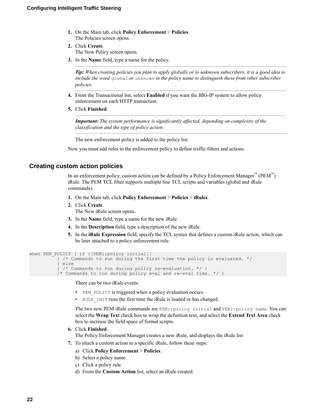- <span id="page-21-0"></span>**1.** On the Main tab, click **Policy Enforcement** > **Policies**. The Policies screen opens.
- **2.** Click **Create**. The New Policy screen opens.
- **3.** In the **Name** field, type a name for the policy.

*Tip: When creating policies you plan to apply globally or to unknown subscribers, it is a good idea to include the word global or unknown in the policy name to distinguish these from other subscriber policies.*

- **4.** From the Transactional list, select **Enabled** if you want the BIG-IP system to allow policy enforcement on each HTTP transaction.
- **5.** Click **Finished**.

*Important: The system performance is significantly affected, depending on complexity of the classification and the type of policy action.*

The new enforcement policy is added to the policy list.

Now you must add rules to the enforcement policy to define traffic filters and actions.

#### **Creating custom action policies**

In an enforcement policy, custom action can be defined by a Policy Enforcement Manager<sup>™</sup> (PEM<sup>™</sup>) iRule. The PEM TCL filter supports multiple line TCL scripts and variables (global and iRule commands).

- **1.** On the Main tab, click **Policy Enforcement** > **Policies** > **iRules**.
- **2.** Click **Create**. The New iRule screen opens.
- **3.** In the **Name** field, type a name for the new iRule.
- **4.** In the **Description** field, type a description of the new iRule.
- **5.** In the **iRule Expression** field, specify the TCL syntax that defines a custom iRule action, which can be later attached to a policy enforcement rule.

```
when PEM POLICY { if {[PEM::policy initial]}
{ /* Commands to run during the first time the policy is evaluated. */ 
else
{ /* Commands to run during policy re-evaluation. */ } 
/* Commands to run during policy eval and re-eval time. */ }
```
There can be two iRule events:

- PEM POLICY is triggered when a policy evaluation occurs.
- RULE INIT runs the first time the iRule is loaded or has changed.

The two new PEM iRule commands are PEM::policy initial and PEM::policy name. You can select the **Wrap Text** check box to wrap the definition text, and select the **Extend Text Area** check box to increase the field space of format scripts.

**6.** Click **Finished**.

The Policy Enforcement Manager creates a new iRule, and displays the iRule list.

- **7.** To attach a custom action to a specific iRule, follow these steps:
	- a) Click **Policy Enforcement** > **Policies**.
	- b) Select a policy name.
	- c) Click a policy rule.
	- d) From the **Custom Action** list, select an iRule created.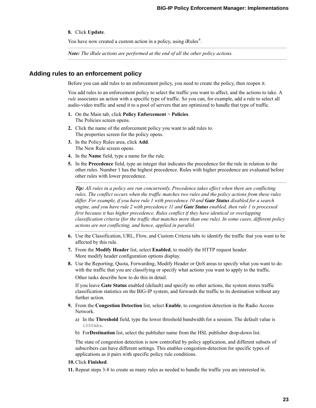#### <span id="page-22-0"></span>**8.** Click **Update**.

You have now created a custom action in a policy, using iRules<sup>®</sup>.

*Note: The iRule actions are performed at the end of all the other policy actions.*

#### **Adding rules to an enforcement policy**

Before you can add rules to an enforcement policy, you need to create the policy, then reopen it.

You add rules to an enforcement policy to select the traffic you want to affect, and the actions to take. A *rule* associates an action with a specific type of traffic. So you can, for example, add a rule to select all audio-video traffic and send it to a pool of servers that are optimized to handle that type of traffic.

- **1.** On the Main tab, click **Policy Enforcement** > **Policies**. The Policies screen opens.
- **2.** Click the name of the enforcement policy you want to add rules to. The properties screen for the policy opens.
- **3.** In the Policy Rules area, click **Add**. The New Rule screen opens.
- **4.** In the **Name** field, type a name for the rule.
- **5.** In the **Precedence** field, type an integer that indicates the precedence for the rule in relation to the other rules. Number 1 has the highest precedence. Rules with higher precedence are evaluated before other rules with lower precedence.

*Tip: All rules in a policy are run concurrently. Precedence takes effect when there are conflicting rules. The conflict occurs when the traffic matches two rules and the policy actions from these rules differ. For example, if you have rule 1 with precedence 10 and Gate Status disabled for a search engine, and you have rule 2 with precedence 11 and Gate Status enabled, then rule 1 is processed first because it has higher precedence. Rules conflict if they have identical or overlapping classification criteria (for the traffic that matches more than one rule). In some cases, different policy actions are not conflicting, and hence, applied in parallel.*

- **6.** Use the Classification, URL, Flow, and Custom Criteria tabs to identify the traffic that you want to be affected by this rule.
- **7.** From the **Modify Header** list, select **Enabled**, to modify the HTTP request header. More modify header configuration options display.
- **8.** Use the Reporting, Quota, Forwarding, Modify Header or QoS areas to specify what you want to do with the traffic that you are classifying or specify what actions you want to apply to the traffic.

Other tasks describe how to do this in detail.

If you leave **Gate Status** enabled (default) and specify no other actions, the system stores traffic classification statistics on the BIG-IP system, and forwards the traffic to its destination without any further action.

- **9.** From the **Congestion Detection** list, select **Enable**, to congestion detection in the Radio Access Network.
	- a) In the **Threshold** field, type the lower threshold bandwidth for a session. The default value is 1000kbs.
	- b) For**Destination** list, select the publisher name from the HSL publisher drop-down list.

The state of congestion detection is now controlled by policy application, and different subsets of subscribers can have different settings. This enables congestion-detection for specific types of applications as it pairs with specific policy rule conditions.

#### **10.** Click **Finished**.

**11.** Repeat steps 3-8 to create as many rules as needed to handle the traffic you are interested in.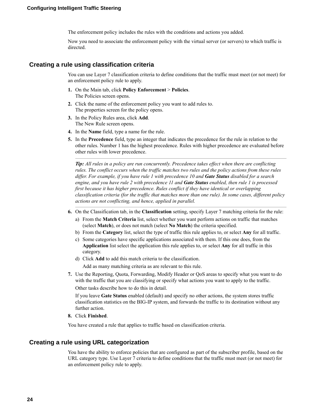The enforcement policy includes the rules with the conditions and actions you added.

Now you need to associate the enforcement policy with the virtual server (or servers) to which traffic is directed.

#### <span id="page-23-0"></span>**Creating a rule using classification criteria**

You can use Layer 7 classification criteria to define conditions that the traffic must meet (or not meet) for an enforcement policy rule to apply.

- **1.** On the Main tab, click **Policy Enforcement** > **Policies**. The Policies screen opens.
- **2.** Click the name of the enforcement policy you want to add rules to. The properties screen for the policy opens.
- **3.** In the Policy Rules area, click **Add**. The New Rule screen opens.
- **4.** In the **Name** field, type a name for the rule.
- **5.** In the **Precedence** field, type an integer that indicates the precedence for the rule in relation to the other rules. Number 1 has the highest precedence. Rules with higher precedence are evaluated before other rules with lower precedence.

*Tip: All rules in a policy are run concurrently. Precedence takes effect when there are conflicting rules. The conflict occurs when the traffic matches two rules and the policy actions from these rules differ. For example, if you have rule 1 with precedence 10 and Gate Status disabled for a search engine, and you have rule 2 with precedence 11 and Gate Status enabled, then rule 1 is processed first because it has higher precedence. Rules conflict if they have identical or overlapping classification criteria (for the traffic that matches more than one rule). In some cases, different policy actions are not conflicting, and hence, applied in parallel.*

- **6.** On the Classification tab, in the **Classification** setting, specify Layer 7 matching criteria for the rule:
	- a) From the **Match Criteria** list, select whether you want perform actions on traffic that matches (select **Match**), or does not match (select **No Match**) the criteria specified.
	- b) From the **Category** list, select the type of traffic this rule applies to, or select **Any** for all traffic.
	- c) Some categories have specific applications associated with them. If this one does, from the **Application** list select the application this rule applies to, or select **Any** for all traffic in this category.
	- d) Click **Add** to add this match criteria to the classification.

Add as many matching criteria as are relevant to this rule.

**7.** Use the Reporting, Quota, Forwarding, Modify Header or QoS areas to specify what you want to do with the traffic that you are classifying or specify what actions you want to apply to the traffic.

Other tasks describe how to do this in detail.

If you leave **Gate Status** enabled (default) and specify no other actions, the system stores traffic classification statistics on the BIG-IP system, and forwards the traffic to its destination without any further action.

**8.** Click **Finished**.

You have created a rule that applies to traffic based on classification criteria.

#### **Creating a rule using URL categorization**

You have the ability to enforce policies that are configured as part of the subscriber profile, based on the URL category type. Use Layer 7 criteria to define conditions that the traffic must meet (or not meet) for an enforcement policy rule to apply.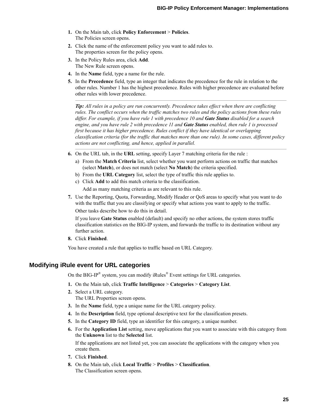- <span id="page-24-0"></span>**1.** On the Main tab, click **Policy Enforcement** > **Policies**. The Policies screen opens.
- **2.** Click the name of the enforcement policy you want to add rules to. The properties screen for the policy opens.
- **3.** In the Policy Rules area, click **Add**. The New Rule screen opens.
- **4.** In the **Name** field, type a name for the rule.
- **5.** In the **Precedence** field, type an integer that indicates the precedence for the rule in relation to the other rules. Number 1 has the highest precedence. Rules with higher precedence are evaluated before other rules with lower precedence.

*Tip: All rules in a policy are run concurrently. Precedence takes effect when there are conflicting rules. The conflict occurs when the traffic matches two rules and the policy actions from these rules differ. For example, if you have rule 1 with precedence 10 and Gate Status disabled for a search engine, and you have rule 2 with precedence 11 and Gate Status enabled, then rule 1 is processed first because it has higher precedence. Rules conflict if they have identical or overlapping classification criteria (for the traffic that matches more than one rule). In some cases, different policy actions are not conflicting, and hence, applied in parallel.*

- **6.** On the URL tab, in the **URL** setting, specify Layer 7 matching criteria for the rule :
	- a) From the **Match Criteria** list, select whether you want perform actions on traffic that matches (select **Match**), or does not match (select **No Match**) the criteria specified.
	- b) From the **URL Category** list, select the type of traffic this rule applies to.
	- c) Click **Add** to add this match criteria to the classification.

Add as many matching criteria as are relevant to this rule.

**7.** Use the Reporting, Quota, Forwarding, Modify Header or QoS areas to specify what you want to do with the traffic that you are classifying or specify what actions you want to apply to the traffic. Other tasks describe how to do this in detail.

If you leave **Gate Status** enabled (default) and specify no other actions, the system stores traffic classification statistics on the BIG-IP system, and forwards the traffic to its destination without any further action.

**8.** Click **Finished**.

You have created a rule that applies to traffic based on URL Category.

#### **Modifying iRule event for URL categories**

On the BIG-IP<sup>®</sup> system, you can modify iRules<sup>®</sup> Event settings for URL categories.

- **1.** On the Main tab, click **Traffic Intelligence** > **Categories** > **Category List**.
- **2.** Select a URL category. The URL Properties screen opens.
- **3.** In the **Name** field, type a unique name for the URL category policy.
- **4.** In the **Description** field, type optional descriptive text for the classification presets.
- **5.** In the **Category ID** field, type an identifier for this category, a unique number.
- **6.** For the **Application List** setting, move applications that you want to associate with this category from the **Unknown** list to the **Selected** list.

If the applications are not listed yet, you can associate the applications with the category when you create them.

- **7.** Click **Finished**.
- **8.** On the Main tab, click **Local Traffic** > **Profiles** > **Classification**. The Classification screen opens.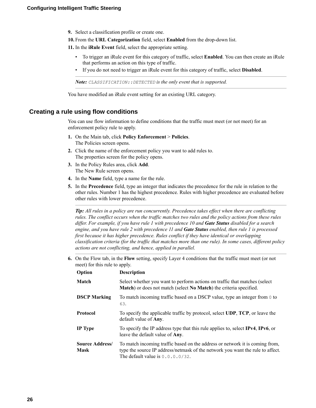- <span id="page-25-0"></span>**9.** Select a classification profile or create one.
- **10.**From the **URL Categorization** field, select **Enabled** from the drop-down list.

**11.** In the **iRule Event** field, select the appropriate setting.

- To trigger an iRule event for this category of traffic, select **Enabled**. You can then create an iRule that performs an action on this type of traffic.
- If you do not need to trigger an iRule event for this category of traffic, select **Disabled**.

*Note: CLASSIFICATION::DETECTED is the only event that is supported.*

You have modified an iRule event setting for an existing URL category.

#### **Creating a rule using flow conditions**

You can use flow information to define conditions that the traffic must meet (or not meet) for an enforcement policy rule to apply.

- **1.** On the Main tab, click **Policy Enforcement** > **Policies**. The Policies screen opens.
- **2.** Click the name of the enforcement policy you want to add rules to. The properties screen for the policy opens.
- **3.** In the Policy Rules area, click **Add**. The New Rule screen opens.
- **4.** In the **Name** field, type a name for the rule.
- **5.** In the **Precedence** field, type an integer that indicates the precedence for the rule in relation to the other rules. Number 1 has the highest precedence. Rules with higher precedence are evaluated before other rules with lower precedence.

*Tip: All rules in a policy are run concurrently. Precedence takes effect when there are conflicting rules. The conflict occurs when the traffic matches two rules and the policy actions from these rules differ. For example, if you have rule 1 with precedence 10 and Gate Status disabled for a search engine, and you have rule 2 with precedence 11 and Gate Status enabled, then rule 1 is processed first because it has higher precedence. Rules conflict if they have identical or overlapping classification criteria (for the traffic that matches more than one rule). In some cases, different policy actions are not conflicting, and hence, applied in parallel.*

**6.** On the Flow tab, in the **Flow** setting, specify Layer 4 conditions that the traffic must meet (or not meet) for this rule to apply.

| Option                                | <b>Description</b>                                                                                                                                                                                    |
|---------------------------------------|-------------------------------------------------------------------------------------------------------------------------------------------------------------------------------------------------------|
| Match                                 | Select whether you want to perform actions on traffic that matches (select<br>Match) or does not match (select No Match) the criteria specified.                                                      |
| <b>DSCP Marking</b>                   | To match incoming traffic based on a DSCP value, type an integer from 0 to<br>63.                                                                                                                     |
| <b>Protocol</b>                       | To specify the applicable traffic by protocol, select <b>UDP</b> , <b>TCP</b> , or leave the<br>default value of <b>Any</b> .                                                                         |
| <b>IP</b> Type                        | To specify the IP address type that this rule applies to, select IPv4, IPv6, or<br>leave the default value of <b>Any</b> .                                                                            |
| <b>Source Address/</b><br><b>Mask</b> | To match incoming traffic based on the address or network it is coming from,<br>type the source IP address/netmask of the network you want the rule to affect.<br>The default value is $0.0.0.0/32$ . |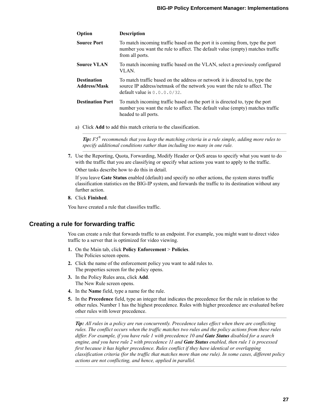<span id="page-26-0"></span>

| Option                                    | <b>Description</b>                                                                                                                                                                           |
|-------------------------------------------|----------------------------------------------------------------------------------------------------------------------------------------------------------------------------------------------|
| <b>Source Port</b>                        | To match incoming traffic based on the port it is coming from, type the port<br>number you want the rule to affect. The default value (empty) matches traffic<br>from all ports.             |
| <b>Source VLAN</b>                        | To match incoming traffic based on the VLAN, select a previously configured<br>VLAN.                                                                                                         |
| <b>Destination</b><br><b>Address/Mask</b> | To match traffic based on the address or network it is directed to, type the<br>source IP address/netmask of the network you want the rule to affect. The<br>default value is $0.0.0.0/32$ . |
| <b>Destination Port</b>                   | To match incoming traffic based on the port it is directed to, type the port<br>number you want the rule to affect. The default value (empty) matches traffic<br>headed to all ports.        |

a) Click **Add** to add this match criteria to the classification.

*Tip: F5® recommends that you keep the matching criteria in a rule simple, adding more rules to specify additional conditions rather than including too many in one rule.*

**7.** Use the Reporting, Quota, Forwarding, Modify Header or QoS areas to specify what you want to do with the traffic that you are classifying or specify what actions you want to apply to the traffic.

Other tasks describe how to do this in detail.

If you leave **Gate Status** enabled (default) and specify no other actions, the system stores traffic classification statistics on the BIG-IP system, and forwards the traffic to its destination without any further action.

#### **8.** Click **Finished**.

You have created a rule that classifies traffic.

#### **Creating a rule for forwarding traffic**

You can create a rule that forwards traffic to an endpoint. For example, you might want to direct video traffic to a server that is optimized for video viewing.

- **1.** On the Main tab, click **Policy Enforcement** > **Policies**. The Policies screen opens.
- **2.** Click the name of the enforcement policy you want to add rules to. The properties screen for the policy opens.
- **3.** In the Policy Rules area, click **Add**. The New Rule screen opens.
- **4.** In the **Name** field, type a name for the rule.
- **5.** In the **Precedence** field, type an integer that indicates the precedence for the rule in relation to the other rules. Number 1 has the highest precedence. Rules with higher precedence are evaluated before other rules with lower precedence.

*Tip: All rules in a policy are run concurrently. Precedence takes effect when there are conflicting rules. The conflict occurs when the traffic matches two rules and the policy actions from these rules differ. For example, if you have rule 1 with precedence 10 and Gate Status disabled for a search engine, and you have rule 2 with precedence 11 and Gate Status enabled, then rule 1 is processed first because it has higher precedence. Rules conflict if they have identical or overlapping classification criteria (for the traffic that matches more than one rule). In some cases, different policy actions are not conflicting, and hence, applied in parallel.*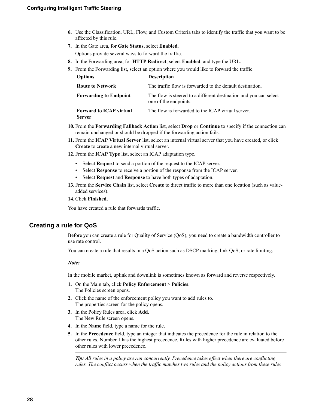- <span id="page-27-0"></span>**6.** Use the Classification, URL, Flow, and Custom Criteria tabs to identify the traffic that you want to be affected by this rule.
- **7.** In the Gate area, for **Gate Status**, select **Enabled**. Options provide several ways to forward the traffic.
- **8.** In the Forwarding area, for **HTTP Redirect**, select **Enabled**, and type the URL.
- **9.** From the Forwarding list, select an option where you would like to forward the traffic.

| <b>Options</b>                                  | <b>Description</b>                                                                         |
|-------------------------------------------------|--------------------------------------------------------------------------------------------|
| <b>Route to Network</b>                         | The traffic flow is forwarded to the default destination.                                  |
| <b>Forwarding to Endpoint</b>                   | The flow is steered to a different destination and you can select<br>one of the endpoints. |
| <b>Forward to ICAP virtual</b><br><b>Server</b> | The flow is forwarded to the ICAP virtual server.                                          |

- **10.**From the **Forwarding Fallback Action** list, select **Drop** or **Continue** to specify if the connection can remain unchanged or should be dropped if the forwarding action fails.
- **11.** From the **ICAP Virtual Server** list, select an internal virtual server that you have created, or click **Create** to create a new internal virtual server.
- **12.**From the **ICAP Type** list, select an ICAP adaptation type.
	- Select **Request** to send a portion of the request to the ICAP server.
	- Select **Response** to receive a portion of the response from the ICAP server.
	- Select **Request** and **Response** to have both types of adaptation.
- **13.**From the **Service Chain** list, select **Create** to direct traffic to more than one location (such as valueadded services).

#### **14.** Click **Finished**.

You have created a rule that forwards traffic.

#### **Creating a rule for QoS**

Before you can create a rule for Quality of Service (QoS), you need to create a bandwidth controller to use rate control.

You can create a rule that results in a QoS action such as DSCP marking, link QoS, or rate limiting.

#### *Note:*

In the mobile market, uplink and downlink is sometimes known as forward and reverse respectively.

- **1.** On the Main tab, click **Policy Enforcement** > **Policies**. The Policies screen opens.
- **2.** Click the name of the enforcement policy you want to add rules to. The properties screen for the policy opens.
- **3.** In the Policy Rules area, click **Add**. The New Rule screen opens.
- **4.** In the **Name** field, type a name for the rule.
- **5.** In the **Precedence** field, type an integer that indicates the precedence for the rule in relation to the other rules. Number 1 has the highest precedence. Rules with higher precedence are evaluated before other rules with lower precedence.

*Tip: All rules in a policy are run concurrently. Precedence takes effect when there are conflicting rules. The conflict occurs when the traffic matches two rules and the policy actions from these rules*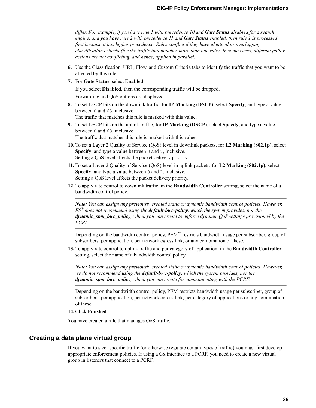<span id="page-28-0"></span>*differ. For example, if you have rule 1 with precedence 10 and Gate Status disabled for a search engine, and you have rule 2 with precedence 11 and Gate Status enabled, then rule 1 is processed first because it has higher precedence. Rules conflict if they have identical or overlapping classification criteria (for the traffic that matches more than one rule). In some cases, different policy actions are not conflicting, and hence, applied in parallel.*

- **6.** Use the Classification, URL, Flow, and Custom Criteria tabs to identify the traffic that you want to be affected by this rule.
- **7.** For **Gate Status**, select **Enabled**.

If you select **Disabled**, then the corresponding traffic will be dropped.

Forwarding and QoS options are displayed.

- **8.** To set DSCP bits on the downlink traffic, for **IP Marking (DSCP)**, select **Specify**, and type a value between 0 and 63, inclusive. The traffic that matches this rule is marked with this value.
- **9.** To set DSCP bits on the uplink traffic, for **IP Marking (DSCP)**, select **Specify**, and type a value between 0 and 63, inclusive.

The traffic that matches this rule is marked with this value.

- **10.** To set a Layer 2 Quality of Service (QoS) level in downlink packets, for **L2 Marking (802.1p)**, select **Specify**, and type a value between 0 and 7, inclusive. Setting a QoS level affects the packet delivery priority.
- **11.** To set a Layer 2 Quality of Service (QoS) level in uplink packets, for **L2 Marking (802.1p)**, select **Specify**, and type a value between 0 and 7, inclusive. Setting a QoS level affects the packet delivery priority.
- **12.** To apply rate control to downlink traffic, in the **Bandwidth Controller** setting, select the name of a bandwidth control policy.

*Note: You can assign any previously created static or dynamic bandwidth control policies. However, F5® does not recommend using the default-bwc-policy, which the system provides, nor the dynamic\_spm\_bwc\_policy, which you can create to enforce dynamic QoS settings provisioned by the PCRF.*

Depending on the bandwidth control policy,  $PEM^M$  restricts bandwidth usage per subscriber, group of subscribers, per application, per network egress link, or any combination of these.

**13.** To apply rate control to uplink traffic and per category of application, in the **Bandwidth Controller** setting, select the name of a bandwidth control policy.

*Note: You can assign any previously created static or dynamic bandwidth control policies. However, we do not recommend using the default-bwc-policy, which the system provides, nor the dynamic\_spm\_bwc\_policy, which you can create for communicating with the PCRF.*

Depending on the bandwidth control policy, PEM restricts bandwidth usage per subscriber, group of subscribers, per application, per network egress link, per category of applications or any combination of these.

**14.** Click **Finished**.

You have created a rule that manages QoS traffic.

#### **Creating a data plane virtual group**

If you want to steer specific traffic (or otherwise regulate certain types of traffic) you must first develop appropriate enforcement policies. If using a Gx interface to a PCRF, you need to create a new virtual group in listeners that connect to a PCRF.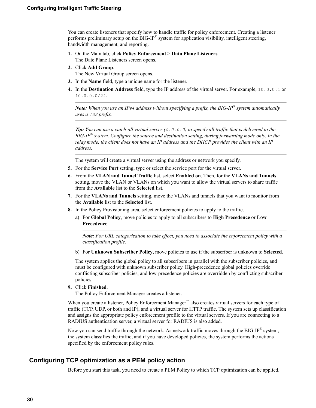<span id="page-29-0"></span>You can create listeners that specify how to handle traffic for policy enforcement. Creating a listener performs preliminary setup on the BIG-IP<sup>®</sup> system for application visibility, intelligent steering, bandwidth management, and reporting.

- **1.** On the Main tab, click **Policy Enforcement** > **Data Plane Listeners**. The Date Plane Listeners screen opens.
- **2.** Click **Add Group**. The New Virtual Group screen opens.
- **3.** In the **Name** field, type a unique name for the listener.
- **4.** In the **Destination Address** field, type the IP address of the virtual server. For example, 10.0.0.1 or 10.0.0.0/24.

*Note: When you use an IPv4 address without specifying a prefix, the BIG-IP® system automatically uses a /32 prefix.*

*Tip: You can use a catch-all virtual server (0.0.0.0) to specify all traffic that is delivered to the BIG-IP® system. Configure the source and destination setting, during forwarding mode only. In the relay mode, the client does not have an IP address and the DHCP provides the client with an IP address.*

The system will create a virtual server using the address or network you specify.

- **5.** For the **Service Port** setting, type or select the service port for the virtual server.
- **6.** From the **VLAN and Tunnel Traffic** list, select **Enabled on**. Then, for the **VLANs and Tunnels** setting, move the VLAN or VLANs on which you want to allow the virtual servers to share traffic from the **Available** list to the **Selected** list.
- **7.** For the **VLANs and Tunnels** setting, move the VLANs and tunnels that you want to monitor from the **Available** list to the **Selected** list.
- **8.** In the Policy Provisioning area, select enforcement policies to apply to the traffic.
	- a) For **Global Policy**, move policies to apply to all subscribers to **High Precedence** or **Low Precedence**.

*Note: For URL categorization to take effect, you need to associate the enforcement policy with a classification profile.*

b) For **Unknown Subscriber Policy**, move policies to use if the subscriber is unknown to **Selected**.

The system applies the global policy to all subscribers in parallel with the subscriber policies, and must be configured with unknown subscriber policy. High-precedence global policies override conflicting subscriber policies, and low-precedence policies are overridden by conflicting subscriber policies.

**9.** Click **Finished**.

The Policy Enforcement Manager creates a listener.

When you create a listener, Policy Enforcement Manager<sup>™</sup> also creates virtual servers for each type of traffic (TCP, UDP, or both and IP), and a virtual server for HTTP traffic. The system sets up classification and assigns the appropriate policy enforcement profile to the virtual servers. If you are connecting to a RADIUS authentication server, a virtual server for RADIUS is also added.

Now you can send traffic through the network. As network traffic moves through the BIG-IP<sup>®</sup> system, the system classifies the traffic, and if you have developed policies, the system performs the actions specified by the enforcement policy rules.

#### **Configuring TCP optimization as a PEM policy action**

Before you start this task, you need to create a PEM Policy to which TCP optimization can be applied.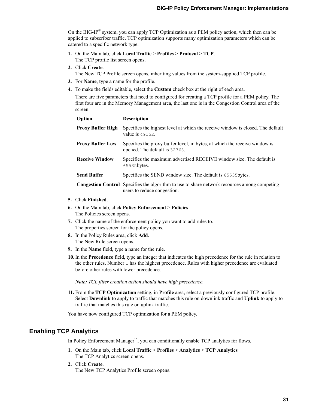<span id="page-30-0"></span>On the BIG-IP<sup>®</sup> system, you can apply TCP Optimization as a PEM policy action, which then can be applied to subscriber traffic. TCP optimization supports many optimization parameters which can be catered to a specific network type.

- **1.** On the Main tab, click **Local Traffic** > **Profiles** > **Protocol** > **TCP**. The TCP profile list screen opens.
- **2.** Click **Create**.
	- The New TCP Profile screen opens, inheriting values from the system-supplied TCP profile.
- **3.** For **Name**, type a name for the profile.
- **4.** To make the fields editable, select the **Custom** check box at the right of each area.

There are five parameters that need to configured for creating a TCP profile for a PEM policy. The first four are in the Memory Management area, the last one is in the Congestion Control area of the screen.

| Option                   | <b>Description</b>                                                                                                                 |
|--------------------------|------------------------------------------------------------------------------------------------------------------------------------|
| <b>Proxy Buffer High</b> | Specifies the highest level at which the receive window is closed. The default<br>value is 49152.                                  |
| <b>Proxy Buffer Low</b>  | Specifies the proxy buffer level, in bytes, at which the receive window is<br>opened. The default is 32768.                        |
| <b>Receive Window</b>    | Specifies the maximum advertised RECEIVE window size. The default is<br>65535bytes.                                                |
| <b>Send Buffer</b>       | Specifies the SEND window size. The default is 65535bytes.                                                                         |
|                          | <b>Congestion Control</b> Specifies the algorithm to use to share network resources among competing<br>users to reduce congestion. |

#### **5.** Click **Finished**.

- **6.** On the Main tab, click **Policy Enforcement** > **Policies**. The Policies screen opens.
- **7.** Click the name of the enforcement policy you want to add rules to. The properties screen for the policy opens.
- **8.** In the Policy Rules area, click **Add**. The New Rule screen opens.
- **9.** In the **Name** field, type a name for the rule.
- **10.** In the **Precedence** field, type an integer that indicates the high precedence for the rule in relation to the other rules. Number 1 has the highest precedence. Rules with higher precedence are evaluated before other rules with lower precedence.

*Note: TCL filter creation action should have high precedence.*

**11.** From the **TCP Optimization** setting, in **Profile** area, select a previously configured TCP profile. Select **Downlink** to apply to traffic that matches this rule on downlink traffic and **Uplink** to apply to traffic that matches this rule on uplink traffic.

You have now configured TCP optimization for a PEM policy.

#### **Enabling TCP Analytics**

In Policy Enforcement Manager™ , you can conditionally enable TCP analytics for flows.

- **1.** On the Main tab, click **Local Traffic** > **Profiles** > **Analytics** > **TCP Analytics** The TCP Analytics screen opens.
- **2.** Click **Create**. The New TCP Analytics Profile screen opens.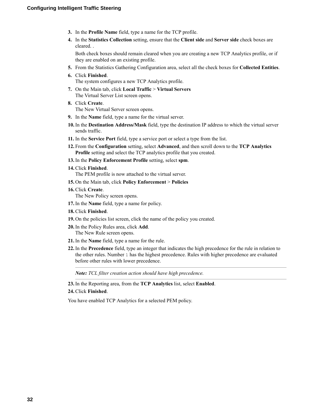- **3.** In the **Profile Name** field, type a name for the TCP profile.
- **4.** In the **Statistics Collection** setting, ensure that the **Client side** and **Server side** check boxes are cleared. .

Both check boxes should remain cleared when you are creating a new TCP Analytics profile, or if they are enabled on an existing profile.

- **5.** From the Statistics Gathering Configuration area, select all the check boxes for **Collected Entities**.
- **6.** Click **Finished**. The system configures a new TCP Analytics profile.
- **7.** On the Main tab, click **Local Traffic** > **Virtual Servers** The Virtual Server List screen opens.
- **8.** Click **Create**. The New Virtual Server screen opens.
- **9.** In the **Name** field, type a name for the virtual server.
- **10.** In the **Destination Address/Mask** field, type the destination IP address to which the virtual server sends traffic.
- **11.** In the **Service Port** field, type a service port or select a type from the list.
- **12.**From the **Configuration** setting, select **Advanced**, and then scroll down to the **TCP Analytics Profile** setting and select the TCP analytics profile that you created.
- **13.** In the **Policy Enforcement Profile** setting, select **spm**.
- **14.** Click **Finished**.

The PEM profile is now attached to the virtual server.

- **15.** On the Main tab, click **Policy Enforcement** > **Policies**
- **16.** Click **Create**.

The New Policy screen opens.

- **17.** In the **Name** field, type a name for policy.
- **18.** Click **Finished**.
- **19.** On the policies list screen, click the name of the policy you created.
- **20.** In the Policy Rules area, click **Add**.

The New Rule screen opens.

- **21.** In the **Name** field, type a name for the rule.
- **22.** In the **Precedence** field, type an integer that indicates the high precedence for the rule in relation to the other rules. Number 1 has the highest precedence. Rules with higher precedence are evaluated before other rules with lower precedence.

*Note: TCL filter creation action should have high precedence.*

**23.** In the Reporting area, from the **TCP Analytics** list, select **Enabled**.

#### **24.** Click **Finished**.

You have enabled TCP Analytics for a selected PEM policy.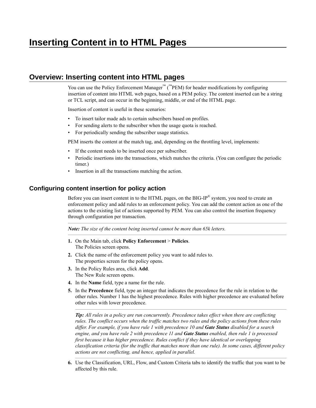## <span id="page-32-0"></span>**Inserting Content in to HTML Pages**

## **Overview: Inserting content into HTML pages**

You can use the Policy Enforcement Manager™ (™ PEM) for header modifications by configuring insertion of content into HTML web pages, based on a PEM policy. The content inserted can be a string or TCL script, and can occur in the beginning, middle, or end of the HTML page.

Insertion of content is useful in these scenarios:

- To insert tailor made ads to certain subscribers based on profiles.
- For sending alerts to the subscriber when the usage quota is reached.
- For periodically sending the subscriber usage statistics.

PEM inserts the content at the match tag, and, depending on the throttling level, implements:

- If the content needs to be inserted once per subscriber.
- Periodic insertions into the transactions, which matches the criteria. (You can configure the periodic timer.)
- Insertion in all the transactions matching the action.

#### **Configuring content insertion for policy action**

Before you can insert content in to the HTML pages, on the BIG-IP<sup>®</sup> system, you need to create an enforcement policy and add rules to an enforcement policy. You can add the content action as one of the actions to the existing list of actions supported by PEM. You can also control the insertion frequency through configuration per transaction.

*Note: The size of the content being inserted cannot be more than 65k letters.*

- **1.** On the Main tab, click **Policy Enforcement** > **Policies**. The Policies screen opens.
- **2.** Click the name of the enforcement policy you want to add rules to. The properties screen for the policy opens.
- **3.** In the Policy Rules area, click **Add**. The New Rule screen opens.
- **4.** In the **Name** field, type a name for the rule.
- **5.** In the **Precedence** field, type an integer that indicates the precedence for the rule in relation to the other rules. Number 1 has the highest precedence. Rules with higher precedence are evaluated before other rules with lower precedence.

*Tip: All rules in a policy are run concurrently. Precedence takes effect when there are conflicting rules. The conflict occurs when the traffic matches two rules and the policy actions from these rules differ. For example, if you have rule 1 with precedence 10 and Gate Status disabled for a search engine, and you have rule 2 with precedence 11 and Gate Status enabled, then rule 1 is processed first because it has higher precedence. Rules conflict if they have identical or overlapping classification criteria (for the traffic that matches more than one rule). In some cases, different policy actions are not conflicting, and hence, applied in parallel.*

**6.** Use the Classification, URL, Flow, and Custom Criteria tabs to identify the traffic that you want to be affected by this rule.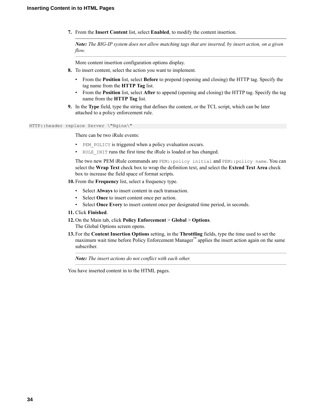**7.** From the **Insert Content** list, select **Enabled**, to modify the content insertion.

*Note: The BIG-IP system does not allow matching tags that are inserted, by insert action, on a given flow.*

More content insertion configuration options display.

- **8.** To insert content, select the action you want to implement.
	- From the **Position** list, select **Before** to prepend (opening and closing) the HTTP tag. Specify the tag name from the **HTTP Tag** list.
	- From the **Position** list, select **After** to append (opening and closing) the HTTP tag. Specify the tag name from the **HTTP Tag** list.
- **9.** In the **Type** field, type the string that defines the content, or the TCL script, which can be later attached to a policy enforcement rule.

HTTP::header replace Server \"Nginx\"

There can be two iRule events:

- PEM POLICY is triggered when a policy evaluation occurs.
- RULE INIT runs the first time the iRule is loaded or has changed.

The two new PEM iRule commands are PEM::policy initial and PEM::policy name. You can select the **Wrap Text** check box to wrap the definition text, and select the **Extend Text Area** check box to increase the field space of format scripts.

**10.**From the **Frequency** list, select a frequency type.

- Select **Always** to insert content in each transaction.
- Select **Once** to insert content once per action.
- Select **Once Every** to insert content once per designated time period, in seconds.
- **11.** Click **Finished**.
- **12.** On the Main tab, click **Policy Enforcement** > **Global** > **Options**. The Global Options screen opens.
- **13.**For the **Content Insertion Options** setting, in the **Throttling** fields, type the time used to set the maximum wait time before Policy Enforcement Manager<sup>™</sup> applies the insert action again on the same subscriber.

*Note: The insert actions do not conflict with each other.*

You have inserted content in to the HTML pages.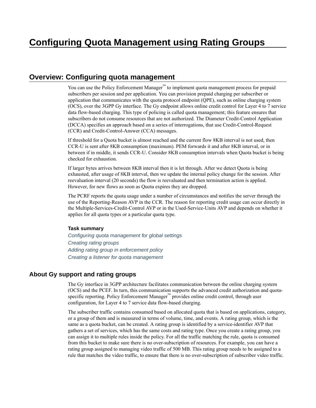## <span id="page-34-0"></span>**Overview: Configuring quota management**

You can use the Policy Enforcement Manager™ to implement quota management process for prepaid subscribers per session and per application. You can provision prepaid charging per subscriber or application that communicates with the quota protocol endpoint (QPE), such as online charging system (OCS), over the 3GPP Gy interface. The Gy endpoint allows online credit control for Layer 4 to 7 service data flow-based charging. This type of policing is called quota management; this feature ensures that subscribers do not consume resources that are not authorized. The Diameter Credit-Control Application (DCCA) specifies an approach based on a series of interrogations, that use Credit-Control-Request (CCR) and Credit-Control-Answer (CCA) messages.

If threshold for a Quota bucket is almost reached and the current flow 8KB interval is not used, then CCR-U is sent after 8KB consumption (maximum). PEM forwards it and after 8KB interval, or in between if in middle, it sends CCR-U. Consider 8KB consumption intervals when Quota bucket is being checked for exhaustion.

If larger bytes arrives between 8KB interval then it is let through. After we detect Quota is being exhausted, after usage of 8KB interval, then we update the internal policy change for the session. After reevaluation interval (20 seconds) the flow is reevaluated and then termination action is applied. However, for new flows as soon as Quota expires they are dropped.

The PCRF reports the quota usage under a number of circumstances and notifies the server through the use of the Reporting-Reason AVP in the CCR. The reason for reporting credit usage can occur directly in the Multiple-Services-Credit-Control AVP or in the Used-Service-Units AVP and depends on whether it applies for all quota types or a particular quota type.

#### **Task summary**

[Configuring quota management for global settings](#page-36-0) [Creating rating groups](#page-36-0) [Adding rating group in enforcement policy](#page-37-0) [Creating a listener for quota management](#page-38-0)

#### **About Gy support and rating groups**

The Gy interface in 3GPP architecture facilitates communication between the online charging system (OCS) and the PCEF. In turn, this communication supports the advanced credit authorization and quotaspecific reporting. Policy Enforcement Manager™ provides online credit control, through user configuration, for Layer 4 to 7 service data flow-based charging.

The subscriber traffic contains consumed based on allocated quota that is based on applications, category, or a group of them and is measured in terms of volume, time, and events. A rating group, which is the same as a quota bucket, can be created. A rating group is identified by a service-identifier AVP that gathers a set of services, which has the same costs and rating type. Once you create a rating group, you can assign it to multiple rules inside the policy. For all the traffic matching the rule, quota is consumed from this bucket to make sure there is no over-subscription of resources. For example, you can have a rating group assigned to managing video traffic of 500 MB. This rating group needs to be assigned to a rule that matches the video traffic, to ensure that there is no over-subscription of subscriber video traffic.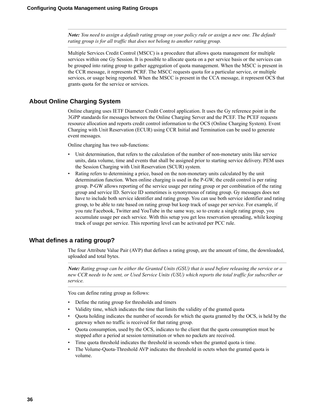<span id="page-35-0"></span>*Note: You need to assign a default rating group on your policy rule or assign a new one. The default rating group is for all traffic that does not belong to another rating group.*

Multiple Services Credit Control (MSCC) is a procedure that allows quota management for multiple services within one Gy Session. It is possible to allocate quota on a per service basis or the services can be grouped into rating group to gather aggregation of quota management. When the MSCC is present in the CCR message, it represents PCRF. The MSCC requests quota for a particular service, or multiple services, or usage being reported. When the MSCC is present in the CCA message, it represent OCS that grants quota for the service or services.

#### **About Online Charging System**

Online charging uses IETF Diameter Credit Control application. It uses the Gy reference point in the 3GPP standards for messages between the Online Charging Server and the PCEF. The PCEF requests resource allocation and reports credit control information to the OCS (Online Charging System). Event Charging with Unit Reservation (ECUR) using CCR Initial and Termination can be used to generate event messages.

Online charging has two sub-functions:

- Unit determination, that refers to the calculation of the number of non-monetary units like service units, data volume, time and events that shall be assigned prior to starting service delivery. PEM uses the Session Charging with Unit Reservation (SCUR) system.
- Rating refers to determining a price, based on the non-monetary units calculated by the unit determination function. When online charging is used in the P-GW, the credit control is per rating group. P-GW allows reporting of the service usage per rating group or per combination of the rating group and service ID. Service ID sometimes is synonymous of rating group. Gy messages does not have to include both service identifier and rating group. You can use both service identifier and rating group, to be able to rate based on rating group but keep track of usage per service. For example, if you rate Facebook, Twitter and YouTube in the same way, so to create a single rating group, you accumulate usage per each service. With this setup you get less reservation spreading, while keeping track of usage per service. This reporting level can be activated per PCC rule.

#### **What defines a rating group?**

The four Attribute Value Pair (AVP) that defines a rating group, are the amount of time, the downloaded, uploaded and total bytes.

*Note: Rating group can be either the Granted Units (GSU) that is used before releasing the service or a new CCR needs to be sent, or Used Service Units (USU) which reports the total traffic for subscriber or service.*

You can define rating group as follows:

- Define the rating group for thresholds and timers
- Validity time, which indicates the time that limits the validity of the granted quota
- Quota holding indicates the number of seconds for which the quota granted by the OCS, is held by the gateway when no traffic is received for that rating group.
- Quota consumption, used by the OCS, indicates to the client that the quota consumption must be stopped after a period at session termination or when no packets are received.
- Time quota threshold indicates the threshold in seconds when the granted quota is time.
- The Volume-Quota-Threshold AVP indicates the threshold in octets when the granted quota is volume.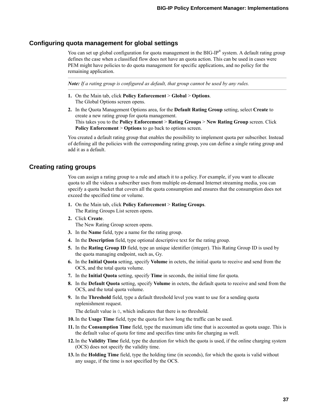## **Configuring quota management for global settings**

You can set up global configuration for quota management in the BIG-IP<sup>®</sup> system. A default rating group defines the case when a classified flow does not have an quota action. This can be used in cases were PEM might have policies to do quota management for specific applications, and no policy for the remaining application.

*Note: If a rating group is configured as default, that group cannot be used by any rules.*

- **1.** On the Main tab, click **Policy Enforcement** > **Global** > **Options**. The Global Options screen opens.
- **2.** In the Quota Management Options area, for the **Default Rating Group** setting, select **Create** to create a new rating group for quota management. This takes you to the **Policy Enforcement** > **Rating Groups** > **New Rating Group** screen. Click **Policy Enforcement** > **Options** to go back to options screen.

You created a default rating group that enables the possibility to implement quota per subscriber. Instead of defining all the policies with the corresponding rating group, you can define a single rating group and add it as a default.

## **Creating rating groups**

You can assign a rating group to a rule and attach it to a policy. For example, if you want to allocate quota to all the videos a subscriber uses from multiple on-demand Internet streaming media, you can specify a quota bucket that covers all the quota consumption and ensures that the consumption does not exceed the specified time or volume.

- **1.** On the Main tab, click **Policy Enforcement** > **Rating Groups**. The Rating Groups List screen opens.
- **2.** Click **Create**. The New Rating Group screen opens.
- **3.** In the **Name** field, type a name for the rating group.
- **4.** In the **Description** field, type optional descriptive text for the rating group.
- **5.** In the **Rating Group ID** field, type an unique identifier (integer). This Rating Group ID is used by the quota managing endpoint, such as, Gy.
- **6.** In the **Initial Quota** setting, specify **Volume** in octets, the initial quota to receive and send from the OCS, and the total quota volume.
- **7.** In the **Initial Quota** setting, specify **Time** in seconds, the initial time for quota.
- **8.** In the **Default Quota** setting, specify **Volume** in octets, the default quota to receive and send from the OCS, and the total quota volume.
- **9.** In the **Threshold** field, type a default threshold level you want to use for a sending quota replenishment request.

The default value is 0, which indicates that there is no threshold.

- **10.** In the **Usage Time** field, type the quota for how long the traffic can be used.
- **11.** In the **Consumption Time** field, type the maximum idle time that is accounted as quota usage. This is the default value of quota for time and specifies time units for charging as well.
- **12.** In the **Validity Time** field, type the duration for which the quota is used, if the online charging system (OCS) does not specify the validity time.
- **13.** In the **Holding Time** field, type the holding time (in seconds), for which the quota is valid without any usage, if the time is not specified by the OCS.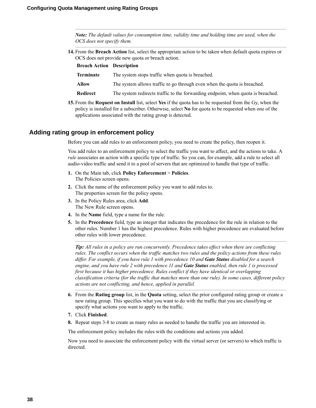*Note: The default values for consumption time, validity time and holding time are used, when the OCS does not specify them.*

**14.**From the **Breach Action** list, select the appropriate action to be taken when default quota expires or OCS does not provide new quota or breach action.

**Breach Action Description**

**Terminate** The system stops traffic when quota is breached.

- **Allow** The system allows traffic to go through even when the quota is breached.
- **Redirect** The system redirects traffic to the forwarding endpoint, when quota is breached.
- **15.**From the **Request on Install** list, select **Yes** if the quota has to be requested from the Gy, when the policy is installed for a subscriber. Otherwise, select **No** for quota to be requested when one of the applications associated with the rating group is detected.

#### **Adding rating group in enforcement policy**

Before you can add rules to an enforcement policy, you need to create the policy, then reopen it.

You add rules to an enforcement policy to select the traffic you want to affect, and the actions to take. A *rule* associates an action with a specific type of traffic. So you can, for example, add a rule to select all audio-video traffic and send it to a pool of servers that are optimized to handle that type of traffic.

- **1.** On the Main tab, click **Policy Enforcement** > **Policies**. The Policies screen opens.
- **2.** Click the name of the enforcement policy you want to add rules to. The properties screen for the policy opens.
- **3.** In the Policy Rules area, click **Add**. The New Rule screen opens.
- **4.** In the **Name** field, type a name for the rule.
- **5.** In the **Precedence** field, type an integer that indicates the precedence for the rule in relation to the other rules. Number 1 has the highest precedence. Rules with higher precedence are evaluated before other rules with lower precedence.

*Tip: All rules in a policy are run concurrently. Precedence takes effect when there are conflicting rules. The conflict occurs when the traffic matches two rules and the policy actions from these rules differ. For example, if you have rule 1 with precedence 10 and Gate Status disabled for a search engine, and you have rule 2 with precedence 11 and Gate Status enabled, then rule 1 is processed first because it has higher precedence. Rules conflict if they have identical or overlapping classification criteria (for the traffic that matches more than one rule). In some cases, different policy actions are not conflicting, and hence, applied in parallel.*

- **6.** From the **Rating group** list, in the **Quota** setting, select the prior configured rating group or create a new rating group. This specifies what you want to do with the traffic that you are classifying or specify what actions you want to apply to the traffic.
- **7.** Click **Finished**.
- **8.** Repeat steps 3-8 to create as many rules as needed to handle the traffic you are interested in.

The enforcement policy includes the rules with the conditions and actions you added.

Now you need to associate the enforcement policy with the virtual server (or servers) to which traffic is directed.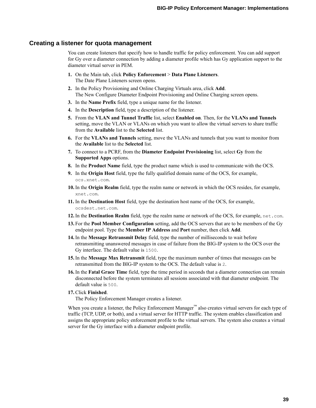#### **Creating a listener for quota management**

You can create listeners that specify how to handle traffic for policy enforcement. You can add support for Gy over a diameter connection by adding a diameter profile which has Gy application support to the diameter virtual server in PEM.

- **1.** On the Main tab, click **Policy Enforcement** > **Data Plane Listeners**. The Date Plane Listeners screen opens.
- **2.** In the Policy Provisioning and Online Charging Virtuals area, click **Add**. The New Configure Diameter Endpoint Provisioning and Online Charging screen opens.
- **3.** In the **Name Prefix** field, type a unique name for the listener.
- **4.** In the **Description** field, type a description of the listener.
- **5.** From the **VLAN and Tunnel Traffic** list, select **Enabled on**. Then, for the **VLANs and Tunnels** setting, move the VLAN or VLANs on which you want to allow the virtual servers to share traffic from the **Available** list to the **Selected** list.
- **6.** For the **VLANs and Tunnels** setting, move the VLANs and tunnels that you want to monitor from the **Available** list to the **Selected** list.
- **7.** To connect to a PCRF, from the **Diameter Endpoint Provisioning** list, select **Gy** from the **Supported Apps** options.
- **8.** In the **Product Name** field, type the product name which is used to communicate with the OCS.
- **9.** In the **Origin Host** field, type the fully qualified domain name of the OCS, for example, ocs.xnet.com.
- **10.** In the **Origin Realm** field, type the realm name or network in which the OCS resides, for example, xnet.com.
- **11.** In the **Destination Host** field, type the destination host name of the OCS, for example, ocsdest.net.com.
- **12.** In the **Destination Realm** field, type the realm name or network of the OCS, for example, net.com.
- **13.**For the **Pool Member Configuration** setting, add the OCS servers that are to be members of the Gy endpoint pool. Type the **Member IP Address** and **Port** number, then click **Add**.
- **14.** In the **Message Retransmit Delay** field, type the number of milliseconds to wait before retransmitting unanswered messages in case of failure from the BIG-IP system to the OCS over the Gy interface. The default value is 1500.
- **15.** In the **Message Max Retransmit** field, type the maximum number of times that messages can be retransmitted from the BIG-IP system to the OCS. The default value is 2.
- **16.** In the **Fatal Grace Time** field, type the time period in seconds that a diameter connection can remain disconnected before the system terminates all sessions associated with that diameter endpoint. The default value is 500.
- **17.** Click **Finished**.

The Policy Enforcement Manager creates a listener.

When you create a listener, the Policy Enforcement Manager™ also creates virtual servers for each type of traffic (TCP, UDP, or both), and a virtual server for HTTP traffic. The system enables classification and assigns the appropriate policy enforcement profile to the virtual servers. The system also creates a virtual server for the Gy interface with a diameter endpoint profile.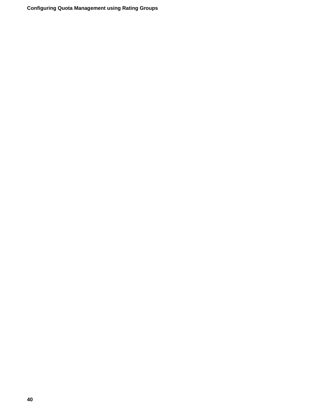**Configuring Quota Management using Rating Groups**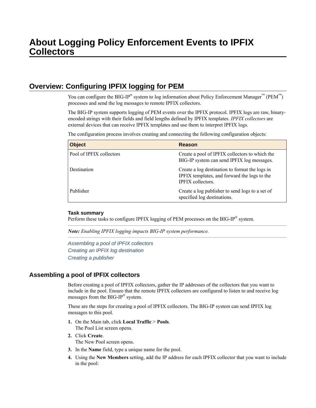# **Overview: Configuring IPFIX logging for PEM**

You can configure the BIG-IP<sup>®</sup> system to log information about Policy Enforcement Manager<sup>™</sup> (PEM<sup>™</sup>) processes and send the log messages to remote IPFIX collectors.

The BIG-IP system supports logging of PEM events over the IPFIX protocol. IPFIX logs are raw, binaryencoded strings with their fields and field lengths defined by IPFIX templates. *IPFIX collectors* are external devices that can receive IPFIX templates and use them to interpret IPFIX logs.

The configuration process involves creating and connecting the following configuration objects:

| <b>Object</b>            | Reason                                                                                                                     |
|--------------------------|----------------------------------------------------------------------------------------------------------------------------|
| Pool of IPFIX collectors | Create a pool of IPFIX collectors to which the<br>BIG-IP system can send IPFIX log messages.                               |
| <b>Destination</b>       | Create a log destination to format the logs in<br>IPFIX templates, and forward the logs to the<br><b>IPFIX</b> collectors. |
| Publisher                | Create a log publisher to send logs to a set of<br>specified log destinations.                                             |

#### **Task summary**

Perform these tasks to configure IPFIX logging of PEM processes on the BIG-IP $^{\circ}$  system.

*Note: Enabling IPFIX logging impacts BIG-IP system performance.*

Assembling a pool of IPFIX collectors [Creating an IPFIX log destination](#page-41-0) [Creating a publisher](#page-41-0)

## **Assembling a pool of IPFIX collectors**

Before creating a pool of IPFIX collectors, gather the IP addresses of the collectors that you want to include in the pool. Ensure that the remote IPFIX collectors are configured to listen to and receive log messages from the BIG-IP<sup>®</sup> system.

These are the steps for creating a pool of IPFIX collectors. The BIG-IP system can send IPFIX log messages to this pool.

- **1.** On the Main tab, click **Local Traffic** > **Pools**. The Pool List screen opens.
- **2.** Click **Create**. The New Pool screen opens.
- **3.** In the **Name** field, type a unique name for the pool.
- **4.** Using the **New Members** setting, add the IP address for each IPFIX collector that you want to include in the pool: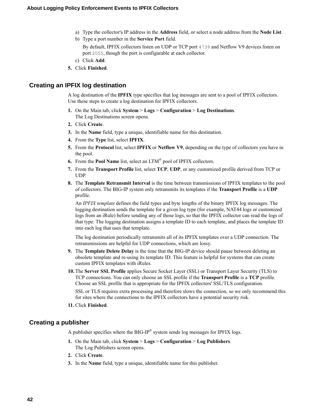- <span id="page-41-0"></span>a) Type the collector's IP address in the **Address** field, or select a node address from the **Node List**.
- b) Type a port number in the **Service Port** field.

By default, IPFIX collectors listen on UDP or TCP port 4739 and Netflow V9 devices listen on port 2055, though the port is configurable at each collector.

- c) Click **Add**.
- **5.** Click **Finished**.

## **Creating an IPFIX log destination**

A log destination of the **IPFIX** type specifies that log messages are sent to a pool of IPFIX collectors. Use these steps to create a log destination for IPFIX collectors.

- **1.** On the Main tab, click **System** > **Logs** > **Configuration** > **Log Destinations**. The Log Destinations screen opens.
- **2.** Click **Create**.
- **3.** In the **Name** field, type a unique, identifiable name for this destination.
- **4.** From the **Type** list, select **IPFIX**.
- **5.** From the **Protocol** list, select **IPFIX** or **Netflow V9**, depending on the type of collectors you have in the pool.
- **6.** From the **Pool Name** list, select an LTM® pool of IPFIX collectors.
- **7.** From the **Transport Profile** list, select **TCP**, **UDP**, or any customized profile derived from TCP or UDP.
- **8.** The **Template Retransmit Interval** is the time between transmissions of IPFIX templates to the pool of collectors. The BIG-IP system only retransmits its templates if the **Transport Profile** is a **UDP** profile.

An *IPFIX template* defines the field types and byte lengths of the binary IPFIX log messages. The logging destination sends the template for a given log type (for example, NAT44 logs or customized logs from an iRule) before sending any of those logs, so that the IPFIX collector can read the logs of that type. The logging destination assigns a template ID to each template, and places the template ID into each log that uses that template.

The log destination periodically retransmits all of its IPFIX templates over a UDP connection. The retransmissions are helpful for UDP connections, which are lossy.

- **9.** The **Template Delete Delay** is the time that the BIG-IP device should pause between deleting an obsolete template and re-using its template ID. This feature is helpful for systems that can create custom IPFIX templates with iRules.
- **10.** The **Server SSL Profile** applies Secure Socket Layer (SSL) or Transport Layer Security (TLS) to TCP connections. You can only choose an SSL profile if the **Transport Profile** is a **TCP** profile. Choose an SSL profile that is appropriate for the IPFIX collectors' SSL/TLS configuration.

SSL or TLS requires extra processing and therefore slows the connection, so we only recommend this for sites where the connections to the IPFIX collectors have a potential security risk.

**11.** Click **Finished**.

## **Creating a publisher**

A publisher specifies where the BIG-IP<sup>®</sup> system sends log messages for IPFIX logs.

- **1.** On the Main tab, click **System** > **Logs** > **Configuration** > **Log Publishers**. The Log Publishers screen opens.
- **2.** Click **Create**.
- **3.** In the **Name** field, type a unique, identifiable name for this publisher.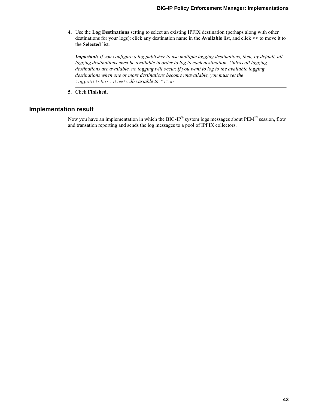**4.** Use the **Log Destinations** setting to select an existing IPFIX destination (perhaps along with other destinations for your logs): click any destination name in the **Available** list, and click **<<** to move it to the **Selected** list.

*Important: If you configure a log publisher to use multiple logging destinations, then, by default, all logging destinations must be available in order to log to each destination. Unless all logging destinations are available, no logging will occur. If you want to log to the available logging destinations when one or more destinations become unavailable, you must set the logpublisher.atomic db variable to false.*

**5.** Click **Finished**.

## **Implementation result**

Now you have an implementation in which the BIG-IP® system logs messages about PEM™ session, flow and transation reporting and sends the log messages to a pool of IPFIX collectors.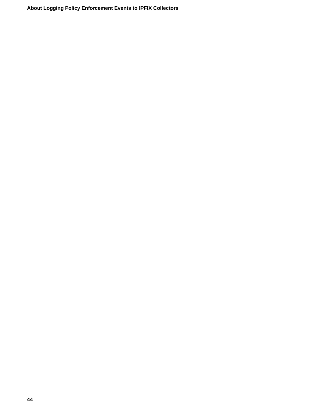**About Logging Policy Enforcement Events to IPFIX Collectors**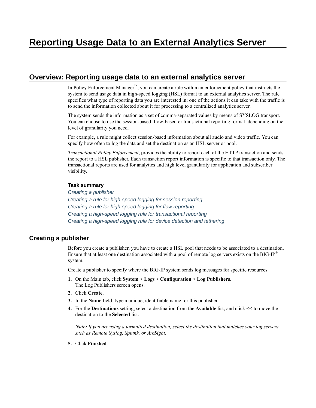# <span id="page-44-0"></span>**Overview: Reporting usage data to an external analytics server**

In Policy Enforcement Manager™ , you can create a rule within an enforcement policy that instructs the system to send usage data in high-speed logging (HSL) format to an external analytics server. The rule specifies what type of reporting data you are interested in; one of the actions it can take with the traffic is to send the information collected about it for processing to a centralized analytics server.

The system sends the information as a set of comma-separated values by means of SYSLOG transport. You can choose to use the session-based, flow-based or transactional reporting format, depending on the level of granularity you need.

For example, a rule might collect session-based information about all audio and video traffic. You can specify how often to log the data and set the destination as an HSL server or pool.

*Transactional Policy Enforcement*, provides the ability to report each of the HTTP transaction and sends the report to a HSL publisher. Each transaction report information is specific to that transaction only. The transactional reports are used for analytics and high level granularity for application and subscriber visibility.

### **Task summary**

Creating a publisher [Creating a rule for high-speed logging for session reporting](#page-45-0) [Creating a rule for high-speed logging for flow reporting](#page-46-0) [Creating a high-speed logging rule for transactional reporting](#page-47-0) [Creating a high-speed logging rule for device detection and tethering](#page-48-0)

## **Creating a publisher**

Before you create a publisher, you have to create a HSL pool that needs to be associated to a destination. Ensure that at least one destination associated with a pool of remote log servers exists on the BIG-IP<sup>®</sup> system.

Create a publisher to specify where the BIG-IP system sends log messages for specific resources.

- **1.** On the Main tab, click **System** > **Logs** > **Configuration** > **Log Publishers**. The Log Publishers screen opens.
- **2.** Click **Create**.
- **3.** In the **Name** field, type a unique, identifiable name for this publisher.
- **4.** For the **Destinations** setting, select a destination from the **Available** list, and click **<<** to move the destination to the **Selected** list.

*Note: If you are using a formatted destination, select the destination that matches your log servers, such as Remote Syslog, Splunk, or ArcSight.*

**5.** Click **Finished**.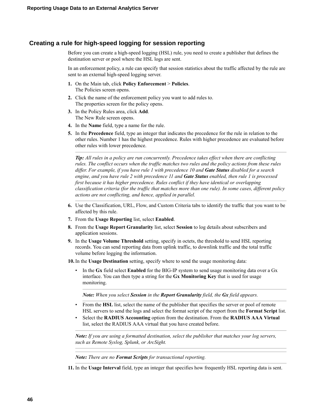## <span id="page-45-0"></span>**Creating a rule for high-speed logging for session reporting**

Before you can create a high-speed logging (HSL) rule, you need to create a publisher that defines the destination server or pool where the HSL logs are sent.

In an enforcement policy, a rule can specify that session statistics about the traffic affected by the rule are sent to an external high-speed logging server.

- **1.** On the Main tab, click **Policy Enforcement** > **Policies**. The Policies screen opens.
- **2.** Click the name of the enforcement policy you want to add rules to. The properties screen for the policy opens.
- **3.** In the Policy Rules area, click **Add**. The New Rule screen opens.
- **4.** In the **Name** field, type a name for the rule.
- **5.** In the **Precedence** field, type an integer that indicates the precedence for the rule in relation to the other rules. Number 1 has the highest precedence. Rules with higher precedence are evaluated before other rules with lower precedence.

*Tip: All rules in a policy are run concurrently. Precedence takes effect when there are conflicting rules. The conflict occurs when the traffic matches two rules and the policy actions from these rules differ. For example, if you have rule 1 with precedence 10 and Gate Status disabled for a search engine, and you have rule 2 with precedence 11 and Gate Status enabled, then rule 1 is processed first because it has higher precedence. Rules conflict if they have identical or overlapping classification criteria (for the traffic that matches more than one rule). In some cases, different policy actions are not conflicting, and hence, applied in parallel.*

- **6.** Use the Classification, URL, Flow, and Custom Criteria tabs to identify the traffic that you want to be affected by this rule.
- **7.** From the **Usage Reporting** list, select **Enabled**.
- **8.** From the **Usage Report Granularity** list, select **Session** to log details about subscribers and application sessions.
- **9.** In the **Usage Volume Threshold** setting, specify in octets, the threshold to send HSL reporting records. You can send reporting data from uplink traffic, to downlink traffic and the total traffic volume before logging the information.

**10.** In the **Usage Destination** setting, specify where to send the usage monitoring data:

• In the **Gx** field select **Enabled** for the BIG-IP system to send usage monitoring data over a Gx interface. You can then type a string for the **Gx Monitoring Key** that is used for usage monitoring.

*Note: When you select Session in the Report Granularity field, the Gx field appears.*

- From the **HSL** list, select the name of the publisher that specifies the server or pool of remote HSL servers to send the logs and select the format script of the report from the **Format Script** list.
- Select the **RADIUS Accounting** option from the destination. From the **RADIUS AAA Virtual** list, select the RADIUS AAA virtual that you have created before.

*Note: If you are using a formatted destination, select the publisher that matches your log servers, such as Remote Syslog, Splunk, or ArcSight.*

*Note: There are no Format Scripts for transactional reporting.*

**11.** In the **Usage Interval** field, type an integer that specifies how frequently HSL reporting data is sent.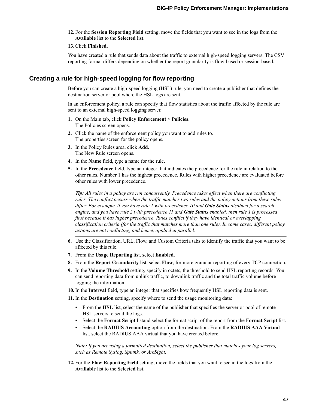<span id="page-46-0"></span>**12.**For the **Session Reporting Field** setting, move the fields that you want to see in the logs from the **Available** list to the **Selected** list.

#### **13.** Click **Finished**.

You have created a rule that sends data about the traffic to external high-speed logging servers. The CSV reporting format differs depending on whether the report granularity is flow-based or session-based.

## **Creating a rule for high-speed logging for flow reporting**

Before you can create a high-speed logging (HSL) rule, you need to create a publisher that defines the destination server or pool where the HSL logs are sent.

In an enforcement policy, a rule can specify that flow statistics about the traffic affected by the rule are sent to an external high-speed logging server.

- **1.** On the Main tab, click **Policy Enforcement** > **Policies**. The Policies screen opens.
- **2.** Click the name of the enforcement policy you want to add rules to. The properties screen for the policy opens.
- **3.** In the Policy Rules area, click **Add**. The New Rule screen opens.
- **4.** In the **Name** field, type a name for the rule.
- **5.** In the **Precedence** field, type an integer that indicates the precedence for the rule in relation to the other rules. Number 1 has the highest precedence. Rules with higher precedence are evaluated before other rules with lower precedence.

*Tip: All rules in a policy are run concurrently. Precedence takes effect when there are conflicting rules. The conflict occurs when the traffic matches two rules and the policy actions from these rules differ. For example, if you have rule 1 with precedence 10 and Gate Status disabled for a search engine, and you have rule 2 with precedence 11 and Gate Status enabled, then rule 1 is processed first because it has higher precedence. Rules conflict if they have identical or overlapping classification criteria (for the traffic that matches more than one rule). In some cases, different policy actions are not conflicting, and hence, applied in parallel.*

- **6.** Use the Classification, URL, Flow, and Custom Criteria tabs to identify the traffic that you want to be affected by this rule.
- **7.** From the **Usage Reporting** list, select **Enabled**.
- **8.** From the **Report Granularity** list, select **Flow**, for more granular reporting of every TCP connection.
- **9.** In the **Volume Threshold** setting, specify in octets, the threshold to send HSL reporting records. You can send reporting data from uplink traffic, to downlink traffic and the total traffic volume before logging the information.
- **10.** In the **Interval** field, type an integer that specifies how frequently HSL reporting data is sent.

**11.** In the **Destination** setting, specify where to send the usage monitoring data:

- From the **HSL** list, select the name of the publisher that specifies the server or pool of remote HSL servers to send the logs.
- Select the **Format Script** listand select the format script of the report from the **Format Script** list.
- Select the **RADIUS Accounting** option from the destination. From the **RADIUS AAA Virtual** list, select the RADIUS AAA virtual that you have created before.

*Note: If you are using a formatted destination, select the publisher that matches your log servers, such as Remote Syslog, Splunk, or ArcSight.*

**12.**For the **Flow Reporting Field** setting, move the fields that you want to see in the logs from the **Available** list to the **Selected** list.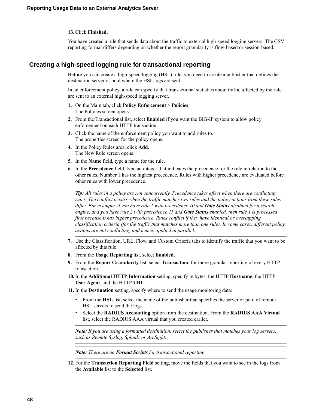#### **13.** Click **Finished**.

You have created a rule that sends data about the traffic to external high-speed logging servers. The CSV reporting format differs depending on whether the report granularity is flow-based or session-based.

#### <span id="page-47-0"></span>**Creating a high-speed logging rule for transactional reporting**

Before you can create a high-speed logging (HSL) rule, you need to create a publisher that defines the destination server or pool where the HSL logs are sent.

In an enforcement policy, a rule can specify that transactional statistics about traffic affected by the rule are sent to an external high-speed logging server.

- **1.** On the Main tab, click **Policy Enforcement** > **Policies**. The Policies screen opens.
- **2.** From the Transactional list, select **Enabled** if you want the BIG-IP system to allow policy enforcement on each HTTP transaction.
- **3.** Click the name of the enforcement policy you want to add rules to. The properties screen for the policy opens.
- **4.** In the Policy Rules area, click **Add**. The New Rule screen opens.
- **5.** In the **Name** field, type a name for the rule.
- **6.** In the **Precedence** field, type an integer that indicates the precedence for the rule in relation to the other rules. Number 1 has the highest precedence. Rules with higher precedence are evaluated before other rules with lower precedence.

*Tip: All rules in a policy are run concurrently. Precedence takes effect when there are conflicting rules. The conflict occurs when the traffic matches two rules and the policy actions from these rules differ. For example, if you have rule 1 with precedence 10 and Gate Status disabled for a search engine, and you have rule 2 with precedence 11 and Gate Status enabled, then rule 1 is processed first because it has higher precedence. Rules conflict if they have identical or overlapping classification criteria (for the traffic that matches more than one rule). In some cases, different policy actions are not conflicting, and hence, applied in parallel.*

- **7.** Use the Classification, URL, Flow, and Custom Criteria tabs to identify the traffic that you want to be affected by this rule.
- **8.** From the **Usage Reporting** list, select **Enabled**.
- **9.** From the **Report Granularity** list, select **Transaction**, for more granular reporting of every HTTP transaction.
- **10.** In the **Additional HTTP Information** setting, specify in bytes, the HTTP **Hostname**, the HTTP **User Agent**, and the HTTP **URI**.

**11.** In the **Destination** setting, specify where to send the usage monitoring data:

- From the **HSL** list, select the name of the publisher that specifies the server or pool of remote HSL servers to send the logs.
- Select the **RADIUS Accounting** option from the destination. From the **RADIUS AAA Virtual** list, select the RADIUS AAA virtual that you created earlier.

*Note: If you are using a formatted destination, select the publisher that matches your log servers, such as Remote Syslog, Splunk, or ArcSight.*

*Note: There are no Format Scripts for transactional reporting.*

**12.**For the **Transaction Reporting Field** setting, move the fields that you want to see in the logs from the **Available** list to the **Selected** list.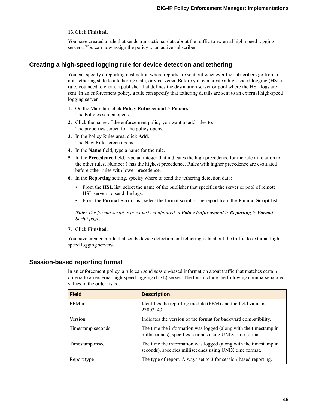#### **13.** Click **Finished**.

You have created a rule that sends transactional data about the traffic to external high-speed logging servers. You can now assign the policy to an active subscriber.

## <span id="page-48-0"></span>**Creating a high-speed logging rule for device detection and tethering**

You can specify a reporting destination where reports are sent out whenever the subscribers go from a non-tethering state to a tethering state, or vice-versa. Before you can create a high-speed logging (HSL) rule, you need to create a publisher that defines the destination server or pool where the HSL logs are sent. In an enforcement policy, a rule can specify that tethering details are sent to an external high-speed logging server.

- **1.** On the Main tab, click **Policy Enforcement** > **Policies**. The Policies screen opens.
- **2.** Click the name of the enforcement policy you want to add rules to. The properties screen for the policy opens.
- **3.** In the Policy Rules area, click **Add**. The New Rule screen opens.
- **4.** In the **Name** field, type a name for the rule.
- **5.** In the **Precedence** field, type an integer that indicates the high precedence for the rule in relation to the other rules. Number 1 has the highest precedence. Rules with higher precedence are evaluated before other rules with lower precedence.
- **6.** In the **Reporting** setting, specify where to send the tethering detection data:
	- From the **HSL** list, select the name of the publisher that specifies the server or pool of remote HSL servers to send the logs.
	- From the **Format Script** list, select the format script of the report from the **Format Script** list.

*Note: The format script is previously configured in Policy Enforcement > Reporting > Format Script page.*

**7.** Click **Finished**.

You have created a rule that sends device detection and tethering data about the traffic to external highspeed logging servers.

## **Session-based reporting format**

In an enforcement policy, a rule can send session-based information about traffic that matches certain criteria to an external high-speed logging (HSL) server. The logs include the following comma-separated values in the order listed.

| <b>Field</b>      | <b>Description</b>                                                                                                           |
|-------------------|------------------------------------------------------------------------------------------------------------------------------|
| PEM id            | Identifies the reporting module (PEM) and the field value is<br>23003143.                                                    |
| Version           | Indicates the version of the format for backward compatibility.                                                              |
| Timestamp seconds | The time the information was logged (along with the timestamp in<br>milliseconds), specifies seconds using UNIX time format. |
| Timestamp msec    | The time the information was logged (along with the timestamp in<br>seconds), specifies milliseconds using UNIX time format. |
| Report type       | The type of report. Always set to 3 for session-based reporting.                                                             |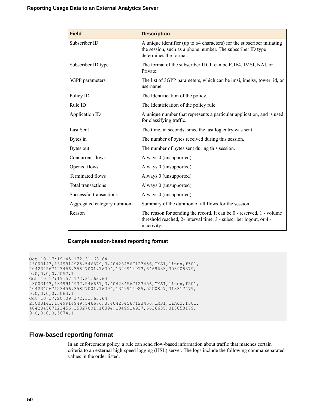| <b>Field</b>                 | <b>Description</b>                                                                                                                                               |
|------------------------------|------------------------------------------------------------------------------------------------------------------------------------------------------------------|
| Subscriber ID                | A unique identifier (up to 64 characters) for the subscriber initiating<br>the session, such as a phone number. The subscriber ID type<br>determines the format. |
| Subscriber ID type           | The format of the subscriber ID. It can be E.164, IMSI, NAI, or<br>Private.                                                                                      |
| 3GPP parameters              | The list of 3GPP parameters, which can be imsi, imeisy, tower id, or<br>username.                                                                                |
| Policy ID                    | The Identification of the policy.                                                                                                                                |
| Rule ID                      | The Identification of the policy rule.                                                                                                                           |
| Application ID               | A unique number that represents a particular application, and is used<br>for classifying traffic.                                                                |
| <b>Last Sent</b>             | The time, in seconds, since the last log entry was sent.                                                                                                         |
| Bytes in                     | The number of bytes received during this session.                                                                                                                |
| Bytes out                    | The number of bytes sent during this session.                                                                                                                    |
| Concurrent flows             | Always 0 (unsupported).                                                                                                                                          |
| Opened flows                 | Always 0 (unsupported).                                                                                                                                          |
| <b>Terminated flows</b>      | Always 0 (unsupported).                                                                                                                                          |
| Total transactions           | Always 0 (unsupported).                                                                                                                                          |
| Successful transactions      | Always 0 (unsupported).                                                                                                                                          |
| Aggregated category duration | Summary of the duration of all flows for the session.                                                                                                            |
| Reason                       | The reason for sending the record. It can be 0 - reserved, 1 - volume<br>threshold reached, 2- interval time, 3 - subscriber logout, or 4 -<br>inactivity.       |

#### **Example session-based reporting format**

```
Oct 10 17:19:45 172.31.63.64
23003143,1349914925,546879,3,404234567123456,IMSI,linux,f501,
404234567123456,35827001,16394,1349914913,5469633,308908379,
0,0,0,0,0,5052,1
Oct 10 17:19:57 172.31.63.64
23003143,1349914937,546661,3,404234567123456,IMSI,linux,f501,
404234567123456,35827001,16394,1349914925,5550857,313317479,
0,0,0,0,0,5063,1
Oct 10 17:20:09 172.31.63.64
23003143,1349914949,546676,3,404234567123456,IMSI,linux,f501,
404234567123456,35827001,16394,1349914937,5636605,318053179,
0,0,0,0,0,5074,1
```
#### **Flow-based reporting format**

In an enforcement policy, a rule can send flow-based information about traffic that matches certain criteria to an external high-speed logging (HSL) server. The logs include the following comma-separated values in the order listed.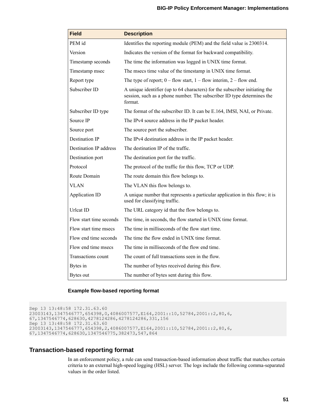| <b>Field</b>                  | <b>Description</b>                                                                                                                                               |
|-------------------------------|------------------------------------------------------------------------------------------------------------------------------------------------------------------|
| PEM id                        | Identifies the reporting module (PEM) and the field value is 2300314.                                                                                            |
| Version                       | Indicates the version of the format for backward compatibility.                                                                                                  |
| Timestamp seconds             | The time the information was logged in UNIX time format.                                                                                                         |
| Timestamp msec                | The msecs time value of the timestamp in UNIX time format.                                                                                                       |
| Report type                   | The type of report; $0 -$ flow start, $1 -$ flow interim, $2 -$ flow end.                                                                                        |
| Subscriber ID                 | A unique identifier (up to 64 characters) for the subscriber initiating the<br>session, such as a phone number. The subscriber ID type determines the<br>format. |
| Subscriber ID type            | The format of the subscriber ID. It can be E.164, IMSI, NAI, or Private.                                                                                         |
| Source IP                     | The IPv4 source address in the IP packet header.                                                                                                                 |
| Source port                   | The source port the subscriber.                                                                                                                                  |
| <b>Destination IP</b>         | The IPv4 destination address in the IP packet header.                                                                                                            |
| <b>Destination IP address</b> | The destination IP of the traffic.                                                                                                                               |
| Destination port              | The destination port for the traffic.                                                                                                                            |
| Protocol                      | The protocol of the traffic for this flow, TCP or UDP.                                                                                                           |
| Route Domain                  | The route domain this flow belongs to.                                                                                                                           |
| VLAN                          | The VLAN this flow belongs to.                                                                                                                                   |
| Application ID                | A unique number that represents a particular application in this flow; it is<br>used for classifying traffic.                                                    |
| Urleat ID                     | The URL category id that the flow belongs to.                                                                                                                    |
| Flow start time seconds       | The time, in seconds, the flow started in UNIX time format.                                                                                                      |
| Flow start time msecs         | The time in milliseconds of the flow start time.                                                                                                                 |
| Flow end time seconds         | The time the flow ended in UNIX time format.                                                                                                                     |
| Flow end time msecs           | The time in milliseconds of the flow end time.                                                                                                                   |
| Transactions count            | The count of full transactions seen in the flow.                                                                                                                 |
| Bytes in                      | The number of bytes received during this flow.                                                                                                                   |
| Bytes out                     | The number of bytes sent during this flow.                                                                                                                       |

#### **Example flow-based reporting format**

```
Sep 13 13:48:58 172.31.63.60
23003143,1347546777,654398,0,4086007577,E164,2001::10,52784,2001::2,80,6,
67,1347546774,628630,4278124286,4278124286,331,156
Sep 13 13:48:58 172.31.63.60
23003143,1347546777,654398,2,4086007577,E164,2001::10,52784,2001::2,80,6,
67,1347546774,628630,1347546775,382473,547,864
```
## **Transaction-based reporting format**

In an enforcement policy, a rule can send transaction-based information about traffic that matches certain criteria to an external high-speed logging (HSL) server. The logs include the following comma-separated values in the order listed.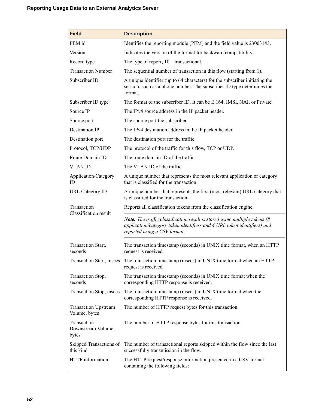| <b>Field</b>                                 | <b>Description</b>                                                                                                                                                                              |
|----------------------------------------------|-------------------------------------------------------------------------------------------------------------------------------------------------------------------------------------------------|
| PEM id                                       | Identifies the reporting module (PEM) and the field value is 23003143.                                                                                                                          |
| Version                                      | Indicates the version of the format for backward compatibility.                                                                                                                                 |
| Record type                                  | The type of report; $10 -$ transactional.                                                                                                                                                       |
| <b>Transaction Number</b>                    | The sequential number of transaction in this flow (starting from 1).                                                                                                                            |
| Subscriber ID                                | A unique identifier (up to 64 characters) for the subscriber initiating the<br>session, such as a phone number. The subscriber ID type determines the<br>format.                                |
| Subscriber ID type                           | The format of the subscriber ID. It can be E.164, IMSI, NAI, or Private.                                                                                                                        |
| Source IP                                    | The IPv4 source address in the IP packet header.                                                                                                                                                |
| Source port                                  | The source port the subscriber.                                                                                                                                                                 |
| <b>Destination IP</b>                        | The IPv4 destination address in the IP packet header.                                                                                                                                           |
| Destination port                             | The destination port for the traffic.                                                                                                                                                           |
| Protocol, TCP/UDP                            | The protocol of the traffic for this flow, TCP or UDP.                                                                                                                                          |
| Route Domain ID                              | The route domain ID of the traffic.                                                                                                                                                             |
| <b>VLAN ID</b>                               | The VLAN ID of the traffic.                                                                                                                                                                     |
| Application/Category<br>ID                   | A unique number that represents the most relevant application or category<br>that is classified for the transaction.                                                                            |
| <b>URL Category ID</b>                       | A unique number that represents the first (most relevant) URL category that<br>is classified for the transaction.                                                                               |
| Transaction<br><b>Classification result</b>  | Reports all classification tokens from the classification engine.                                                                                                                               |
|                                              | <b>Note:</b> The traffic classification result is stored using multiple tokens $(8)$<br>application/category token identifiers and 4 URL token identifiers) and<br>reported using a CSV format. |
| Transaction Start,<br>seconds                | The transaction timestamp (seconds) in UNIX time format, when an HTTP<br>request is received.                                                                                                   |
| <b>Transaction Start, msecs</b>              | The transaction timestamp (msecs) in UNIX time format when an HTTP<br>request is received.                                                                                                      |
| Transaction Stop,<br>seconds                 | The transaction timestamp (seconds) in UNIX time format when the<br>corresponding HTTP response is received.                                                                                    |
| Transaction Stop, msecs                      | The transaction timestamp (msecs) in UNIX time format when the<br>corresponding HTTP response is received.                                                                                      |
| <b>Transaction Upstream</b><br>Volume, bytes | The number of HTTP request bytes for this transaction.                                                                                                                                          |
| Transaction<br>Downstream Volume,<br>bytes   | The number of HTTP response bytes for this transaction.                                                                                                                                         |
| Skipped Transactions of<br>this kind         | The number of transactional reports skipped within the flow since the last<br>successfully transmission in the flow.                                                                            |
| HTTP information:                            | The HTTP request/response information presented in a CSV format<br>containing the following fields:                                                                                             |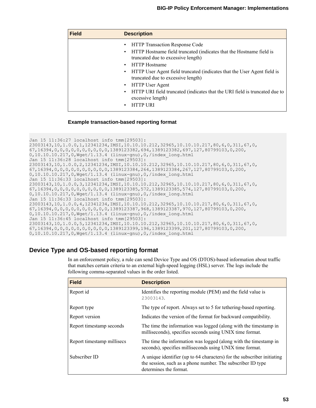| <b>Field</b> | <b>Description</b>                                                                                                                                                                                                                                                                                                                                                                                                                                             |
|--------------|----------------------------------------------------------------------------------------------------------------------------------------------------------------------------------------------------------------------------------------------------------------------------------------------------------------------------------------------------------------------------------------------------------------------------------------------------------------|
|              | <b>HTTP Transaction Response Code</b><br>HTTP Hostname field truncated (indicates that the Hostname field is<br>truncated due to excessive length)<br><b>HTTP</b> Hostname<br>HTTP User Agent field truncated (indicates that the User Agent field is<br>$\bullet$<br>truncated due to excessive length)<br>HTTP User Agent<br>$\bullet$<br>HTTP URI field truncated (indicates that the URI field is truncated due to<br>excessive length)<br><b>HTTP URI</b> |

**Example transaction-based reporting format**

```
Jan 15 11:36:27 localhost info tmm[29503]:
23003143,10,1.0.0,1,12341234,IMSI,10.10.10.212,32965,10.10.10.217,80,6,0,311,67,0,
67,16394,0,0,0,0,0,0,0,0,0,0,1389123382,694,1389123382,697,127,80799103,0,200,
0,10.10.10.217,0,Wget/1.13.4 (linux-gnu),0,/index_long.html
Jan 15 11:36:28 localhost info tmm[29503]:
23003143,10,1.0.0,2,12341234,IMSI,10.10.10.212,32965,10.10.10.217,80,6,0,311,67,0,
67,16394,0,0,0,0,0,0,0,0,0,0,1389123384,264,1389123384,267,127,80799103,0,200,
0,10.10.10.217,0,Wget/1.13.4 (linux-gnu),0,/index_long.html
Jan 15 11:36:33 localhost info tmm[29503]:
23003143,10,1.0.0,3,12341234,IMSI,10.10.10.212,32965,10.10.10.217,80,6,0,311,67,0,
67,16394,0,0,0,0,0,0,0,0,0,0,1389123385,572,1389123385,574,127,80799103,0,200,
0,10.10.10.217,0,Wget/1.13.4 (linux-gnu),0,/index_long.html
Jan 15 11:36:33 localhost info tmm[29503]:
23003143,10,1.0.0,4,12341234,IMSI,10.10.10.212,32965,10.10.10.217,80,6,0,311,67,0,
67,16394,0,0,0,0,0,0,0,0,0,0,1389123387,968,1389123387,970,127,80799103,0,200,
0,10.10.10.217,0,Wget/1.13.4 (linux-gnu),0,/index_long.html
Jan 15 11:36:45 localhost info tmm[29503]:
23003143,10,1.0.0,5,12341234,IMSI,10.10.10.212,32965,10.10.10.217,80,6,0,311,67,0,
67,16394,0,0,0,0,0,0,0,0,0,0,1389123399,196,1389123399,201,127,80799103,0,200,
0,10.10.10.217,0,Wget/1.13.4 (linux-gnu),0,/index_long.html
```
## **Device Type and OS-based reporting format**

In an enforcement policy, a rule can send Device Type and OS (DTOS)-based information about traffic that matches certain criteria to an external high-speed logging (HSL) server. The logs include the following comma-separated values in the order listed.

| <b>Field</b>               | <b>Description</b>                                                                                                                                               |
|----------------------------|------------------------------------------------------------------------------------------------------------------------------------------------------------------|
| Report id                  | Identifies the reporting module (PEM) and the field value is<br>23003143.                                                                                        |
| Report type                | The type of report. Always set to 5 for tethering-based reporting.                                                                                               |
| Report version             | Indicates the version of the format for backward compatibility.                                                                                                  |
| Report timestamp seconds   | The time the information was logged (along with the timestamp in<br>milliseconds), specifies seconds using UNIX time format.                                     |
| Report timestamp millisecs | The time the information was logged (along with the timestamp in<br>seconds), specifies milliseconds using UNIX time format.                                     |
| Subscriber ID              | A unique identifier (up to 64 characters) for the subscriber initiating<br>the session, such as a phone number. The subscriber ID type<br>determines the format. |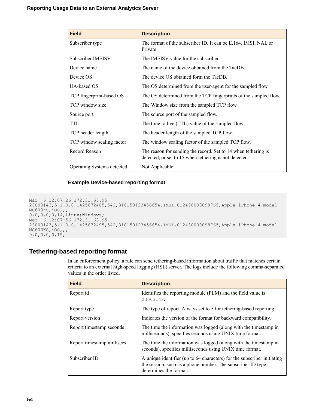| <b>Field</b>               | <b>Description</b>                                                                                                       |
|----------------------------|--------------------------------------------------------------------------------------------------------------------------|
| Subscriber type            | The format of the subscriber ID. It can be E.164, IMSI, NAI, or<br>Private.                                              |
| Subscriber IMEISV          | The IMEISV value for the subscriber.                                                                                     |
| Device name                | The name of the device obtained from the TacDB.                                                                          |
| Device OS                  | The device OS obtained form the TacDB.                                                                                   |
| UA-based OS                | The OS determined from the user-agent for the sampled flow.                                                              |
| TCP fingerprint-based OS   | The OS determined from the TCP fingerprints of the sampled flow.                                                         |
| TCP window size            | The Window size from the sampled TCP flow.                                                                               |
| Source port                | The source port of the sampled flow.                                                                                     |
| TTL                        | The time to live (TTL) value of the sampled flow.                                                                        |
| TCP header length          | The header length of the sampled TCP flow.                                                                               |
| TCP window scaling factor  | The window scaling factor of the sampled TCP flow.                                                                       |
| Record Reason              | The reason for sending the record. Set to 14 when tethering is<br>detected, or set to 15 when tethering is not detected. |
| Operating Systems detected | Not Applicable                                                                                                           |

#### **Example Device-based reporting format**

```
Mar 6 12:07:26 172.31.63.95
23003143,5,1.0.0,1425672465,542,310150123456654,IMSI,012430000098765,Apple-iPhone 4 model 
MC603KS,iOS,,,
0,0,0,0,0,14,Linux;Windows;
Mar 6 12:07:56 172.31.63.95
23003143,5,1.0.0,1425672495,542,310150123456654,IMSI,012430000098765,Apple-iPhone 4 model 
MC603KS,iOS,,,
0,0,0,0,0,15,
```
## **Tethering-based reporting format**

In an enforcement policy, a rule can send tethering-based information about traffic that matches certain criteria to an external high-speed logging (HSL) server. The logs include the following comma-separated values in the order listed.

| <b>Field</b>               | <b>Description</b>                                                                                                                                               |
|----------------------------|------------------------------------------------------------------------------------------------------------------------------------------------------------------|
| Report id                  | Identifies the reporting module (PEM) and the field value is<br>23003143.                                                                                        |
| Report type                | The type of report. Always set to 5 for tethering-based reporting.                                                                                               |
| Report version             | Indicates the version of the format for backward compatibility.                                                                                                  |
| Report timestamp seconds   | The time the information was logged (along with the timestamp in<br>milliseconds), specifies seconds using UNIX time format.                                     |
| Report timestamp millisecs | The time the information was logged (along with the timestamp in<br>seconds), specifies milliseconds using UNIX time format.                                     |
| Subscriber ID              | A unique identifier (up to 64 characters) for the subscriber initiating<br>the session, such as a phone number. The subscriber ID type<br>determines the format. |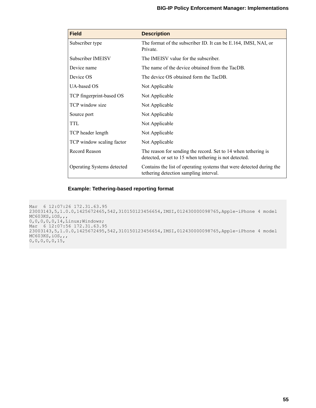| <b>Field</b>               | <b>Description</b>                                                                                                       |
|----------------------------|--------------------------------------------------------------------------------------------------------------------------|
| Subscriber type            | The format of the subscriber ID. It can be E.164, IMSI, NAI, or<br>Private.                                              |
| Subscriber IMEISV          | The IMEISV value for the subscriber.                                                                                     |
| Device name                | The name of the device obtained from the TacDB.                                                                          |
| Device OS                  | The device OS obtained form the TacDB.                                                                                   |
| UA-based OS                | Not Applicable                                                                                                           |
| TCP fingerprint-based OS   | Not Applicable                                                                                                           |
| TCP window size            | Not Applicable                                                                                                           |
| Source port                | Not Applicable                                                                                                           |
| TTL                        | Not Applicable                                                                                                           |
| TCP header length          | Not Applicable                                                                                                           |
| TCP window scaling factor  | Not Applicable                                                                                                           |
| Record Reason              | The reason for sending the record. Set to 14 when tethering is<br>detected, or set to 15 when tethering is not detected. |
| Operating Systems detected | Contains the list of operating systems that were detected during the<br>tethering detection sampling interval.           |

## **Example: Tethering-based reporting format**

```
Mar 6 12:07:26 172.31.63.95
23003143,5,1.0.0,1425672465,542,310150123456654,IMSI,012430000098765,Apple-iPhone 4 model 
MC603KS,iOS,,,
0,0,0,0,0,14,Linux;Windows;
Mar 6 12:07:56 172.31.63.95
23003143,5,1.0.0,1425672495,542,310150123456654,IMSI,012430000098765,Apple-iPhone 4 model 
MC603KS,iOS,,,
0,0,0,0,0,15,
```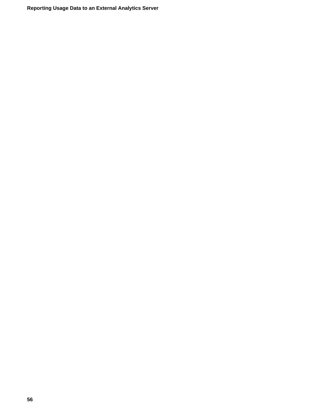**Reporting Usage Data to an External Analytics Server**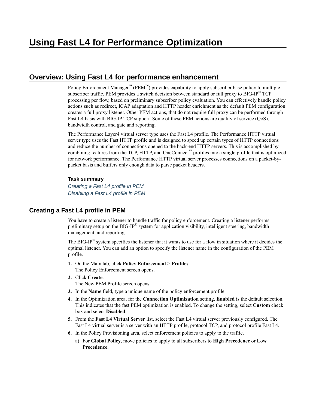# **Overview: Using Fast L4 for performance enhancement**

Policy Enforcement Manager<sup>™</sup> (PEM<sup>™</sup>) provides capability to apply subscriber base policy to multiple subscriber traffic. PEM provides a switch decision between standard or full proxy to BIG-IP<sup>®</sup> TCP processing per flow, based on preliminary subscriber policy evaluation. You can effectively handle policy actions such as redirect, ICAP adaptation and HTTP header enrichment as the default PEM configuration creates a full proxy listener. Other PEM actions, that do not require full proxy can be performed through Fast L4 basis with BIG-IP TCP support. Some of these PEM actions are quality of service (QoS), bandwidth control, and gate and reporting.

The Performance Layer4 virtual server type uses the Fast L4 profile. The Performance HTTP virtual server type uses the Fast HTTP profile and is designed to speed up certain types of HTTP connections and reduce the number of connections opened to the back-end HTTP servers. This is accomplished by combining features from the TCP, HTTP, and OneConnect<sup>™</sup> profiles into a single profile that is optimized for network performance. The Performance HTTP virtual server processes connections on a packet-bypacket basis and buffers only enough data to parse packet headers.

### **Task summary**

Creating a Fast L4 profile in PEM [Disabling a Fast L4 profile in PEM](#page-57-0)

## **Creating a Fast L4 profile in PEM**

You have to create a listener to handle traffic for policy enforcement. Creating a listener performs preliminary setup on the BIG-IP<sup>®</sup> system for application visibility, intelligent steering, bandwidth management, and reporting.

The BIG-IP<sup>®</sup> system specifies the listener that it wants to use for a flow in situation where it decides the optimal listener. You can add an option to specify the listener name in the configuration of the PEM profile.

- **1.** On the Main tab, click **Policy Enforcement** > **Profiles**. The Policy Enforcement screen opens.
- **2.** Click **Create**. The New PEM Profile screen opens.
- **3.** In the **Name** field, type a unique name of the policy enforcement profile.
- **4.** In the Optimization area, for the **Connection Optimization** setting, **Enabled** is the default selection. This indicates that the fast PEM optimization is enabled. To change the setting, select **Custom** check box and select **Disabled**.
- **5.** From the **Fast L4 Virtual Server** list, select the Fast L4 virtual server previously configured. The Fast L4 virtual server is a server with an HTTP profile, protocol TCP, and protocol profile Fast L4.
- **6.** In the Policy Provisioning area, select enforcement policies to apply to the traffic.
	- a) For **Global Policy**, move policies to apply to all subscribers to **High Precedence** or **Low Precedence**.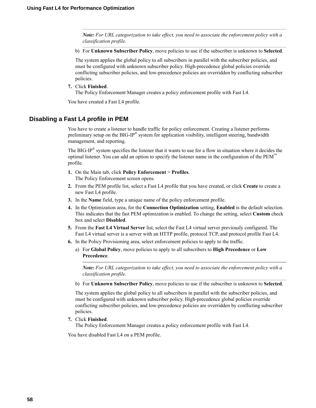<span id="page-57-0"></span>*Note: For URL categorization to take effect, you need to associate the enforcement policy with a classification profile.*

b) For **Unknown Subscriber Policy**, move policies to use if the subscriber is unknown to **Selected**.

The system applies the global policy to all subscribers in parallel with the subscriber policies, and must be configured with unknown subscriber policy. High-precedence global policies override conflicting subscriber policies, and low-precedence policies are overridden by conflicting subscriber policies.

**7.** Click **Finished**.

The Policy Enforcement Manager creates a policy enforcement profile with Fast L4.

You have created a Fast L4 profile.

## **Disabling a Fast L4 profile in PEM**

You have to create a listener to handle traffic for policy enforcement. Creating a listener performs preliminary setup on the BIG-IP<sup>®</sup> system for application visibility, intelligent steering, bandwidth management, and reporting.

The BIG-IP<sup>®</sup> system specifies the listener that it wants to use for a flow in situation where it decides the optimal listener. You can add an option to specify the listener name in the configuration of the  $PEM<sup>TM</sup>$ profile.

- **1.** On the Main tab, click **Policy Enforcement** > **Profiles**. The Policy Enforcement screen opens.
- **2.** From the PEM profile list, select a Fast L4 profile that you have created, or click **Create** to create a new Fast L4 profile.
- **3.** In the **Name** field, type a unique name of the policy enforcement profile.
- **4.** In the Optimization area, for the **Connection Optimization** setting, **Enabled** is the default selection. This indicates that the fast PEM optimization is enabled. To change the setting, select **Custom** check box and select **Disabled**.
- **5.** From the **Fast L4 Virtual Server** list, select the Fast L4 virtual server previously configured. The Fast L4 virtual server is a server with an HTTP profile, protocol TCP, and protocol profile Fast L4.
- **6.** In the Policy Provisioning area, select enforcement policies to apply to the traffic.
	- a) For **Global Policy**, move policies to apply to all subscribers to **High Precedence** or **Low Precedence**.

*Note: For URL categorization to take effect, you need to associate the enforcement policy with a classification profile.*

b) For **Unknown Subscriber Policy**, move policies to use if the subscriber is unknown to **Selected**.

The system applies the global policy to all subscribers in parallel with the subscriber policies, and must be configured with unknown subscriber policy. High-precedence global policies override conflicting subscriber policies, and low-precedence policies are overridden by conflicting subscriber policies.

**7.** Click **Finished**.

The Policy Enforcement Manager creates a policy enforcement profile with Fast L4.

You have disabled Fast L4 on a PEM profile.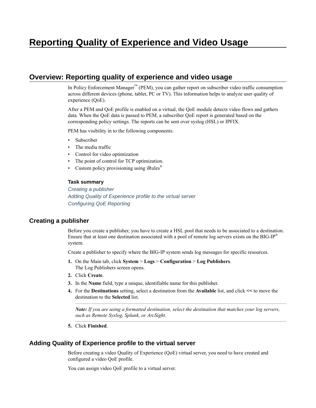# **Reporting Quality of Experience and Video Usage**

## **Overview: Reporting quality of experience and video usage**

In Policy Enforcement Manager™ (PEM), you can gather report on subscriber video traffic consumption across different devices (phone, tablet, PC or TV). This information helps to analyze user quality of experience (QoE).

After a PEM and QoE profile is enabled on a virtual, the QoE module detects video flows and gathers data. When the QoE data is passed to PEM, a subscriber QoE report is generated based on the corresponding policy settings. The reports can be sent over syslog (HSL) or IPFIX.

PEM has visibility in to the following components:

- Subscriber
- The media traffic
- Control for video optimization
- The point of control for TCP optimization.
- Custom policy provisioning using iRules<sup>®</sup>

#### **Task summary**

[Creating a publisher](#page-44-0) Adding Quality of Experience profile to the virtual server [Configuring QoE Reporting](#page-59-0)

## **Creating a publisher**

Before you create a publisher, you have to create a HSL pool that needs to be associated to a destination. Ensure that at least one destination associated with a pool of remote log servers exists on the BIG-IP<sup>®</sup> system.

Create a publisher to specify where the BIG-IP system sends log messages for specific resources.

- **1.** On the Main tab, click **System** > **Logs** > **Configuration** > **Log Publishers**. The Log Publishers screen opens.
- **2.** Click **Create**.
- **3.** In the **Name** field, type a unique, identifiable name for this publisher.
- **4.** For the **Destinations** setting, select a destination from the **Available** list, and click **<<** to move the destination to the **Selected** list.

*Note: If you are using a formatted destination, select the destination that matches your log servers, such as Remote Syslog, Splunk, or ArcSight.*

**5.** Click **Finished**.

## **Adding Quality of Experience profile to the virtual server**

Before creating a video Quality of Experience (QoE) virtual server, you need to have created and configured a video QoE profile.

You can assign video QoE profile to a virtual server.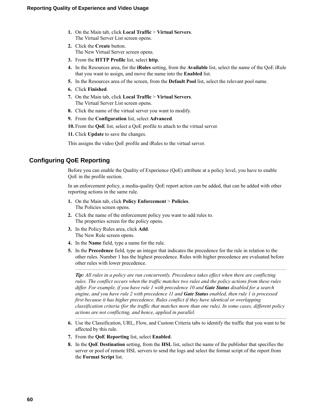- <span id="page-59-0"></span>**1.** On the Main tab, click **Local Traffic** > **Virtual Servers**. The Virtual Server List screen opens.
- **2.** Click the **Create** button. The New Virtual Server screen opens.
- **3.** From the **HTTP Profile** list, select **http**.
- **4.** In the Resources area, for the **iRules** setting, from the **Available** list, select the name of the QoE iRule that you want to assign, and move the name into the **Enabled** list.
- **5.** In the Resources area of the screen, from the **Default Pool** list, select the relevant pool name.
- **6.** Click **Finished**.
- **7.** On the Main tab, click **Local Traffic** > **Virtual Servers**. The Virtual Server List screen opens.
- **8.** Click the name of the virtual server you want to modify.
- **9.** From the **Configuration** list, select **Advanced**.
- **10.**From the **QoE** list, select a QoE profile to attach to the virtual server.
- **11.** Click **Update** to save the changes.

This assigns the video QoE profile and iRules to the virtual server.

## **Configuring QoE Reporting**

Before you can enable the Quality of Experience (QoE) attribute at a policy level, you have to enable QoE in the profile section.

In an enforcement policy, a media-quality QoE report action can be added, that can be added with other reporting actions in the same rule.

- **1.** On the Main tab, click **Policy Enforcement** > **Policies**. The Policies screen opens.
- **2.** Click the name of the enforcement policy you want to add rules to. The properties screen for the policy opens.
- **3.** In the Policy Rules area, click **Add**. The New Rule screen opens.
- **4.** In the **Name** field, type a name for the rule.
- **5.** In the **Precedence** field, type an integer that indicates the precedence for the rule in relation to the other rules. Number 1 has the highest precedence. Rules with higher precedence are evaluated before other rules with lower precedence.

*Tip: All rules in a policy are run concurrently. Precedence takes effect when there are conflicting rules. The conflict occurs when the traffic matches two rules and the policy actions from these rules differ. For example, if you have rule 1 with precedence 10 and Gate Status disabled for a search engine, and you have rule 2 with precedence 11 and Gate Status enabled, then rule 1 is processed first because it has higher precedence. Rules conflict if they have identical or overlapping classification criteria (for the traffic that matches more than one rule). In some cases, different policy actions are not conflicting, and hence, applied in parallel.*

- **6.** Use the Classification, URL, Flow, and Custom Criteria tabs to identify the traffic that you want to be affected by this rule.
- **7.** From the **QoE Reporting** list, select **Enabled**.
- **8.** In the **QoE Destination** setting, from the **HSL** list, select the name of the publisher that specifies the server or pool of remote HSL servers to send the logs and select the format script of the report from the **Format Script** list.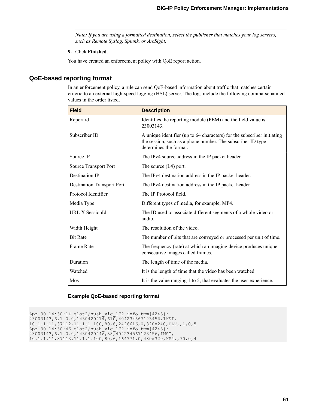*Note: If you are using a formatted destination, select the publisher that matches your log servers, such as Remote Syslog, Splunk, or ArcSight.*

#### **9.** Click **Finished**.

You have created an enforcement policy with QoE report action.

## **QoE-based reporting format**

In an enforcement policy, a rule can send QoE-based information about traffic that matches certain criteria to an external high-speed logging (HSL) server. The logs include the following comma-separated values in the order listed.

| <b>Field</b>                      | <b>Description</b>                                                                                                                                               |
|-----------------------------------|------------------------------------------------------------------------------------------------------------------------------------------------------------------|
| Report id                         | Identifies the reporting module (PEM) and the field value is<br>23003143.                                                                                        |
| Subscriber ID                     | A unique identifier (up to 64 characters) for the subscriber initiating<br>the session, such as a phone number. The subscriber ID type<br>determines the format. |
| Source IP                         | The IPv4 source address in the IP packet header.                                                                                                                 |
| Source Transport Port             | The source $(L4)$ port.                                                                                                                                          |
| <b>Destination IP</b>             | The IPv4 destination address in the IP packet header.                                                                                                            |
| <b>Destination Transport Port</b> | The IPv4 destination address in the IP packet header.                                                                                                            |
| Protocol Identifier               | The IP Protocol field.                                                                                                                                           |
| Media Type                        | Different types of media, for example, MP4.                                                                                                                      |
| <b>URL X SessionId</b>            | The ID used to associate different segments of a whole video or<br>audio.                                                                                        |
| Width Height                      | The resolution of the video.                                                                                                                                     |
| <b>Bit Rate</b>                   | The number of bits that are conveyed or processed per unit of time.                                                                                              |
| <b>Frame Rate</b>                 | The frequency (rate) at which an imaging device produces unique<br>consecutive images called frames.                                                             |
| Duration                          | The length of time of the media.                                                                                                                                 |
| Watched                           | It is the length of time that the video has been watched.                                                                                                        |
| Mos                               | It is the value ranging 1 to 5, that evaluates the user-experience.                                                                                              |

#### **Example QoE-based reporting format**

```
Apr 30 14:30:14 slot2/sush vic 172 info tmm[4243]:
23003143,6,1.0.0,1430429414,610,404234567123456,IMSI,
10.1.1.11,37112,11.1.1.100,80,6,2426616,0,320x240,FLV,,1,0,5
Apr 30 14:30:46 slot2/sush_vic_172 info tmm[4243]: 
23003143,6,1.0.0,1430429446,88,404234567123456,IMSI,
10.1.1.11,37113,11.1.1.100,80,6,164771,0,480x320,MP4,,70,0,4
```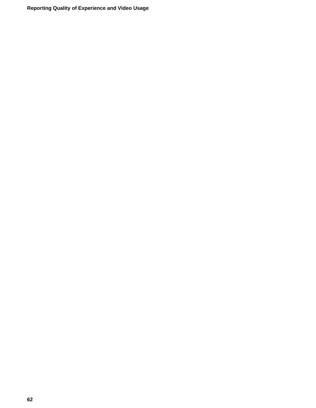**Reporting Quality of Experience and Video Usage**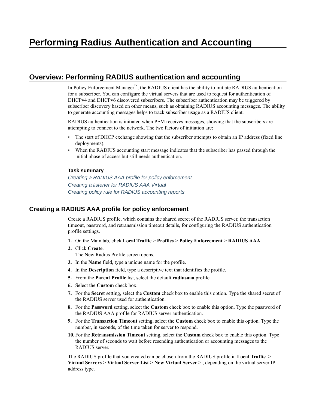# **Overview: Performing RADIUS authentication and accounting**

In Policy Enforcement Manager™ , the RADIUS client has the ability to initiate RADIUS authentication for a subscriber. You can configure the virtual servers that are used to request for authentication of DHCPv4 and DHCPv6 discovered subscribers. The subscriber authentication may be triggered by subscriber discovery based on other means, such as obtaining RADIUS accounting messages. The ability to generate accounting messages helps to track subscriber usage as a RADIUS client.

RADIUS authentication is initiated when PEM receives messages, showing that the subscribers are attempting to connect to the network. The two factors of initiation are:

- The start of DHCP exchange showing that the subscriber attempts to obtain an IP address (fixed line deployments).
- When the RADIUS accounting start message indicates that the subscriber has passed through the initial phase of access but still needs authentication.

#### **Task summary**

Creating a RADIUS AAA profile for policy enforcement [Creating a listener for RADIUS AAA Virtual](#page-63-0) [Creating policy rule for RADIUS accounting reports](#page-63-0)

## **Creating a RADIUS AAA profile for policy enforcement**

Create a RADIUS profile, which contains the shared secret of the RADIUS server, the transaction timeout, password, and retransmission timeout details, for configuring the RADIUS authentication profile settings.

- **1.** On the Main tab, click **Local Traffic** > **Profiles** > **Policy Enforcement** > **RADIUS AAA**.
- **2.** Click **Create**.

The New Radius Profile screen opens.

- **3.** In the **Name** field, type a unique name for the profile.
- **4.** In the **Description** field, type a descriptive text that identifies the profile.
- **5.** From the **Parent Profile** list, select the default **radiusaaa** profile.
- **6.** Select the **Custom** check box.
- **7.** For the **Secret** setting, select the **Custom** check box to enable this option. Type the shared secret of the RADIUS server used for authentication.
- **8.** For the **Password** setting, select the **Custom** check box to enable this option. Type the password of the RADIUS AAA profile for RADIUS server authentication.
- **9.** For the **Transaction Timeout** setting, select the **Custom** check box to enable this option. Type the number, in seconds, of the time taken for server to respond.
- **10.**For the **Retransmission Timeout** setting, select the **Custom** check box to enable this option. Type the number of seconds to wait before resending authentication or accounting messages to the RADIUS server.

The RADIUS profile that you created can be chosen from the RADIUS profile in **Local Traffic** > **Virtual Servers** > **Virtual Server List** > **New Virtual Server** > , depending on the virtual server IP address type.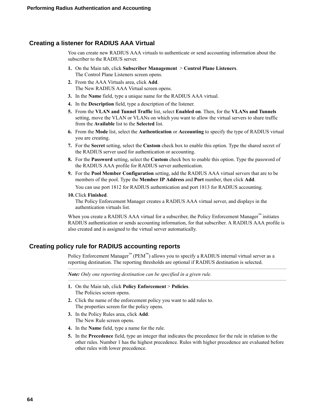## <span id="page-63-0"></span>**Creating a listener for RADIUS AAA Virtual**

You can create new RADIUS AAA virtuals to authenticate or send accounting information about the subscriber to the RADIUS server.

- **1.** On the Main tab, click **Subscriber Management** > **Control Plane Listeners**. The Control Plane Listeners screen opens.
- **2.** From the AAA Virtuals area, click **Add**. The New RADIUS AAA Virtual screen opens.
- **3.** In the **Name** field, type a unique name for the RADIUS AAA virtual.
- **4.** In the **Description** field, type a description of the listener.
- **5.** From the **VLAN and Tunnel Traffic** list, select **Enabled on**. Then, for the **VLANs and Tunnels** setting, move the VLAN or VLANs on which you want to allow the virtual servers to share traffic from the **Available** list to the **Selected** list.
- **6.** From the **Mode** list, select the **Authentication** or **Accounting** to specify the type of RADIUS virtual you are creating.
- **7.** For the **Secret** setting, select the **Custom** check box to enable this option. Type the shared secret of the RADIUS server used for authentication or accounting.
- **8.** For the **Password** setting, select the **Custom** check box to enable this option. Type the password of the RADIUS AAA profile for RADIUS server authentication.
- **9.** For the **Pool Member Configuration** setting, add the RADIUS AAA virtual servers that are to be members of the pool. Type the **Member IP Address** and **Port** number, then click **Add**.

You can use port 1812 for RADIUS authentication and port 1813 for RADIUS accounting.

**10.** Click **Finished**.

The Policy Enforcement Manager creates a RADIUS AAA virtual server, and displays in the authentication virtuals list.

When you create a RADIUS AAA virtual for a subscriber, the Policy Enforcement Manager™ initiates RADIUS authentication or sends accounting information, for that subscriber. A RADIUS AAA profile is also created and is assigned to the virtual server automatically.

## **Creating policy rule for RADIUS accounting reports**

Policy Enforcement Manager<sup>™</sup> (PEM<sup>™</sup>) allows you to specify a RADIUS internal virtual server as a reporting destination. The reporting thresholds are optional if RADIUS destination is selected.

*Note: Only one reporting destination can be specified in a given rule.*

- **1.** On the Main tab, click **Policy Enforcement** > **Policies**. The Policies screen opens.
- **2.** Click the name of the enforcement policy you want to add rules to. The properties screen for the policy opens.
- **3.** In the Policy Rules area, click **Add**. The New Rule screen opens.
- **4.** In the **Name** field, type a name for the rule.
- **5.** In the **Precedence** field, type an integer that indicates the precedence for the rule in relation to the other rules. Number 1 has the highest precedence. Rules with higher precedence are evaluated before other rules with lower precedence.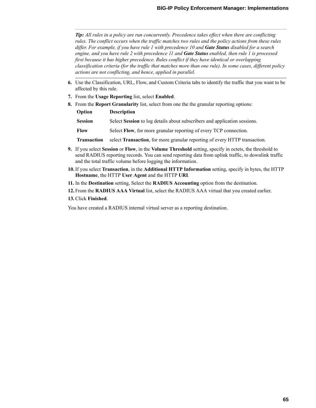*Tip: All rules in a policy are run concurrently. Precedence takes effect when there are conflicting rules. The conflict occurs when the traffic matches two rules and the policy actions from these rules differ. For example, if you have rule 1 with precedence 10 and Gate Status disabled for a search engine, and you have rule 2 with precedence 11 and Gate Status enabled, then rule 1 is processed first because it has higher precedence. Rules conflict if they have identical or overlapping classification criteria (for the traffic that matches more than one rule). In some cases, different policy actions are not conflicting, and hence, applied in parallel.*

- **6.** Use the Classification, URL, Flow, and Custom Criteria tabs to identify the traffic that you want to be affected by this rule.
- **7.** From the **Usage Reporting** list, select **Enabled**.
- **8.** From the **Report Granularity** list, select from one the the granular reporting options:

| Option             | <b>Description</b>                                                         |
|--------------------|----------------------------------------------------------------------------|
| <b>Session</b>     | Select Session to log details about subscribers and application sessions.  |
| Flow               | Select Flow, for more granular reporting of every TCP connection.          |
| <b>Transaction</b> | select Transaction, for more granular reporting of every HTTP transaction. |

- **9.** If you select **Session** or **Flow**, in the **Volume Threshold** setting, specify in octets, the threshold to send RADIUS reporting records. You can send reporting data from uplink traffic, to downlink traffic and the total traffic volume before logging the information.
- **10.** If you select **Transaction**, in the **Additional HTTP Information** setting, specify in bytes, the HTTP **Hostname**, the HTTP **User Agent** and the HTTP **URI**.
- **11.** In the **Destination** setting, Select the **RADIUS Accounting** option from the destination.
- **12.**From the **RADIUS AAA Virtual** list, select the RADIUS AAA virtual that you created earlier.
- **13.** Click **Finished**.

You have created a RADIUS internal virtual server as a reporting destination.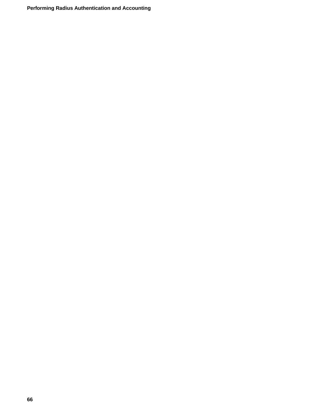**Performing Radius Authentication and Accounting**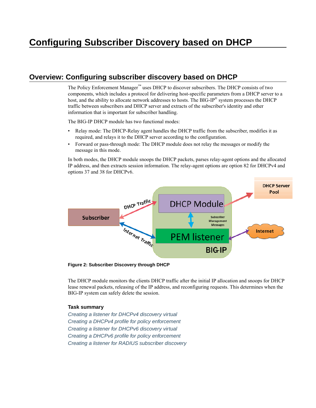# **Overview: Configuring subscriber discovery based on DHCP**

The Policy Enforcement Manager™ uses DHCP to discover subscribers. The DHCP consists of two components, which includes a protocol for delivering host-specific parameters from a DHCP server to a host, and the ability to allocate network addresses to hosts. The BIG-IP<sup>®</sup> system processes the DHCP traffic between subscribers and DHCP server and extracts of the subscriber's identity and other information that is important for subscriber handling.

The BIG-IP DHCP module has two functional modes:

- Relay mode: The DHCP-Relay agent handles the DHCP traffic from the subscriber, modifies it as required, and relays it to the DHCP server according to the configuration.
- Forward or pass-through mode: The DHCP module does not relay the messages or modify the message in this mode.

In both modes, the DHCP module snoops the DHCP packets, parses relay-agent options and the allocated IP address, and then extracts session information. The relay-agent options are option 82 for DHCPv4 and options 37 and 38 for DHCPv6.



**Figure 2: Subscriber Discovery through DHCP**

The DHCP module monitors the clients DHCP traffic after the initial IP allocation and snoops for DHCP lease renewal packets, releasing of the IP address, and reconfiguring requests. This determines when the BIG-IP system can safely delete the session.

## **Task summary**

[Creating a listener for DHCPv4 discovery virtual](#page-67-0) [Creating a DHCPv4 profile for policy enforcement](#page-68-0) [Creating a listener for DHCPv6 discovery virtual](#page-69-0) [Creating a DHCPv6 profile for policy enforcement](#page-70-0) [Creating a listener for RADIUS subscriber discovery](#page-71-0)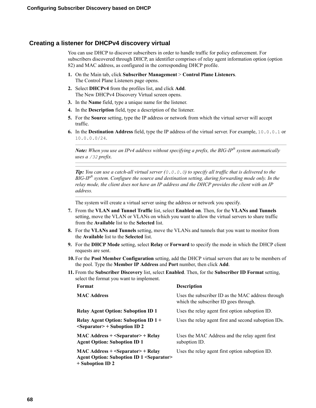#### <span id="page-67-0"></span>**Creating a listener for DHCPv4 discovery virtual**

You can use DHCP to discover subscribers in order to handle traffic for policy enforcement. For subscribers discovered through DHCP, an identifier comprises of relay agent information option (option 82) and MAC address, as configured in the corresponding DHCP profile.

- **1.** On the Main tab, click **Subscriber Management** > **Control Plane Listeners**. The Control Plane Listeners page opens.
- **2.** Select **DHCPv4** from the profiles list, and click **Add**. The New DHCPv4 Discovery Virtual screen opens.
- **3.** In the **Name** field, type a unique name for the listener.
- **4.** In the **Description** field, type a description of the listener.
- **5.** For the **Source** setting, type the IP address or network from which the virtual server will accept traffic.
- **6.** In the **Destination Address** field, type the IP address of the virtual server. For example, 10.0.0.1 or 10.0.0.0/24.

*Note: When you use an IPv4 address without specifying a prefix, the BIG-IP® system automatically uses a /32 prefix.*

*Tip: You can use a catch-all virtual server (0.0.0.0) to specify all traffic that is delivered to the BIG-IP® system. Configure the source and destination setting, during forwarding mode only. In the relay mode, the client does not have an IP address and the DHCP provides the client with an IP address.*

The system will create a virtual server using the address or network you specify.

- **7.** From the **VLAN and Tunnel Traffic** list, select **Enabled on**. Then, for the **VLANs and Tunnels** setting, move the VLAN or VLANs on which you want to allow the virtual servers to share traffic from the **Available** list to the **Selected** list.
- **8.** For the **VLANs and Tunnels** setting, move the VLANs and tunnels that you want to monitor from the **Available** list to the **Selected** list.
- **9.** For the **DHCP Mode** setting, select **Relay** or **Forward** to specify the mode in which the DHCP client requests are sent.
- **10.**For the **Pool Member Configuration** setting, add the DHCP virtual servers that are to be members of the pool. Type the **Member IP Address** and **Port** number, then click **Add**.
- **11.** From the **Subscriber Discovery** list, select **Enabled**. Then, for the **Subscriber ID Format** setting, select the format you want to implement.

| Format                                                                                                                          | <b>Description</b>                                                                         |
|---------------------------------------------------------------------------------------------------------------------------------|--------------------------------------------------------------------------------------------|
| <b>MAC Address</b>                                                                                                              | Uses the subscriber ID as the MAC address through<br>which the subscriber ID goes through. |
| <b>Relay Agent Option: Suboption ID 1</b>                                                                                       | Uses the relay agent first option suboption ID.                                            |
| Relay Agent Option: Suboption ID 1 +<br>$\leq$ Separator> + Suboption ID 2                                                      | Uses the relay agent first and second suboption IDs.                                       |
| $MAC$ Address + $\leq$ Separator > + Relay<br><b>Agent Option: Suboption ID 1</b>                                               | Uses the MAC Address and the relay agent first<br>suboption ID.                            |
| $MAC$ Address + $\leq$ Separator > + Relay<br><b>Agent Option: Suboption ID 1 <separator></separator></b><br>$+$ Suboption ID 2 | Uses the relay agent first option suboption ID.                                            |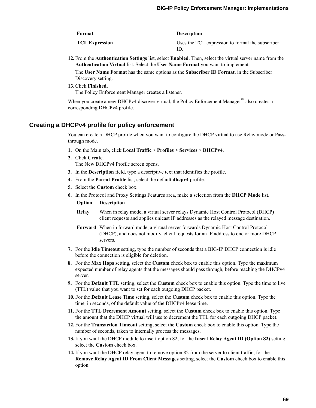<span id="page-68-0"></span>

| Format                | <b>Description</b>                               |
|-----------------------|--------------------------------------------------|
| <b>TCL Expression</b> | Uses the TCL expression to format the subscriber |
|                       |                                                  |

**12.**From the **Authentication Settings** list, select **Enabled**. Then, select the virtual server name from the **Authentication Virtual** list. Select the **User Name Format** you want to implement.

The **User Name Format** has the same options as the **Subscriber ID Format**, in the Subscriber Discovery setting.

**13.** Click **Finished**.

The Policy Enforcement Manager creates a listener.

When you create a new DHCPv4 discover virtual, the Policy Enforcement Manager™ also creates a corresponding DHCPv4 profile.

## **Creating a DHCPv4 profile for policy enforcement**

You can create a DHCP profile when you want to configure the DHCP virtual to use Relay mode or Passthrough mode.

- **1.** On the Main tab, click **Local Traffic** > **Profiles** > **Services** > **DHCPv4**.
- **2.** Click **Create**. The New DHCPv4 Profile screen opens.
- **3.** In the **Description** field, type a descriptive text that identifies the profile.
- **4.** From the **Parent Profile** list, select the default **dhcpv4** profile.
- **5.** Select the **Custom** check box.
- **6.** In the Protocol and Proxy Settings Features area, make a selection from the **DHCP Mode** list.

**Option Description**

- **Relay** When in relay mode, a virtual server relays Dynamic Host Control Protocol (DHCP) client requests and applies unicast IP addresses as the relayed message destination.
- **Forward** When in forward mode, a virtual server forwards Dynamic Host Control Protocol (DHCP), and does not modify, client requests for an IP address to one or more DHCP servers.
- **7.** For the **Idle Timeout** setting, type the number of seconds that a BIG-IP DHCP connection is idle before the connection is eligible for deletion.
- **8.** For the **Max Hops** setting, select the **Custom** check box to enable this option. Type the maximum expected number of relay agents that the messages should pass through, before reaching the DHCPv4 server.
- **9.** For the **Default TTL** setting, select the **Custom** check box to enable this option. Type the time to live (TTL) value that you want to set for each outgoing DHCP packet.
- **10.**For the **Default Lease Time** setting, select the **Custom** check box to enable this option. Type the time, in seconds, of the default value of the DHCPv4 lease time.
- **11.** For the **TTL Decrement Amount** setting, select the **Custom** check box to enable this option. Type the amount that the DHCP virtual will use to decrement the TTL for each outgoing DHCP packet.
- **12.**For the **Transaction Timeout** setting, select the **Custom** check box to enable this option. Type the number of seconds, taken to internally process the messages.
- **13.** If you want the DHCP module to insert option 82, for the **Insert Relay Agent ID (Option 82)** setting, select the **Custom** check box.
- **14.** If you want the DHCP relay agent to remove option 82 from the server to client traffic, for the **Remove Relay Agent ID From Client Messages** setting, select the **Custom** check box to enable this option.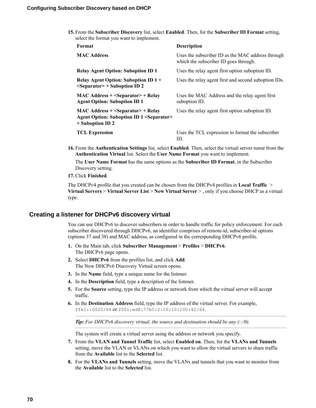<span id="page-69-0"></span>**15.**From the **Subscriber Discovery** list, select **Enabled**. Then, for the **Subscriber ID Format** setting, select the format you want to implement.

| Format                                                                                                                          | <b>Description</b>                                                                         |
|---------------------------------------------------------------------------------------------------------------------------------|--------------------------------------------------------------------------------------------|
| <b>MAC Address</b>                                                                                                              | Uses the subscriber ID as the MAC address through<br>which the subscriber ID goes through. |
| <b>Relay Agent Option: Suboption ID 1</b>                                                                                       | Uses the relay agent first option suboption ID.                                            |
| Relay Agent Option: Suboption ID 1 +<br>$\leq$ Separator> + Suboption ID 2                                                      | Uses the relay agent first and second suboption IDs.                                       |
| $MAC$ Address + $\leq$ Separator > + Relay<br><b>Agent Option: Suboption ID 1</b>                                               | Uses the MAC Address and the relay agent first<br>suboption ID.                            |
| $MAC$ Address + $\leq$ Separator > + Relay<br><b>Agent Option: Suboption ID 1 <separator></separator></b><br>$+$ Suboption ID 2 | Uses the relay agent first option suboption ID.                                            |
| <b>TCL Expression</b>                                                                                                           | Uses the TCL expression to format the subscriber<br>ID.                                    |

**16.**From the **Authentication Settings** list, select **Enabled**. Then, select the virtual server name from the **Authentication Virtual** list. Select the **User Name Format** you want to implement.

The **User Name Format** has the same options as the **Subscriber ID Format**, in the Subscriber Discovery setting.

**17.** Click **Finished**.

The DHCPv4 profile that you created can be chosen from the DHCPv4 profiles in **Local Traffic** > **Virtual Servers** > **Virtual Server List** > **New Virtual Server** > , only if you choose DHCP as a virtual type.

## **Creating a listener for DHCPv6 discovery virtual**

You can use DHCPv6 to discover subscribers in order to handle traffic for policy enforcement. For each subscriber discovered through DHCPv6, an identifier comprises of remote-id, subscriber-id options (options 37 and 38) and MAC address, as configured in the corresponding DHCPv6 profile.

- **1.** On the Main tab, click **Subscriber Management** > **Profiles** > **DHCPv6**. The DHCPv6 page opens.
- **2.** Select **DHCPv6** from the profiles list, and click **Add**. The New DHCPv6 Discovery Virtual screen opens.
- **3.** In the **Name** field, type a unique name for the listener.
- **4.** In the **Description** field, type a description of the listener.
- **5.** For the **Source** setting, type the IP address or network from which the virtual server will accept traffic.
- **6.** In the **Destination Address** field, type the IP address of the virtual server. For example, ffe1::0020/64 or 2001:ed8:77b5:2:10:10:100:42/64.

*Tip: For DHCPv6 discovery virtual, the source and destination should be any (::/0).*

The system will create a virtual server using the address or network you specify.

- **7.** From the **VLAN and Tunnel Traffic** list, select **Enabled on**. Then, for the **VLANs and Tunnels** setting, move the VLAN or VLANs on which you want to allow the virtual servers to share traffic from the **Available** list to the **Selected** list.
- **8.** For the **VLANs and Tunnels** setting, move the VLANs and tunnels that you want to monitor from the **Available** list to the **Selected** list.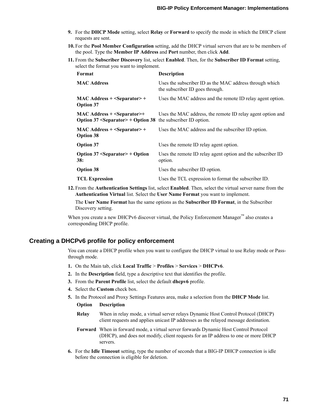- <span id="page-70-0"></span>**9.** For the **DHCP Mode** setting, select **Relay** or **Forward** to specify the mode in which the DHCP client requests are sent.
- **10.**For the **Pool Member Configuration** setting, add the DHCP virtual servers that are to be members of the pool. Type the **Member IP Address** and **Port** number, then click **Add**.
- **11.** From the **Subscriber Discovery** list, select **Enabled**. Then, for the **Subscriber ID Format** setting, select the format you want to implement.

| Format                                                                                                                      | <b>Description</b>                                                                         |
|-----------------------------------------------------------------------------------------------------------------------------|--------------------------------------------------------------------------------------------|
| <b>MAC Address</b>                                                                                                          | Uses the subscriber ID as the MAC address through which<br>the subscriber ID goes through. |
| $MAC$ Address + $\leq$ Separator > +<br><b>Option 37</b>                                                                    | Uses the MAC address and the remote ID relay agent option.                                 |
| $MAC$ Address + $\leq$ Separator $\geq$ +<br><b>Option 37</b> <separator> + Option 38 the subscriber ID option.</separator> | Uses the MAC address, the remote ID relay agent option and                                 |
| $MAC$ Address + $\leq$ Separator> +<br><b>Option 38</b>                                                                     | Uses the MAC address and the subscriber ID option.                                         |
| <b>Option 37</b>                                                                                                            | Uses the remote ID relay agent option.                                                     |
| Option $37 <$ Separator> + Option<br>38:                                                                                    | Uses the remote ID relay agent option and the subscriber ID<br>option.                     |
| <b>Option 38</b>                                                                                                            | Uses the subscriber ID option.                                                             |
| <b>TCL Expression</b>                                                                                                       | Uses the TCL expression to format the subscriber ID.                                       |

**12.**From the **Authentication Settings** list, select **Enabled**. Then, select the virtual server name from the **Authentication Virtual** list. Select the **User Name Format** you want to implement.

The **User Name Format** has the same options as the **Subscriber ID Format**, in the Subscriber Discovery setting.

When you create a new DHCPv6 discover virtual, the Policy Enforcement Manager™ also creates a corresponding DHCP profile.

## **Creating a DHCPv6 profile for policy enforcement**

You can create a DHCP profile when you want to configure the DHCP virtual to use Relay mode or Passthrough mode.

- **1.** On the Main tab, click **Local Traffic** > **Profiles** > **Services** > **DHCPv6**.
- **2.** In the **Description** field, type a descriptive text that identifies the profile.
- **3.** From the **Parent Profile** list, select the default **dhcpv6** profile.
- **4.** Select the **Custom** check box.
- **5.** In the Protocol and Proxy Settings Features area, make a selection from the **DHCP Mode** list.

#### **Option Description**

- **Relay** When in relay mode, a virtual server relays Dynamic Host Control Protocol (DHCP) client requests and applies unicast IP addresses as the relayed message destination.
- **Forward** When in forward mode, a virtual server forwards Dynamic Host Control Protocol (DHCP), and does not modify, client requests for an IP address to one or more DHCP servers.
- **6.** For the **Idle Timeout** setting, type the number of seconds that a BIG-IP DHCP connection is idle before the connection is eligible for deletion.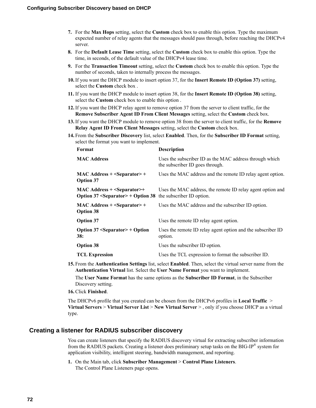- <span id="page-71-0"></span>**7.** For the **Max Hops** setting, select the **Custom** check box to enable this option. Type the maximum expected number of relay agents that the messages should pass through, before reaching the DHCPv4 server.
- **8.** For the **Default Lease Time** setting, select the **Custom** check box to enable this option. Type the time, in seconds, of the default value of the DHCPv4 lease time.
- **9.** For the **Transaction Timeout** setting, select the **Custom** check box to enable this option. Type the number of seconds, taken to internally process the messages.
- **10.** If you want the DHCP module to insert option 37, for the **Insert Remote ID (Option 37)** setting, select the **Custom** check box .
- **11.** If you want the DHCP module to insert option 38, for the **Insert Remote ID (Option 38)** setting, select the **Custom** check box to enable this option .
- **12.** If you want the DHCP relay agent to remove option 37 from the server to client traffic, for the **Remove Subscriber Agent ID From Client Messages** setting, select the **Custom** check box.
- **13.** If you want the DHCP module to remove option 38 from the server to client traffic, for the **Remove Relay Agent ID From Client Messages** setting, select the **Custom** check box.
- **14.**From the **Subscriber Discovery** list, select **Enabled**. Then, for the **Subscriber ID Format** setting, select the format you want to implement.

| Format                                                                                          | <b>Description</b>                                                                         |
|-------------------------------------------------------------------------------------------------|--------------------------------------------------------------------------------------------|
| <b>MAC Address</b>                                                                              | Uses the subscriber ID as the MAC address through which<br>the subscriber ID goes through. |
| $MAC$ Address + $\leq$ Separator> +<br><b>Option 37</b>                                         | Uses the MAC address and the remote ID relay agent option.                                 |
| MAC Address + <separator>+<br/>Option <math>37 &lt;</math>Separator&gt; + Option 38</separator> | Uses the MAC address, the remote ID relay agent option and<br>the subscriber ID option.    |
| $MAC$ Address + $\leq$ Separator > +<br><b>Option 38</b>                                        | Uses the MAC address and the subscriber ID option.                                         |
| <b>Option 37</b>                                                                                | Uses the remote ID relay agent option.                                                     |
| Option $37 <$ Separator> + Option<br>38:                                                        | Uses the remote ID relay agent option and the subscriber ID<br>option.                     |
| <b>Option 38</b>                                                                                | Uses the subscriber ID option.                                                             |
| <b>TCL Expression</b>                                                                           | Uses the TCL expression to format the subscriber ID.                                       |
|                                                                                                 |                                                                                            |

**15.**From the **Authentication Settings** list, select **Enabled**. Then, select the virtual server name from the **Authentication Virtual** list. Select the **User Name Format** you want to implement.

The **User Name Format** has the same options as the **Subscriber ID Format**, in the Subscriber Discovery setting.

**16.** Click **Finished**.

The DHCPv6 profile that you created can be chosen from the DHCPv6 profiles in **Local Traffic** > **Virtual Servers** > **Virtual Server List** > **New Virtual Server** > , only if you choose DHCP as a virtual type.

## **Creating a listener for RADIUS subscriber discovery**

You can create listeners that specify the RADIUS discovery virtual for extracting subscriber information from the RADIUS packets. Creating a listener does preliminary setup tasks on the BIG-IP<sup>®</sup> system for application visibility, intelligent steering, bandwidth management, and reporting.

**1.** On the Main tab, click **Subscriber Management** > **Control Plane Listeners**. The Control Plane Listeners page opens.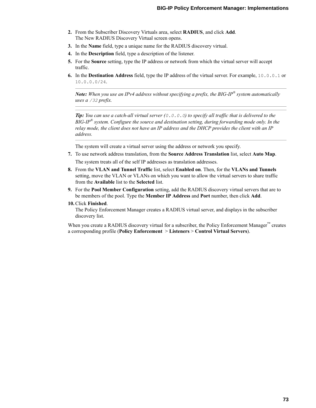- **2.** From the Subscriber Discovery Virtuals area, select **RADIUS**, and click **Add**. The New RADIUS Discovery Virtual screen opens.
- **3.** In the **Name** field, type a unique name for the RADIUS discovery virtual.
- **4.** In the **Description** field, type a description of the listener.
- **5.** For the **Source** setting, type the IP address or network from which the virtual server will accept traffic.
- **6.** In the **Destination Address** field, type the IP address of the virtual server. For example, 10.0.0.1 or 10.0.0.0/24.

*Note: When you use an IPv4 address without specifying a prefix, the BIG-IP® system automatically uses a /32 prefix.*

*Tip: You can use a catch-all virtual server (0.0.0.0) to specify all traffic that is delivered to the BIG-IP® system. Configure the source and destination setting, during forwarding mode only. In the relay mode, the client does not have an IP address and the DHCP provides the client with an IP address.*

The system will create a virtual server using the address or network you specify.

- **7.** To use network address translation, from the **Source Address Translation** list, select **Auto Map**. The system treats all of the self IP addresses as translation addresses.
- **8.** From the **VLAN and Tunnel Traffic** list, select **Enabled on**. Then, for the **VLANs and Tunnels** setting, move the VLAN or VLANs on which you want to allow the virtual servers to share traffic from the **Available** list to the **Selected** list.
- **9.** For the **Pool Member Configuration** setting, add the RADIUS discovery virtual servers that are to be members of the pool. Type the **Member IP Address** and **Port** number, then click **Add**.

#### **10.** Click **Finished**.

The Policy Enforcement Manager creates a RADIUS virtual server, and displays in the subscriber discovery list.

When you create a RADIUS discovery virtual for a subscriber, the Policy Enforcement Manager™ creates a corresponding profile (**Policy Enforcement** > **Listeners** > **Control Virtual Servers**).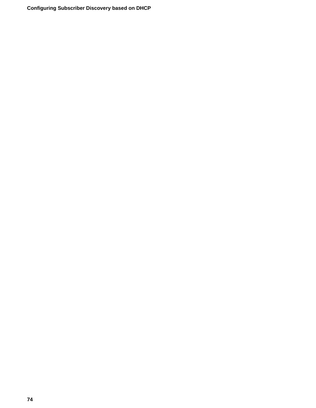**Configuring Subscriber Discovery based on DHCP**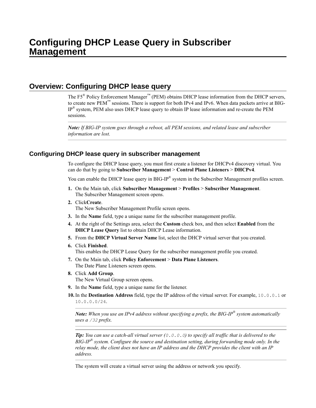## **Overview: Configuring DHCP lease query**

The  $FS^{\circledR}$  Policy Enforcement Manager<sup>™</sup> (PEM) obtains DHCP lease information from the DHCP servers, to create new PEM™ sessions. There is support for both IPv4 and IPv6. When data packets arrive at BIG-IP<sup>®</sup> system, PEM also uses DHCP lease query to obtain IP lease information and re-create the PEM sessions.

*Note: If BIG-IP system goes through a reboot, all PEM sessions, and related lease and subscriber information are lost.*

## **Configuring DHCP lease query in subscriber management**

To configure the DHCP lease query, you must first create a listener for DHCPv4 discovery virtual. You can do that by going to **Subscriber Management** > **Control Plane Listeners** > **DHCPv4**.

You can enable the DHCP lease query in BIG-IP<sup>®</sup> system in the Subscriber Management profiles screen.

- **1.** On the Main tab, click **Subscriber Management** > **Profiles** > **Subscriber Management**. The Subscriber Management screen opens.
- **2.** Click**Create**. The New Subscriber Management Profile screen opens.
- **3.** In the **Name** field, type a unique name for the subscriber management profile.
- **4.** At the right of the Settings area, select the **Custom** check box, and then select **Enabled** from the **DHCP Lease Query** list to obtain DHCP Lease information.
- **5.** From the **DHCP Virtual Server Name** list, select the DHCP virtual server that you created.
- **6.** Click **Finished**. This enables the DHCP Lease Query for the subscriber management profile you created.
- **7.** On the Main tab, click **Policy Enforcement** > **Data Plane Listeners**. The Date Plane Listeners screen opens.
- **8.** Click **Add Group**. The New Virtual Group screen opens.
- **9.** In the **Name** field, type a unique name for the listener.
- **10.** In the **Destination Address** field, type the IP address of the virtual server. For example, 10.0.0.1 or 10.0.0.0/24.

*Note: When you use an IPv4 address without specifying a prefix, the BIG-IP® system automatically uses a /32 prefix.*

*Tip: You can use a catch-all virtual server (0.0.0.0) to specify all traffic that is delivered to the BIG-IP® system. Configure the source and destination setting, during forwarding mode only. In the relay mode, the client does not have an IP address and the DHCP provides the client with an IP address.*

The system will create a virtual server using the address or network you specify.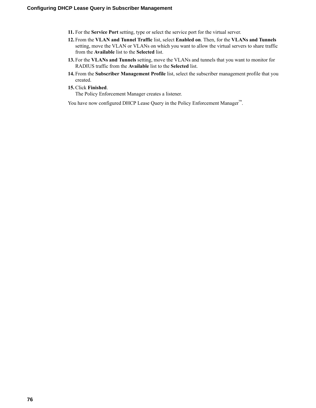- **11.** For the **Service Port** setting, type or select the service port for the virtual server.
- **12.**From the **VLAN and Tunnel Traffic** list, select **Enabled on**. Then, for the **VLANs and Tunnels** setting, move the VLAN or VLANs on which you want to allow the virtual servers to share traffic from the **Available** list to the **Selected** list.
- **13.**For the **VLANs and Tunnels** setting, move the VLANs and tunnels that you want to monitor for RADIUS traffic from the **Available** list to the **Selected** list.
- **14.**From the **Subscriber Management Profile** list, select the subscriber management profile that you created.
- **15.** Click **Finished**.

The Policy Enforcement Manager creates a listener.

You have now configured DHCP Lease Query in the Policy Enforcement Manager™ .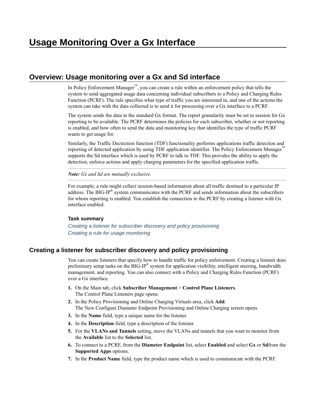## <span id="page-76-0"></span>**Overview: Usage monitoring over a Gx and Sd interface**

In Policy Enforcement Manager™ , you can create a rule within an enforcement policy that tells the system to send aggregated usage data concerning individual subscribers to a Policy and Charging Rules Function (PCRF). The rule specifies what type of traffic you are interested in, and one of the actions the system can take with the data collected is to send it for processing over a Gx interface to a PCRF.

The system sends the data in the standard Gx format. The report granularity must be set to session for Gx reporting to be available. The PCRF determines the policies for each subscriber, whether or not reporting is enabled, and how often to send the data and monitoring key that identifies the type of traffic PCRF wants to get usage for.

Similarly, the Traffic Dectection function (TDF) functionality performs applications traffic detection and reporting of detected application by using TDF application identifier. The Policy Enforcement Manager supports the Sd interface which is used by PCRF to talk to TDF. This provides the ability to apply the detection, enforce actions and apply charging parameters for the specified application traffic.

*Note: Gx and Sd are mutually exclusive.*

For example, a rule might collect session-based information about all traffic destined to a particular IP address. The BIG-IP<sup>®</sup> system communicates with the PCRF and sends information about the subscribers for whom reporting is enabled. You establish the connection to the PCRF by creating a listener with Gx interface enabled.

#### **Task summary**

Creating a listener for subscriber discovery and policy provisioning [Creating a rule for usage monitoring](#page-77-0)

### **Creating a listener for subscriber discovery and policy provisioning**

You can create listeners that specify how to handle traffic for policy enforcement. Creating a listener does preliminary setup tasks on the BIG-IP® system for application visibility, intelligent steering, bandwidth management, and reporting. You can also connect with a Policy and Charging Rules Function (PCRF) over a Gx interface.

- **1.** On the Main tab, click **Subscriber Management** > **Control Plane Listeners**. The Control Plane Listeners page opens.
- **2.** In the Policy Provisioning and Online Charging Virtuals area, click **Add**. The New Configure Diameter Endpoint Provisioning and Online Charging screen opens.
- **3.** In the **Name** field, type a unique name for the listener.
- **4.** In the **Description** field, type a description of the listener.
- **5.** For the **VLANs and Tunnels** setting, move the VLANs and tunnels that you want to monitor from the **Available** list to the **Selected** list.
- **6.** To connect to a PCRF, from the **Diameter Endpoint** list, select **Enabled** and select **Gx** or **Sd**from the **Supported Apps** options.
- **7.** In the **Product Name** field, type the product name which is used to communicate with the PCRF.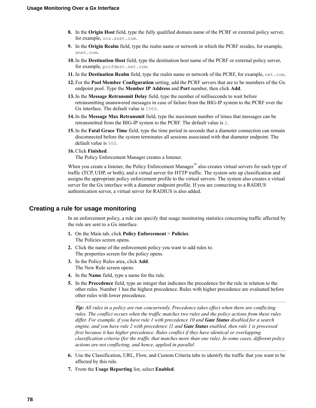- <span id="page-77-0"></span>**8.** In the **Origin Host** field, type the fully qualified domain name of the PCRF or external policy server, for example, ocs.xnet.com.
- **9.** In the **Origin Realm** field, type the realm name or network in which the PCRF resides, for example, xnet.com.
- **10.** In the **Destination Host** field, type the destination host name of the PCRF or external policy server, for example, pcrfdest.net.com.
- **11.** In the **Destination Realm** field, type the realm name or network of the PCRF, for example, net.com.
- **12.**For the **Pool Member Configuration** setting, add the PCRF servers that are to be members of the Gx endpoint pool. Type the **Member IP Address** and **Port** number, then click **Add**.
- **13.** In the **Message Retransmit Delay** field, type the number of milliseconds to wait before retransmitting unanswered messages in case of failure from the BIG-IP system to the PCRF over the Gx interface. The default value is 1500.
- **14.** In the **Message Max Retransmit** field, type the maximum number of times that messages can be retransmitted from the BIG-IP system to the PCRF. The default value is 2.
- **15.** In the **Fatal Grace Time** field, type the time period in seconds that a diameter connection can remain disconnected before the system terminates all sessions associated with that diameter endpoint. The default value is 500.
- **16.** Click **Finished**.

The Policy Enforcement Manager creates a listener.

When you create a listener, the Policy Enforcement Manager™ also creates virtual servers for each type of traffic (TCP, UDP, or both), and a virtual server for HTTP traffic. The system sets up classification and assigns the appropriate policy enforcement profile to the virtual servers. The system also creates a virtual server for the Gx interface with a diameter endpoint profile. If you are connecting to a RADIUS authentication server, a virtual server for RADIUS is also added.

#### **Creating a rule for usage monitoring**

In an enforcement policy, a rule can specify that usage monitoring statistics concerning traffic affected by the rule are sent to a Gx interface.

- **1.** On the Main tab, click **Policy Enforcement** > **Policies**. The Policies screen opens.
- **2.** Click the name of the enforcement policy you want to add rules to. The properties screen for the policy opens.
- **3.** In the Policy Rules area, click **Add**. The New Rule screen opens.
- **4.** In the **Name** field, type a name for the rule.
- **5.** In the **Precedence** field, type an integer that indicates the precedence for the rule in relation to the other rules. Number 1 has the highest precedence. Rules with higher precedence are evaluated before other rules with lower precedence.

*Tip: All rules in a policy are run concurrently. Precedence takes effect when there are conflicting rules. The conflict occurs when the traffic matches two rules and the policy actions from these rules differ. For example, if you have rule 1 with precedence 10 and Gate Status disabled for a search engine, and you have rule 2 with precedence 11 and Gate Status enabled, then rule 1 is processed first because it has higher precedence. Rules conflict if they have identical or overlapping classification criteria (for the traffic that matches more than one rule). In some cases, different policy actions are not conflicting, and hence, applied in parallel.*

- **6.** Use the Classification, URL, Flow, and Custom Criteria tabs to identify the traffic that you want to be affected by this rule.
- **7.** From the **Usage Reporting** list, select **Enabled**.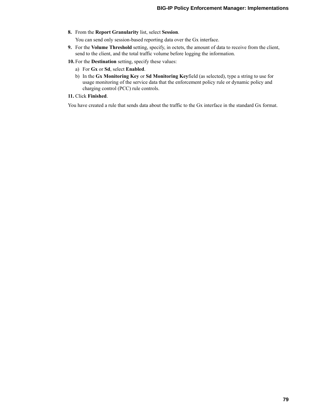**8.** From the **Report Granularity** list, select **Session**.

You can send only session-based reporting data over the Gx interface.

- **9.** For the **Volume Threshold** setting, specify, in octets, the amount of data to receive from the client, send to the client, and the total traffic volume before logging the information.
- **10.**For the **Destination** setting, specify these values:
	- a) For **Gx** or **Sd**, select **Enabled**.
	- b) In the **Gx Monitoring Key** or **Sd Monitoring Key**field (as selected), type a string to use for usage monitoring of the service data that the enforcement policy rule or dynamic policy and charging control (PCC) rule controls.
- **11.** Click **Finished**.

You have created a rule that sends data about the traffic to the Gx interface in the standard Gx format.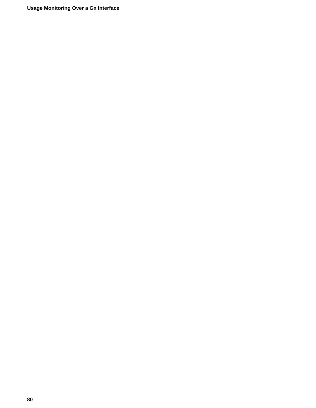**Usage Monitoring Over a Gx Interface**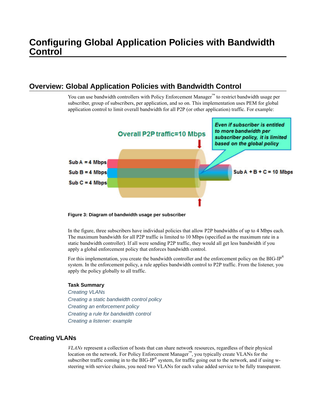# **Configuring Global Application Policies with Bandwidth Control**

## **Overview: Global Application Policies with Bandwidth Control**

You can use bandwidth controllers with Policy Enforcement Manager™ to restrict bandwidth usage per subscriber, group of subscribers, per application, and so on. This implementation uses PEM for global application control to limit overall bandwidth for all P2P (or other application) traffic. For example:



**Figure 3: Diagram of bandwidth usage per subscriber**

In the figure, three subscribers have individual policies that allow P2P bandwidths of up to 4 Mbps each. The maximum bandwidth for all P2P traffic is limited to 10 Mbps (specified as the maximum rate in a static bandwidth controller). If all were sending P2P traffic, they would all get less bandwidth if you apply a global enforcement policy that enforces bandwidth control.

For this implementation, you create the bandwidth controller and the enforcement policy on the BIG-IP<sup>®</sup> system. In the enforcement policy, a rule applies bandwidth control to P2P traffic. From the listener, you apply the policy globally to all traffic.

### **Task Summary**

Creating VLANs [Creating a static bandwidth control policy](#page-81-0) [Creating an enforcement policy](#page-20-0) [Creating a rule for bandwidth control](#page-82-0) [Creating a listener: example](#page-83-0)

## **Creating VLANs**

*VLANs* represent a collection of hosts that can share network resources, regardless of their physical location on the network. For Policy Enforcement Manager™ , you typically create VLANs for the subscriber traffic coming in to the BIG-IP® system, for traffic going out to the network, and if using wsteering with service chains, you need two VLANs for each value added service to be fully transparent.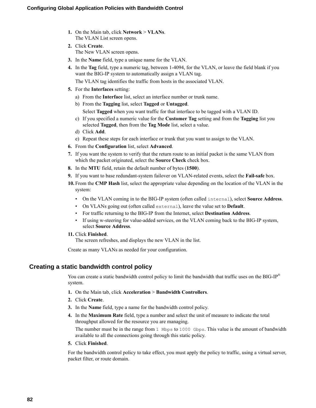- <span id="page-81-0"></span>**1.** On the Main tab, click **Network** > **VLANs**. The VLAN List screen opens.
- **2.** Click **Create**. The New VLAN screen opens.
- **3.** In the **Name** field, type a unique name for the VLAN.
- **4.** In the **Tag** field, type a numeric tag, between 1-4094, for the VLAN, or leave the field blank if you want the BIG-IP system to automatically assign a VLAN tag.

The VLAN tag identifies the traffic from hosts in the associated VLAN.

- **5.** For the **Interfaces** setting:
	- a) From the **Interface** list, select an interface number or trunk name.
	- b) From the **Tagging** list, select **Tagged** or **Untagged**.

Select **Tagged** when you want traffic for that interface to be tagged with a VLAN ID.

- c) If you specified a numeric value for the **Customer Tag** setting and from the **Tagging** list you selected **Tagged**, then from the **Tag Mode** list, select a value.
- d) Click **Add**.
- e) Repeat these steps for each interface or trunk that you want to assign to the VLAN.
- **6.** From the **Configuration** list, select **Advanced**.
- **7.** If you want the system to verify that the return route to an initial packet is the same VLAN from which the packet originated, select the **Source Check** check box.
- **8.** In the **MTU** field, retain the default number of bytes (**1500**).
- **9.** If you want to base redundant-system failover on VLAN-related events, select the **Fail-safe** box.
- **10.**From the **CMP Hash** list, select the appropriate value depending on the location of the VLAN in the system:
	- On the VLAN coming in to the BIG-IP system (often called internal), select **Source Address**.
	- On VLANs going out (often called external), leave the value set to **Default**.
	- For traffic returning to the BIG-IP from the Internet, select **Destination Address**.
	- If using w-steering for value-added services, on the VLAN coming back to the BIG-IP system, select **Source Address**.
- **11.** Click **Finished**.

The screen refreshes, and displays the new VLAN in the list.

Create as many VLANs as needed for your configuration.

### **Creating a static bandwidth control policy**

You can create a static bandwidth control policy to limit the bandwidth that traffic uses on the BIG-IP® system.

- **1.** On the Main tab, click **Acceleration** > **Bandwidth Controllers**.
- **2.** Click **Create**.
- **3.** In the **Name** field, type a name for the bandwidth control policy.
- **4.** In the **Maximum Rate** field, type a number and select the unit of measure to indicate the total throughput allowed for the resource you are managing.

The number must be in the range from  $1$  Mbps to 1000 Gbps. This value is the amount of bandwidth available to all the connections going through this static policy.

**5.** Click **Finished**.

For the bandwidth control policy to take effect, you must apply the policy to traffic, using a virtual server, packet filter, or route domain.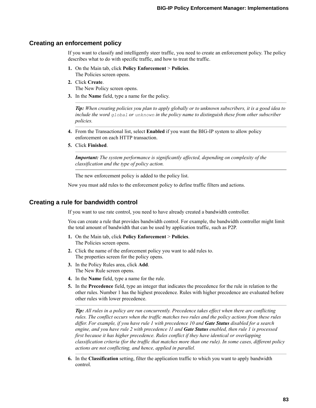### <span id="page-82-0"></span>**Creating an enforcement policy**

If you want to classify and intelligently steer traffic, you need to create an enforcement policy. The policy describes what to do with specific traffic, and how to treat the traffic.

- **1.** On the Main tab, click **Policy Enforcement** > **Policies**. The Policies screen opens.
- **2.** Click **Create**. The New Policy screen opens.
- **3.** In the **Name** field, type a name for the policy.

*Tip: When creating policies you plan to apply globally or to unknown subscribers, it is a good idea to include the word global or unknown in the policy name to distinguish these from other subscriber policies.*

- **4.** From the Transactional list, select **Enabled** if you want the BIG-IP system to allow policy enforcement on each HTTP transaction.
- **5.** Click **Finished**.

*Important: The system performance is significantly affected, depending on complexity of the classification and the type of policy action.*

The new enforcement policy is added to the policy list.

Now you must add rules to the enforcement policy to define traffic filters and actions.

#### **Creating a rule for bandwidth control**

If you want to use rate control, you need to have already created a bandwidth controller.

You can create a rule that provides bandwidth control. For example, the bandwidth controller might limit the total amount of bandwidth that can be used by application traffic, such as P2P.

- **1.** On the Main tab, click **Policy Enforcement** > **Policies**. The Policies screen opens.
- **2.** Click the name of the enforcement policy you want to add rules to. The properties screen for the policy opens.
- **3.** In the Policy Rules area, click **Add**. The New Rule screen opens.
- **4.** In the **Name** field, type a name for the rule.
- **5.** In the **Precedence** field, type an integer that indicates the precedence for the rule in relation to the other rules. Number 1 has the highest precedence. Rules with higher precedence are evaluated before other rules with lower precedence.

*Tip: All rules in a policy are run concurrently. Precedence takes effect when there are conflicting rules. The conflict occurs when the traffic matches two rules and the policy actions from these rules differ. For example, if you have rule 1 with precedence 10 and Gate Status disabled for a search engine, and you have rule 2 with precedence 11 and Gate Status enabled, then rule 1 is processed first because it has higher precedence. Rules conflict if they have identical or overlapping classification criteria (for the traffic that matches more than one rule). In some cases, different policy actions are not conflicting, and hence, applied in parallel.*

**6.** In the **Classification** setting, filter the application traffic to which you want to apply bandwidth control.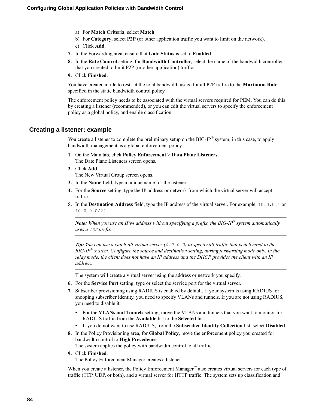- <span id="page-83-0"></span>a) For **Match Criteria**, select **Match**.
- b) For **Category**, select **P2P** (or other application traffic you want to limit on the network).
- c) Click **Add**.
- **7.** In the Forwarding area, ensure that **Gate Status** is set to **Enabled**.
- **8.** In the **Rate Control** setting, for **Bandwidth Controller**, select the name of the bandwidth controller that you created to limit P2P (or other application) traffic.
- **9.** Click **Finished**.

You have created a rule to restrict the total bandwidth usage for all P2P traffic to the **Maximum Rate** specified in the static bandwidth control policy.

The enforcement policy needs to be associated with the virtual servers required for PEM. You can do this by creating a listener (recommended), or you can edit the virtual servers to specify the enforcement policy as a global policy, and enable classification.

#### **Creating a listener: example**

You create a listener to complete the preliminary setup on the BIG-IP<sup>®</sup> system; in this case, to apply bandwidth management as a global enforcement policy.

- **1.** On the Main tab, click **Policy Enforcement** > **Data Plane Listeners**. The Date Plane Listeners screen opens.
- **2.** Click **Add**. The New Virtual Group screen opens.
- **3.** In the **Name** field, type a unique name for the listener.
- **4.** For the **Source** setting, type the IP address or network from which the virtual server will accept traffic.
- **5.** In the **Destination Address** field, type the IP address of the virtual server. For example, 10.0.0.1 or 10.0.0.0/24.

*Note: When you use an IPv4 address without specifying a prefix, the BIG-IP® system automatically uses a /32 prefix.*

*Tip: You can use a catch-all virtual server (0.0.0.0) to specify all traffic that is delivered to the BIG-IP® system. Configure the source and destination setting, during forwarding mode only. In the relay mode, the client does not have an IP address and the DHCP provides the client with an IP address.*

The system will create a virtual server using the address or network you specify.

- **6.** For the **Service Port** setting, type or select the service port for the virtual server.
- **7.** Subscriber provisioning using RADIUS is enabled by default. If your system is using RADIUS for snooping subscriber identity, you need to specify VLANs and tunnels. If you are not using RADIUS, you need to disable it.
	- For the **VLANs and Tunnels** setting, move the VLANs and tunnels that you want to monitor for RADIUS traffic from the **Available** list to the **Selected** list.
	- If you do not want to use RADIUS, from the **Subscriber Identity Collection** list, select **Disabled**.
- **8.** In the Policy Provisioning area, for **Global Policy**, move the enforcement policy you created for bandwidth control to **High Precedence**.

The system applies the policy with bandwidth control to all traffic.

**9.** Click **Finished**.

The Policy Enforcement Manager creates a listener.

When you create a listener, the Policy Enforcement Manager™ also creates virtual servers for each type of traffic (TCP, UDP, or both), and a virtual server for HTTP traffic. The system sets up classification and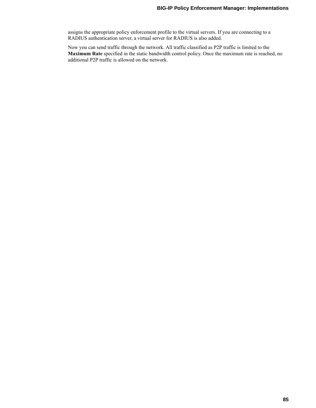assigns the appropriate policy enforcement profile to the virtual servers. If you are connecting to a RADIUS authentication server, a virtual server for RADIUS is also added.

Now you can send traffic through the network. All traffic classified as P2P traffic is limited to the **Maximum Rate** specified in the static bandwidth control policy. Once the maximum rate is reached, no additional P2P traffic is allowed on the network.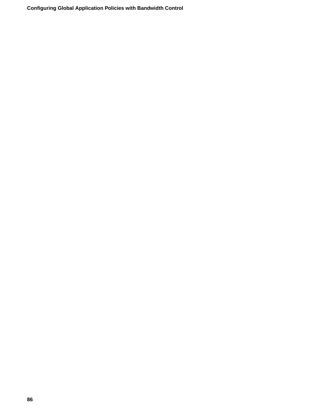**Configuring Global Application Policies with Bandwidth Control**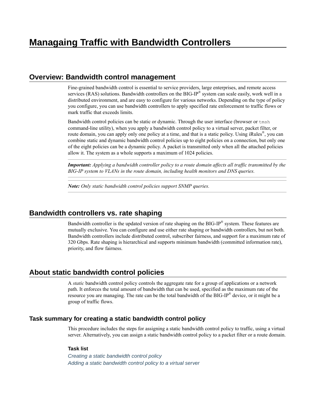## **Overview: Bandwidth control management**

Fine-grained bandwidth control is essential to service providers, large enterprises, and remote access services (RAS) solutions. Bandwidth controllers on the BIG-IP<sup>®</sup> system can scale easily, work well in a distributed environment, and are easy to configure for various networks. Depending on the type of policy you configure, you can use bandwidth controllers to apply specified rate enforcement to traffic flows or mark traffic that exceeds limits.

Bandwidth control policies can be static or dynamic. Through the user interface (browser or tmsh command-line utility), when you apply a bandwidth control policy to a virtual server, packet filter, or route domain, you can apply only one policy at a time, and that is a static policy. Using iRules<sup>®</sup>, you can combine static and dynamic bandwidth control policies up to eight policies on a connection, but only one of the eight policies can be a dynamic policy. A packet is transmitted only when all the attached policies allow it. The system as a whole supports a maximum of 1024 policies.

*Important: Applying a bandwidth controller policy to a route domain affects all traffic transmitted by the BIG-IP system to VLANs in the route domain, including health monitors and DNS queries.*

*Note: Only static bandwidth control policies support SNMP queries.*

## **Bandwidth controllers vs. rate shaping**

Bandwidth controller is the updated version of rate shaping on the BIG-IP<sup>®</sup> system. These features are mutually exclusive. You can configure and use either rate shaping or bandwidth controllers, but not both. Bandwidth controllers include distributed control, subscriber fairness, and support for a maximum rate of 320 Gbps. Rate shaping is hierarchical and supports minimum bandwidth (committed information rate), priority, and flow fairness.

## **About static bandwidth control policies**

A *static* bandwidth control policy controls the aggregate rate for a group of applications or a network path. It enforces the total amount of bandwidth that can be used, specified as the maximum rate of the resource you are managing. The rate can be the total bandwidth of the BIG-IP<sup>®</sup> device, or it might be a group of traffic flows.

### **Task summary for creating a static bandwidth control policy**

This procedure includes the steps for assigning a static bandwidth control policy to traffic, using a virtual server. Alternatively, you can assign a static bandwidth control policy to a packet filter or a route domain.

#### **Task list**

[Creating a static bandwidth control policy](#page-81-0) [Adding a static bandwidth control policy to a virtual server](#page-87-0)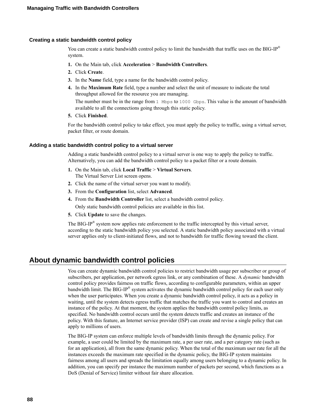#### <span id="page-87-0"></span>**Creating a static bandwidth control policy**

You can create a static bandwidth control policy to limit the bandwidth that traffic uses on the BIG-IP<sup>®</sup> system.

- **1.** On the Main tab, click **Acceleration** > **Bandwidth Controllers**.
- **2.** Click **Create**.
- **3.** In the **Name** field, type a name for the bandwidth control policy.
- **4.** In the **Maximum Rate** field, type a number and select the unit of measure to indicate the total throughput allowed for the resource you are managing.

The number must be in the range from 1 Mbps to 1000 Gbps. This value is the amount of bandwidth available to all the connections going through this static policy.

**5.** Click **Finished**.

For the bandwidth control policy to take effect, you must apply the policy to traffic, using a virtual server, packet filter, or route domain.

#### **Adding a static bandwidth control policy to a virtual server**

Adding a static bandwidth control policy to a virtual server is one way to apply the policy to traffic. Alternatively, you can add the bandwidth control policy to a packet filter or a route domain.

- **1.** On the Main tab, click **Local Traffic** > **Virtual Servers**. The Virtual Server List screen opens.
- **2.** Click the name of the virtual server you want to modify.
- **3.** From the **Configuration** list, select **Advanced**.
- **4.** From the **Bandwidth Controller** list, select a bandwidth control policy.

Only static bandwidth control policies are available in this list.

**5.** Click **Update** to save the changes.

The BIG-IP<sup>®</sup> system now applies rate enforcement to the traffic intercepted by this virtual server, according to the static bandwidth policy you selected. A static bandwidth policy associated with a virtual server applies only to client-initiated flows, and not to bandwidth for traffic flowing toward the client.

## **About dynamic bandwidth control policies**

You can create dynamic bandwidth control policies to restrict bandwidth usage per subscriber or group of subscribers, per application, per network egress link, or any combination of these. A *dynamic* bandwidth control policy provides fairness on traffic flows, according to configurable parameters, within an upper bandwidth limit. The BIG-IP<sup>®</sup> system activates the dynamic bandwidth control policy for each user only when the user participates. When you create a dynamic bandwidth control policy, it acts as a policy in waiting, until the system detects egress traffic that matches the traffic you want to control and creates an instance of the policy. At that moment, the system applies the bandwidth control policy limits, as specified. No bandwidth control occurs until the system detects traffic and creates an instance of the policy. With this feature, an Internet service provider (ISP) can create and revise a single policy that can apply to millions of users.

The BIG-IP system can enforce multiple levels of bandwidth limits through the dynamic policy. For example, a user could be limited by the maximum rate, a per user rate, and a per category rate (such as for an application), all from the same dynamic policy. When the total of the maximum user rate for all the instances exceeds the maximum rate specified in the dynamic policy, the BIG-IP system maintains fairness among all users and spreads the limitation equally among users belonging to a dynamic policy. In addition, you can specify per instance the maximum number of packets per second, which functions as a DoS (Denial of Service) limiter without fair share allocation.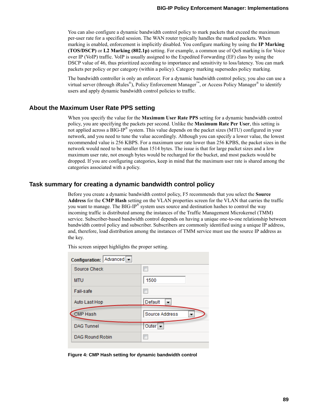You can also configure a dynamic bandwidth control policy to mark packets that exceed the maximum per-user rate for a specified session. The WAN router typically handles the marked packets. When marking is enabled, enforcement is implicitly disabled. You configure marking by using the **IP Marking (TOS/DSCP)** or **L2 Marking (802.1p)** setting. For example, a common use of QoS marking is for Voice over IP (VoIP) traffic. VoIP is usually assigned to the Expedited Forwarding (EF) class by using the DSCP value of 46, thus prioritized according to importance and sensitivity to loss/latency. You can mark packets per policy or per category (within a policy). Category marking supersedes policy marking.

The bandwidth controller is only an enforcer. For a dynamic bandwidth control policy, you also can use a virtual server (through iRules<sup>®</sup>), Policy Enforcement Manager<sup>™</sup>, or Access Policy Manager<sup>®</sup> to identify users and apply dynamic bandwidth control policies to traffic.

## **About the Maximum User Rate PPS setting**

When you specify the value for the **Maximum User Rate PPS** setting for a dynamic bandwidth control policy, you are specifying the packets per second. Unlike the **Maximum Rate Per User**, this setting is not applied across a BIG-IP<sup>®</sup> system. This value depends on the packet sizes (MTU) configured in your network, and you need to tune the value accordingly. Although you can specify a lower value, the lowest recommended value is 256 KBPS. For a maximum user rate lower than 256 KPBS, the packet sizes in the network would need to be smaller than 1514 bytes. The issue is that for large packet sizes and a low maximum user rate, not enough bytes would be recharged for the bucket, and most packets would be dropped. If you are configuring categories, keep in mind that the maximum user rate is shared among the categories associated with a policy.

## **Task summary for creating a dynamic bandwidth control policy**

Before you create a dynamic bandwidth control policy, F5 recommends that you select the **Source Address** for the **CMP Hash** setting on the VLAN properties screen for the VLAN that carries the traffic you want to manage. The BIG-IP<sup>®</sup> system uses source and destination hashes to control the way incoming traffic is distributed among the instances of the Traffic Management Microkernel (TMM) service. Subscriber-based bandwidth control depends on having a unique one-to-one relationship between bandwidth control policy and subscriber. Subscribers are commonly identified using a unique IP address, and, therefore, load distribution among the instances of TMM service must use the source IP address as the key.

| Configuration: Advanced v |                                |
|---------------------------|--------------------------------|
| Source Check              | П                              |
| <b>MTU</b>                | 1500                           |
| Fail-safe                 | г                              |
| Auto Last Hop             | Default                        |
| <b>CMP Hash</b>           | Source Address                 |
| <b>DAG Tunnel</b>         | Outer $\overline{\phantom{a}}$ |
| <b>DAG Round Robin</b>    | г                              |

This screen snippet highlights the proper setting.

**Figure 4: CMP Hash setting for dynamic bandwidth control**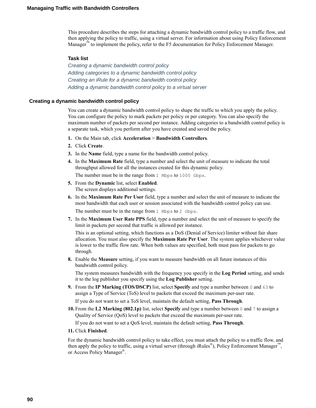This procedure describes the steps for attaching a dynamic bandwidth control policy to a traffic flow, and then applying the policy to traffic, using a virtual server. For information about using Policy Enforcement Manager<sup>™</sup> to implement the policy, refer to the F5 documentation for Policy Enforcement Manager.

#### **Task list**

Creating a dynamic bandwidth control policy [Adding categories to a dynamic bandwidth control policy](#page-90-0) [Creating an iRule for a dynamic bandwidth control policy](#page-90-0) [Adding a dynamic bandwidth control policy to a virtual server](#page-91-0)

#### **Creating a dynamic bandwidth control policy**

You can create a dynamic bandwidth control policy to shape the traffic to which you apply the policy. You can configure the policy to mark packets per policy or per category. You can also specify the maximum number of packets per second per instance. Adding categories to a bandwidth control policy is a separate task, which you perform after you have created and saved the policy.

- **1.** On the Main tab, click **Acceleration** > **Bandwidth Controllers**.
- **2.** Click **Create**.
- **3.** In the **Name** field, type a name for the bandwidth control policy.
- **4.** In the **Maximum Rate** field, type a number and select the unit of measure to indicate the total throughput allowed for all the instances created for this dynamic policy.

The number must be in the range from 1 Mbps to 1000 Gbps.

- **5.** From the **Dynamic** list, select **Enabled**. The screen displays additional settings.
- **6.** In the **Maximum Rate Per User** field, type a number and select the unit of measure to indicate the most bandwidth that each user or session associated with the bandwidth control policy can use.

The number must be in the range from 1 Mbps to 2 Gbps.

**7.** In the **Maximum User Rate PPS** field, type a number and select the unit of measure to specify the limit in packets per second that traffic is allowed per instance.

This is an optional setting, which functions as a DoS (Denial of Service) limiter without fair share allocation. You must also specify the **Maximum Rate Per User**. The system applies whichever value is lower to the traffic flow rate. When both values are specified, both must pass for packets to go through.

**8.** Enable the **Measure** setting, if you want to measure bandwidth on all future instances of this bandwidth control policy.

The system measures bandwidth with the frequency you specify in the **Log Period** setting, and sends it to the log publisher you specify using the **Log Publisher** setting.

**9.** From the **IP Marking (TOS/DSCP)** list, select **Specify** and type a number between 0 and 63 to assign a Type of Service (ToS) level to packets that exceed the maximum per-user rate.

If you do not want to set a ToS level, maintain the default setting, **Pass Through**.

**10.**From the **L2 Marking (802.1p)** list, select **Specify** and type a number between 0 and 7 to assign a Quality of Service (QoS) level to packets that exceed the maximum per-user rate.

If you do not want to set a QoS level, maintain the default setting, **Pass Through**.

#### **11.** Click **Finished**.

For the dynamic bandwidth control policy to take effect, you must attach the policy to a traffic flow, and then apply the policy to traffic, using a virtual server (through iRules<sup>®</sup>), Policy Enforcement Manager<sup>™</sup>, or Access Policy Manager® .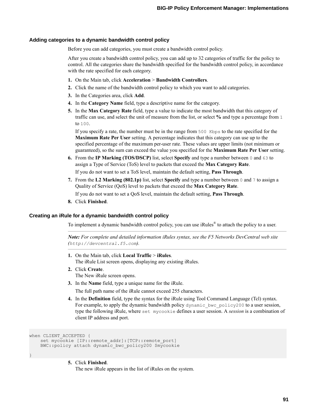#### <span id="page-90-0"></span>**Adding categories to a dynamic bandwidth control policy**

Before you can add categories, you must create a bandwidth control policy.

After you create a bandwidth control policy, you can add up to 32 categories of traffic for the policy to control. All the categories share the bandwidth specified for the bandwidth control policy, in accordance with the rate specified for each category.

- **1.** On the Main tab, click **Acceleration** > **Bandwidth Controllers**.
- **2.** Click the name of the bandwidth control policy to which you want to add categories.
- **3.** In the Categories area, click **Add**.
- **4.** In the **Category Name** field, type a descriptive name for the category.
- **5.** In the **Max Category Rate** field, type a value to indicate the most bandwidth that this category of traffic can use, and select the unit of measure from the list, or select **%** and type a percentage from 1 to 100.

If you specify a rate, the number must be in the range from 500 Kbps to the rate specified for the **Maximum Rate Per User** setting. A percentage indicates that this category can use up to the specified percentage of the maximum per-user rate. These values are upper limits (not minimum or guaranteed), so the sum can exceed the value you specified for the **Maximum Rate Per User** setting.

- **6.** From the **IP Marking (TOS/DSCP)** list, select **Specify** and type a number between 0 and 63 to assign a Type of Service (ToS) level to packets that exceed the **Max Category Rate**. If you do not want to set a ToS level, maintain the default setting, **Pass Through**.
- **7.** From the **L2 Marking (802.1p)** list, select **Specify** and type a number between 0 and 7 to assign a Quality of Service (QoS) level to packets that exceed the **Max Category Rate**.

If you do not want to set a QoS level, maintain the default setting, **Pass Through**.

**8.** Click **Finished**.

#### **Creating an iRule for a dynamic bandwidth control policy**

To implement a dynamic bandwidth control policy, you can use iRules<sup>®</sup> to attach the policy to a user.

*Note: For complete and detailed information iRules syntax, see the F5 Networks DevCentral web site (http://devcentral.f5.com).*

- **1.** On the Main tab, click **Local Traffic** > **iRules**. The iRule List screen opens, displaying any existing iRules.
- **2.** Click **Create**.

The New iRule screen opens.

**3.** In the **Name** field, type a unique name for the iRule.

The full path name of the iRule cannot exceed 255 characters.

**4.** In the **Definition** field, type the syntax for the iRule using Tool Command Language (Tcl) syntax. For example, to apply the dynamic bandwidth policy dynamic bwc policy200 to a user session, type the following iRule, where set mycookie defines a user session. A *session* is a combination of client IP address and port.

```
when CLIENT_ACCEPTED {
set mycookie [IP::remote addr]:[TCP::remote port]
 BWC::policy attach dynamic_bwc_policy200 $mycookie
```
#### **5.** Click **Finished**.

}

The new iRule appears in the list of iRules on the system.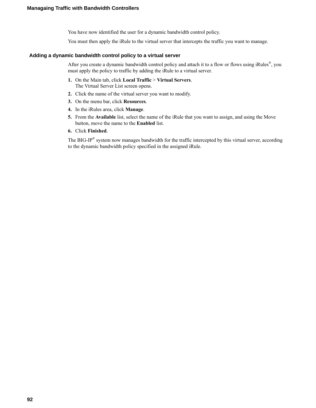You have now identified the user for a dynamic bandwidth control policy.

You must then apply the iRule to the virtual server that intercepts the traffic you want to manage.

#### <span id="page-91-0"></span>**Adding a dynamic bandwidth control policy to a virtual server**

After you create a dynamic bandwidth control policy and attach it to a flow or flows using iRules<sup>®</sup>, you must apply the policy to traffic by adding the iRule to a virtual server.

- **1.** On the Main tab, click **Local Traffic** > **Virtual Servers**. The Virtual Server List screen opens.
- **2.** Click the name of the virtual server you want to modify.
- **3.** On the menu bar, click **Resources**.
- **4.** In the iRules area, click **Manage**.
- **5.** From the **Available** list, select the name of the iRule that you want to assign, and using the Move button, move the name to the **Enabled** list.
- **6.** Click **Finished**.

The BIG-IP<sup>®</sup> system now manages bandwidth for the traffic intercepted by this virtual server, according to the dynamic bandwidth policy specified in the assigned iRule.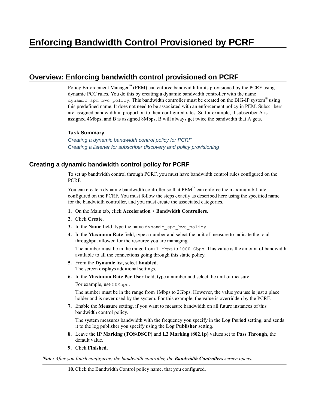## **Overview: Enforcing bandwidth control provisioned on PCRF**

Policy Enforcement Manager<sup>™</sup> (PEM) can enforce bandwidth limits provisioned by the PCRF using dynamic PCC rules. You do this by creating a dynamic bandwidth controller with the name dynamic\_spm\_bwc\_policy. This bandwidth controller must be created on the BIG-IP system® using this predefined name. It does not need to be associated with an enforcement policy in PEM. Subscribers are assigned bandwidth in proportion to their configured rates. So for example, if subscriber A is assigned 4Mbps, and B is assigned 8Mbps, B will always get twice the bandwidth that A gets.

## **Task Summary**

Creating a dynamic bandwidth control policy for PCRF [Creating a listener for subscriber discovery and policy provisioning](#page-76-0)

## **Creating a dynamic bandwidth control policy for PCRF**

To set up bandwidth control through PCRF, you must have bandwidth control rules configured on the PCRF.

You can create a dynamic bandwidth controller so that PEM™ can enforce the maximum bit rate configured on the PCRF. You must follow the steps exactly as described here using the specified name for the bandwidth controller, and you must create the associated categories.

- **1.** On the Main tab, click **Acceleration** > **Bandwidth Controllers**.
- **2.** Click **Create**.
- **3.** In the **Name** field, type the name dynamic\_spm\_bwc\_policy.
- **4.** In the **Maximum Rate** field, type a number and select the unit of measure to indicate the total throughput allowed for the resource you are managing.

The number must be in the range from  $1$  Mbps to 1000 Gbps. This value is the amount of bandwidth available to all the connections going through this static policy.

- **5.** From the **Dynamic** list, select **Enabled**. The screen displays additional settings.
- **6.** In the **Maximum Rate Per User** field, type a number and select the unit of measure.

For example, use 50Mbps.

The number must be in the range from 1Mbps to 2Gbps. However, the value you use is just a place holder and is never used by the system. For this example, the value is overridden by the PCRF.

**7.** Enable the **Measure** setting, if you want to measure bandwidth on all future instances of this bandwidth control policy.

The system measures bandwidth with the frequency you specify in the **Log Period** setting, and sends it to the log publisher you specify using the **Log Publisher** setting.

- **8.** Leave the **IP Marking (TOS/DSCP)** and **L2 Marking (802.1p)** values set to **Pass Through**, the default value.
- **9.** Click **Finished**.

*Note: After you finish configuring the bandwidth controller, the Bandwidth Controllers screen opens.*

**10.** Click the Bandwidth Control policy name, that you configured.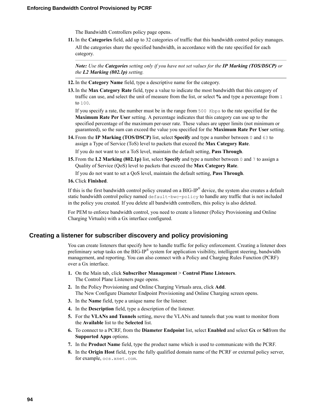The Bandwidth Controllers policy page opens.

**11.** In the **Categories** field, add up to 32 categories of traffic that this bandwidth control policy manages. All the categories share the specified bandwidth, in accordance with the rate specified for each category.

*Note: Use the Categories setting only if you have not set values for the IP Marking (TOS/DSCP) or the L2 Marking (802.1p) setting.*

- **12.** In the **Category Name** field, type a descriptive name for the category.
- **13.** In the **Max Category Rate** field, type a value to indicate the most bandwidth that this category of traffic can use, and select the unit of measure from the list, or select **%** and type a percentage from 1 to 100.

If you specify a rate, the number must be in the range from 500 Kbps to the rate specified for the **Maximum Rate Per User** setting. A percentage indicates that this category can use up to the specified percentage of the maximum per-user rate. These values are upper limits (not minimum or guaranteed), so the sum can exceed the value you specified for the **Maximum Rate Per User** setting.

- **14.**From the **IP Marking (TOS/DSCP)** list, select **Specify** and type a number between 0 and 63 to assign a Type of Service (ToS) level to packets that exceed the **Max Category Rate**. If you do not want to set a ToS level, maintain the default setting, **Pass Through**.
- **15.**From the **L2 Marking (802.1p)** list, select **Specify** and type a number between 0 and 7 to assign a Quality of Service (QoS) level to packets that exceed the **Max Category Rate**.

If you do not want to set a QoS level, maintain the default setting, **Pass Through**.

**16.** Click **Finished**.

If this is the first bandwidth control policy created on a BIG-IP<sup>®</sup> device, the system also creates a default static bandwidth control policy named default-bwc-policy to handle any traffic that is not included in the policy you created. If you delete all bandwidth controllers, this policy is also deleted.

For PEM to enforce bandwidth control, you need to create a listener (Policy Provisioning and Online Charging Virtuals) with a Gx interface configured.

### **Creating a listener for subscriber discovery and policy provisioning**

You can create listeners that specify how to handle traffic for policy enforcement. Creating a listener does preliminary setup tasks on the BIG-IP<sup>®</sup> system for application visibility, intelligent steering, bandwidth management, and reporting. You can also connect with a Policy and Charging Rules Function (PCRF) over a Gx interface.

- **1.** On the Main tab, click **Subscriber Management** > **Control Plane Listeners**. The Control Plane Listeners page opens.
- **2.** In the Policy Provisioning and Online Charging Virtuals area, click **Add**. The New Configure Diameter Endpoint Provisioning and Online Charging screen opens.
- **3.** In the **Name** field, type a unique name for the listener.
- **4.** In the **Description** field, type a description of the listener.
- **5.** For the **VLANs and Tunnels** setting, move the VLANs and tunnels that you want to monitor from the **Available** list to the **Selected** list.
- **6.** To connect to a PCRF, from the **Diameter Endpoint** list, select **Enabled** and select **Gx** or **Sd**from the **Supported Apps** options.
- **7.** In the **Product Name** field, type the product name which is used to communicate with the PCRF.
- **8.** In the **Origin Host** field, type the fully qualified domain name of the PCRF or external policy server, for example, ocs.xnet.com.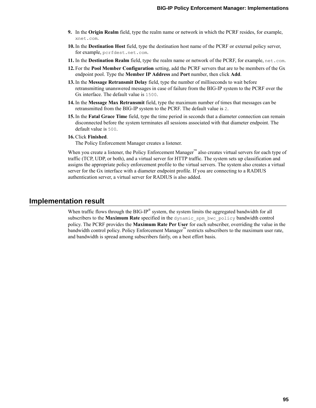- **9.** In the **Origin Realm** field, type the realm name or network in which the PCRF resides, for example, xnet.com.
- **10.** In the **Destination Host** field, type the destination host name of the PCRF or external policy server, for example, pcrfdest.net.com.
- **11.** In the **Destination Realm** field, type the realm name or network of the PCRF, for example, net.com.
- **12.**For the **Pool Member Configuration** setting, add the PCRF servers that are to be members of the Gx endpoint pool. Type the **Member IP Address** and **Port** number, then click **Add**.
- **13.** In the **Message Retransmit Delay** field, type the number of milliseconds to wait before retransmitting unanswered messages in case of failure from the BIG-IP system to the PCRF over the Gx interface. The default value is 1500.
- **14.** In the **Message Max Retransmit** field, type the maximum number of times that messages can be retransmitted from the BIG-IP system to the PCRF. The default value is 2.
- **15.** In the **Fatal Grace Time** field, type the time period in seconds that a diameter connection can remain disconnected before the system terminates all sessions associated with that diameter endpoint. The default value is 500.
- **16.** Click **Finished**.

The Policy Enforcement Manager creates a listener.

When you create a listener, the Policy Enforcement Manager™ also creates virtual servers for each type of traffic (TCP, UDP, or both), and a virtual server for HTTP traffic. The system sets up classification and assigns the appropriate policy enforcement profile to the virtual servers. The system also creates a virtual server for the Gx interface with a diameter endpoint profile. If you are connecting to a RADIUS authentication server, a virtual server for RADIUS is also added.

## **Implementation result**

When traffic flows through the BIG-IP<sup>®</sup> system, the system limits the aggregated bandwidth for all subscribers to the **Maximum Rate** specified in the dynamic\_spm\_bwc\_policy bandwidth control policy. The PCRF provides the **Maximum Rate Per User** for each subscriber, overriding the value in the bandwidth control policy. Policy Enforcement Manager™ restricts subscribers to the maximum user rate, and bandwidth is spread among subscribers fairly, on a best effort basis.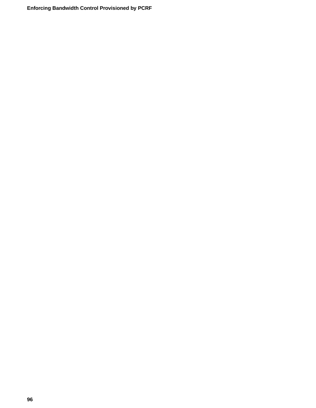**Enforcing Bandwidth Control Provisioned by PCRF**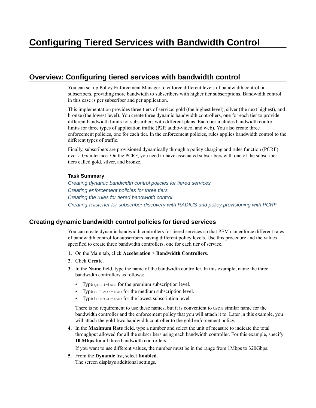## **Overview: Configuring tiered services with bandwidth control**

You can set up Policy Enforcement Manager to enforce different levels of bandwidth control on subscribers, providing more bandwidth to subscribers with higher tier subscriptions. Bandwidth control in this case is per subscriber and per application.

This implementation provides three tiers of service: gold (the highest level), silver (the next highest), and bronze (the lowest level). You create three dynamic bandwidth controllers, one for each tier to provide different bandwidth limits for subscribers with different plans. Each tier includes bandwidth control limits for three types of application traffic (P2P, audio-video, and web). You also create three enforcement policies, one for each tier. In the enforcement policies, rules applies bandwidth control to the different types of traffic.

Finally, subscribers are provisioned dynamically through a policy charging and rules function (PCRF) over a Gx interface. On the PCRF, you need to have associated subscribers with one of the subscriber tiers called gold, silver, and bronze.

### **Task Summary**

Creating dynamic bandwidth control policies for tiered services [Creating enforcement policies for three tiers](#page-97-0) [Creating the rules for tiered bandwidth control](#page-97-0) [Creating a listener for subscriber discovery with RADIUS and policy provisioning with PCRF](#page-99-0)

## **Creating dynamic bandwidth control policies for tiered services**

You can create dynamic bandwidth controllers for tiered services so that PEM can enforce different rates of bandwidth control for subscribers having different policy levels. Use this procedure and the values specified to create three bandwidth controllers, one for each tier of service.

- **1.** On the Main tab, click **Acceleration** > **Bandwidth Controllers**.
- **2.** Click **Create**.
- **3.** In the **Name** field, type the name of the bandwidth controller. In this example, name the three bandwidth controllers as follows:
	- Type gold-bwc for the premium subscription level.
	- Type silver-bwc for the medium subscription level.
	- Type bronze-bwc for the lowest subscription level.

There is no requirement to use these names, but it is convenient to use a similar name for the bandwidth controller and the enforcement policy that you will attach it to. Later in this example, you will attach the gold-bwc bandwidth controller to the gold enforcement policy.

**4.** In the **Maximum Rate** field, type a number and select the unit of measure to indicate the total throughput allowed for all the subscribers using each bandwidth controller. For this example, specify **10 Mbps** for all three bandwidth controllers

If you want to use different values, the number must be in the range from 1Mbps to 320Gbps.

**5.** From the **Dynamic** list, select **Enabled**. The screen displays additional settings.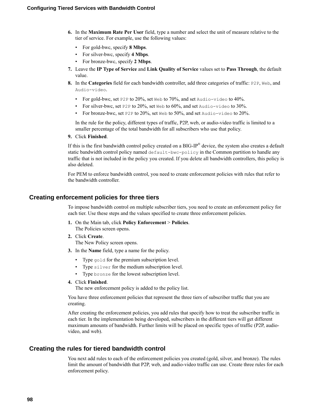- <span id="page-97-0"></span>**6.** In the **Maximum Rate Per User** field, type a number and select the unit of measure relative to the tier of service. For example, use the following values:
	- For gold-bwc, specify **8 Mbps**.
	- For silver-bwc, specify **4 Mbps**.
	- For bronze-bwc, specify **2 Mbps**.
- **7.** Leave the **IP Type of Service** and **Link Quality of Service** values set to **Pass Through**, the default value.
- **8.** In the **Categories** field for each bandwidth controller, add three categories of traffic: P2P, Web, and Audio-video.
	- For gold-bwc, set P2P to  $20\%$ , set Web to  $70\%$ , and set Audio-video to  $40\%$ .
	- For silver-bwc, set P2P to 20%, set Web to 60%, and set Audio-video to 30%.
	- For bronze-bwc, set P2P to 20%, set Web to 50%, and set Audio-video to 20%.

In the rule for the policy, different types of traffic, P2P, web, or audio-video traffic is limited to a smaller percentage of the total bandwidth for all subscribers who use that policy.

#### **9.** Click **Finished**.

If this is the first bandwidth control policy created on a BIG-IP<sup>®</sup> device, the system also creates a default static bandwidth control policy named default-bwc-policy in the Common partition to handle any traffic that is not included in the policy you created. If you delete all bandwidth controllers, this policy is also deleted.

For PEM to enforce bandwidth control, you need to create enforcement policies with rules that refer to the bandwidth controller.

#### **Creating enforcement policies for three tiers**

To impose bandwidth control on multiple subscriber tiers, you need to create an enforcement policy for each tier. Use these steps and the values specified to create three enforcement policies.

- **1.** On the Main tab, click **Policy Enforcement** > **Policies**. The Policies screen opens.
- **2.** Click **Create**.

The New Policy screen opens.

- **3.** In the **Name** field, type a name for the policy.
	- Type gold for the premium subscription level.
	- Type silver for the medium subscription level.
	- Type bronze for the lowest subscription level.
- **4.** Click **Finished**.

The new enforcement policy is added to the policy list.

You have three enforcement policies that represent the three tiers of subscriber traffic that you are creating.

After creating the enforcement policies, you add rules that specify how to treat the subscriber traffic in each tier. In the implementation being developed, subscribers in the different tiers will get different maximum amounts of bandwidth. Further limits will be placed on specific types of traffic (P2P, audiovideo, and web).

### **Creating the rules for tiered bandwidth control**

You next add rules to each of the enforcement policies you created (gold, silver, and bronze). The rules limit the amount of bandwidth that P2P, web, and audio-video traffic can use. Create three rules for each enforcement policy.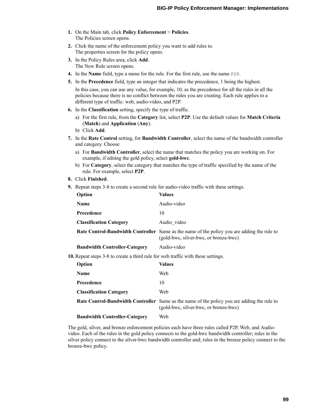- **1.** On the Main tab, click **Policy Enforcement** > **Policies**. The Policies screen opens.
- **2.** Click the name of the enforcement policy you want to add rules to. The properties screen for the policy opens.
- **3.** In the Policy Rules area, click **Add**. The New Rule screen opens.
- **4.** In the **Name** field, type a name for the rule. For the first rule, use the name P2P.
- **5.** In the **Precedence** field, type an integer that indicates the precedence, 1 being the highest.

In this case, you can use any value, for example, 10, as the precedence for all the rules in all the policies because there is no conflict between the rules you are creating. Each rule applies to a different type of traffic: web, audio-video, and P2P.

- **6.** In the **Classification** setting, specify the type of traffic.
	- a) For the first rule, from the **Category** list, select **P2P**. Use the default values for **Match Criteria** (**Match**) and **Application** (**Any**).
	- b) Click **Add**.
- **7.** In the **Rate Control** setting, for **Bandwidth Controller**, select the name of the bandwidth controller and category. Choose
	- a) For **Bandwidth Controller**, select the name that matches the policy you are working on. For example, if editing the gold policy, select **gold-bwc**.
	- b) For **Category**, select the category that matches the type of traffic specified by the name of the rule. For example, select **P2P**.
- **8.** Click **Finished**.
- **9.** Repeat steps 3-8 to create a second rule for audio-video traffic with these settings.

| Option                                                                           | <b>Values</b>                                                                                                                               |
|----------------------------------------------------------------------------------|---------------------------------------------------------------------------------------------------------------------------------------------|
| <b>Name</b>                                                                      | Audio-video                                                                                                                                 |
| Precedence                                                                       | 10                                                                                                                                          |
| <b>Classification Category</b>                                                   | Audio video                                                                                                                                 |
|                                                                                  | <b>Rate Control-Bandwidth Controller</b> Same as the name of the policy you are adding the rule to<br>(gold-bwc, silver-bwc, or bronze-bwc) |
| <b>Bandwidth Controller-Category</b>                                             | Audio-video                                                                                                                                 |
| 10. Repeat steps 3-8 to create a third rule for web traffic with these settings. |                                                                                                                                             |
| Option                                                                           | <b>Values</b>                                                                                                                               |
| <b>Name</b>                                                                      | Web                                                                                                                                         |
| Precedence                                                                       | 10                                                                                                                                          |
| <b>Classification Category</b>                                                   | Web                                                                                                                                         |
|                                                                                  | <b>Rate Control-Bandwidth Controller</b> Same as the name of the policy you are adding the rule to<br>(gold-bwc, silver-bwc, or bronze-bwc) |
| <b>Bandwidth Controller-Category</b>                                             | Web                                                                                                                                         |

The gold, silver, and bronze enforcement policies each have three rules called P2P, Web, and Audiovideo. Each of the rules in the gold policy connects to the gold-bwc bandwidth controller; rules in the silver policy connect to the silver-bwc bandwidth controller and; rules in the bronze policy connect to the bronze-bwc policy.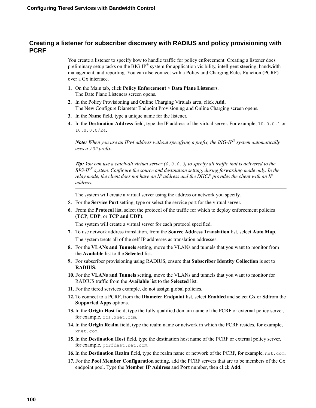## <span id="page-99-0"></span>**Creating a listener for subscriber discovery with RADIUS and policy provisioning with PCRF**

You create a listener to specify how to handle traffic for policy enforcement. Creating a listener does preliminary setup tasks on the BIG-IP® system for application visibility, intelligent steering, bandwidth management, and reporting. You can also connect with a Policy and Charging Rules Function (PCRF) over a Gx interface.

- **1.** On the Main tab, click **Policy Enforcement** > **Data Plane Listeners**. The Date Plane Listeners screen opens.
- **2.** In the Policy Provisioning and Online Charging Virtuals area, click **Add**. The New Configure Diameter Endpoint Provisioning and Online Charging screen opens.
- **3.** In the **Name** field, type a unique name for the listener.
- **4.** In the **Destination Address** field, type the IP address of the virtual server. For example, 10.0.0.1 or 10.0.0.0/24.

*Note: When you use an IPv4 address without specifying a prefix, the BIG-IP® system automatically uses a /32 prefix.*

*Tip: You can use a catch-all virtual server (0.0.0.0) to specify all traffic that is delivered to the BIG-IP® system. Configure the source and destination setting, during forwarding mode only. In the relay mode, the client does not have an IP address and the DHCP provides the client with an IP address.*

The system will create a virtual server using the address or network you specify.

- **5.** For the **Service Port** setting, type or select the service port for the virtual server.
- **6.** From the **Protocol** list, select the protocol of the traffic for which to deploy enforcement policies (**TCP**, **UDP**, or **TCP and UDP**).

The system will create a virtual server for each protocol specified.

- **7.** To use network address translation, from the **Source Address Translation** list, select **Auto Map**. The system treats all of the self IP addresses as translation addresses.
- **8.** For the **VLANs and Tunnels** setting, move the VLANs and tunnels that you want to monitor from the **Available** list to the **Selected** list.
- **9.** For subscriber provisioning using RADIUS, ensure that **Subscriber Identity Collection** is set to **RADIUS**.
- **10.**For the **VLANs and Tunnels** setting, move the VLANs and tunnels that you want to monitor for RADIUS traffic from the **Available** list to the **Selected** list.
- **11.** For the tiered services example, do not assign global policies.
- **12.** To connect to a PCRF, from the **Diameter Endpoint** list, select **Enabled** and select **Gx** or **Sd**from the **Supported Apps** options.
- **13.** In the **Origin Host** field, type the fully qualified domain name of the PCRF or external policy server, for example, ocs.xnet.com.
- **14.** In the **Origin Realm** field, type the realm name or network in which the PCRF resides, for example, xnet.com.
- **15.** In the **Destination Host** field, type the destination host name of the PCRF or external policy server, for example, pcrfdest.net.com.
- **16.** In the **Destination Realm** field, type the realm name or network of the PCRF, for example, net.com.
- **17.**For the **Pool Member Configuration** setting, add the PCRF servers that are to be members of the Gx endpoint pool. Type the **Member IP Address** and **Port** number, then click **Add**.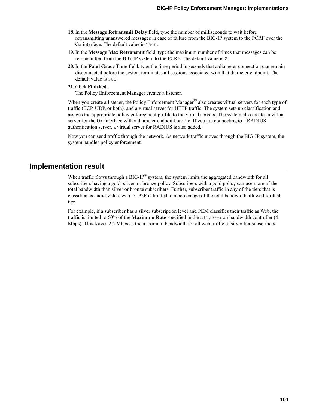- **18.** In the **Message Retransmit Delay** field, type the number of milliseconds to wait before retransmitting unanswered messages in case of failure from the BIG-IP system to the PCRF over the Gx interface. The default value is 1500.
- **19.** In the **Message Max Retransmit** field, type the maximum number of times that messages can be retransmitted from the BIG-IP system to the PCRF. The default value is 2.
- **20.** In the **Fatal Grace Time** field, type the time period in seconds that a diameter connection can remain disconnected before the system terminates all sessions associated with that diameter endpoint. The default value is 500.
- **21.** Click **Finished**.

The Policy Enforcement Manager creates a listener.

When you create a listener, the Policy Enforcement Manager™ also creates virtual servers for each type of traffic (TCP, UDP, or both), and a virtual server for HTTP traffic. The system sets up classification and assigns the appropriate policy enforcement profile to the virtual servers. The system also creates a virtual server for the Gx interface with a diameter endpoint profile. If you are connecting to a RADIUS authentication server, a virtual server for RADIUS is also added.

Now you can send traffic through the network. As network traffic moves through the BIG-IP system, the system handles policy enforcement.

## **Implementation result**

When traffic flows through a BIG-IP<sup>®</sup> system, the system limits the aggregated bandwidth for all subscribers having a gold, silver, or bronze policy. Subscribers with a gold policy can use more of the total bandwidth than silver or bronze subscribers. Further, subscriber traffic in any of the tiers that is classified as audio-video, web, or P2P is limited to a percentage of the total bandwidth allowed for that tier.

For example, if a subscriber has a silver subscription level and PEM classifies their traffic as Web, the traffic is limited to 60% of the **Maximum Rate** specified in the silver-bwc bandwidth controller (4 Mbps). This leaves 2.4 Mbps as the maximum bandwidth for all web traffic of silver tier subscribers.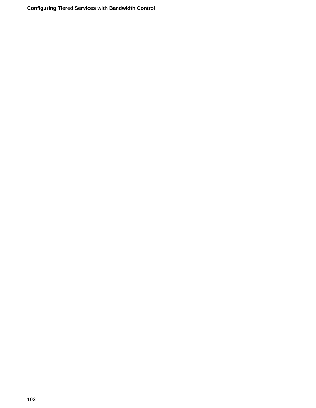**Configuring Tiered Services with Bandwidth Control**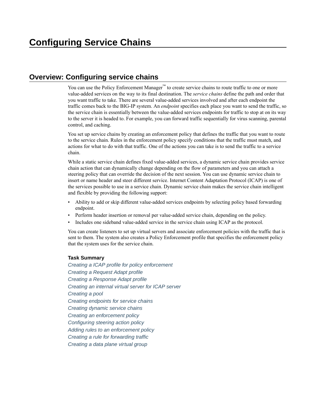## **Overview: Configuring service chains**

You can use the Policy Enforcement Manager™ to create service chains to route traffic to one or more value-added services on the way to its final destination. The *service chains* define the path and order that you want traffic to take. There are several value-added services involved and after each endpoint the traffic comes back to the BIG-IP system. An *endpoint* specifies each place you want to send the traffic, so the service chain is essentially between the value-added services endpoints for traffic to stop at on its way to the server it is headed to. For example, you can forward traffic sequentially for virus scanning, parental control, and caching.

You set up service chains by creating an enforcement policy that defines the traffic that you want to route to the service chain. Rules in the enforcement policy specify conditions that the traffic must match, and actions for what to do with that traffic. One of the actions you can take is to send the traffic to a service chain.

While a static service chain defines fixed value-added services, a dynamic service chain provides service chain action that can dynamically change depending on the flow of parameters and you can attach a steering policy that can override the decision of the next session. You can use dynamic service chain to insert or name header and steer different service. Internet Content Adaptation Protocol (ICAP) is one of the services possible to use in a service chain. Dynamic service chain makes the service chain intelligent and flexible by providing the following support:

- Ability to add or skip different value-added services endpoints by selecting policy based forwarding endpoint.
- Perform header insertion or removal per value-added service chain, depending on the policy.
- Includes one sideband value-added service in the service chain using ICAP as the protocol.

You can create listeners to set up virtual servers and associate enforcement policies with the traffic that is sent to them. The system also creates a Policy Enforcement profile that specifies the enforcement policy that the system uses for the service chain.

#### **Task Summary**

[Creating a ICAP profile for policy enforcement](#page-103-0) [Creating a Request Adapt profile](#page-103-0) [Creating a Response Adapt profile](#page-104-0) [Creating an internal virtual server for ICAP server](#page-105-0) [Creating a pool](#page-19-0) [Creating endpoints for service chains](#page-105-0) [Creating dynamic service chains](#page-106-0) [Creating an enforcement policy](#page-20-0) [Configuring steering action policy](#page-108-0) [Adding rules to an enforcement policy](#page-22-0) [Creating a rule for forwarding traffic](#page-26-0) [Creating a data plane virtual group](#page-15-0)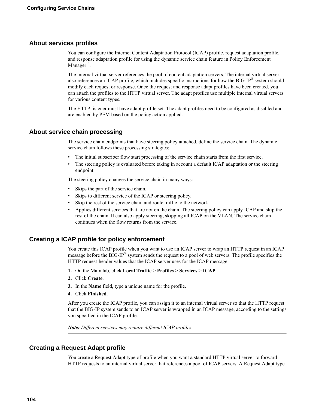## <span id="page-103-0"></span>**About services profiles**

You can configure the Internet Content Adaptation Protocol (ICAP) profile, request adaptation profile, and response adaptation profile for using the dynamic service chain feature in Policy Enforcement Manager™ .

The internal virtual server references the pool of content adaptation servers. The internal virtual server also references an ICAP profile, which includes specific instructions for how the BIG-IP® system should modify each request or response. Once the request and response adapt profiles have been created, you can attach the profiles to the HTTP virtual server. The adapt profiles use multiple internal virtual servers for various content types.

The HTTP listener must have adapt profile set. The adapt profiles need to be configured as disabled and are enabled by PEM based on the policy action applied.

### **About service chain processing**

The service chain endpoints that have steering policy attached, define the service chain. The dynamic service chain follows these processing strategies:

- The initial subscriber flow start processing of the service chain starts from the first service.
- The steering policy is evaluated before taking in account a default ICAP adaptation or the steering endpoint.

The steering policy changes the service chain in many ways:

- Skips the part of the service chain.
- Skips to different service of the ICAP or steering policy.
- Skip the rest of the service chain and route traffic to the network.
- Applies different services that are not on the chain. The steering policy can apply ICAP and skip the rest of the chain. It can also apply steering, skipping all ICAP on the VLAN. The service chain continues when the flow returns from the service.

## **Creating a ICAP profile for policy enforcement**

You create this ICAP profile when you want to use an ICAP server to wrap an HTTP request in an ICAP message before the BIG-IP<sup>®</sup> system sends the request to a pool of web servers. The profile specifies the HTTP request-header values that the ICAP server uses for the ICAP message.

- **1.** On the Main tab, click **Local Traffic** > **Profiles** > **Services** > **ICAP**.
- **2.** Click **Create**.
- **3.** In the **Name** field, type a unique name for the profile.
- **4.** Click **Finished**.

After you create the ICAP profile, you can assign it to an internal virtual server so that the HTTP request that the BIG-IP system sends to an ICAP server is wrapped in an ICAP message, according to the settings you specified in the ICAP profile.

*Note: Different services may require different ICAP profiles.*

## **Creating a Request Adapt profile**

You create a Request Adapt type of profile when you want a standard HTTP virtual server to forward HTTP requests to an internal virtual server that references a pool of ICAP servers. A Request Adapt type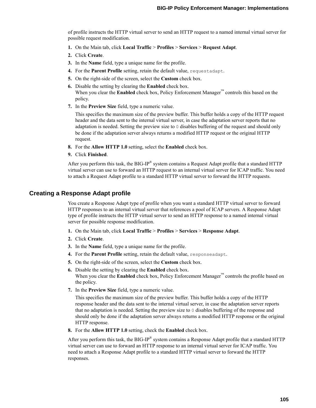<span id="page-104-0"></span>of profile instructs the HTTP virtual server to send an HTTP request to a named internal virtual server for possible request modification.

- **1.** On the Main tab, click **Local Traffic** > **Profiles** > **Services** > **Request Adapt**.
- **2.** Click **Create**.
- **3.** In the **Name** field, type a unique name for the profile.
- **4.** For the **Parent Profile** setting, retain the default value, requestadapt.
- **5.** On the right-side of the screen, select the **Custom** check box.
- **6.** Disable the setting by clearing the **Enabled** check box. When you clear the **Enabled** check box, Policy Enforcement Manager™ controls this based on the policy.
- **7.** In the **Preview Size** field, type a numeric value.

This specifies the maximum size of the preview buffer. This buffer holds a copy of the HTTP request header and the data sent to the internal virtual server, in case the adaptation server reports that no adaptation is needed. Setting the preview size to 0 disables buffering of the request and should only be done if the adaptation server always returns a modified HTTP request or the original HTTP request.

- **8.** For the **Allow HTTP 1.0** setting, select the **Enabled** check box.
- **9.** Click **Finished**.

After you perform this task, the BIG-IP® system contains a Request Adapt profile that a standard HTTP virtual server can use to forward an HTTP request to an internal virtual server for ICAP traffic. You need to attach a Request Adapt profile to a standard HTTP virtual server to forward the HTTP requests.

#### **Creating a Response Adapt profile**

You create a Response Adapt type of profile when you want a standard HTTP virtual server to forward HTTP responses to an internal virtual server that references a pool of ICAP servers. A Response Adapt type of profile instructs the HTTP virtual server to send an HTTP response to a named internal virtual server for possible response modification.

- **1.** On the Main tab, click **Local Traffic** > **Profiles** > **Services** > **Response Adapt**.
- **2.** Click **Create**.
- **3.** In the **Name** field, type a unique name for the profile.
- **4.** For the **Parent Profile** setting, retain the default value, responseadapt.
- **5.** On the right-side of the screen, select the **Custom** check box.
- **6.** Disable the setting by clearing the **Enabled** check box. When you clear the **Enabled** check box, Policy Enforcement Manager<sup>™</sup> controls the profile based on the policy.
- **7.** In the **Preview Size** field, type a numeric value.

This specifies the maximum size of the preview buffer. This buffer holds a copy of the HTTP response header and the data sent to the internal virtual server, in case the adaptation server reports that no adaptation is needed. Setting the preview size to  $\circ$  disables buffering of the response and should only be done if the adaptation server always returns a modified HTTP response or the original HTTP response.

**8.** For the **Allow HTTP 1.0** setting, check the **Enabled** check box.

After you perform this task, the BIG-IP<sup>®</sup> system contains a Response Adapt profile that a standard HTTP virtual server can use to forward an HTTP response to an internal virtual server for ICAP traffic. You need to attach a Response Adapt profile to a standard HTTP virtual server to forward the HTTP responses.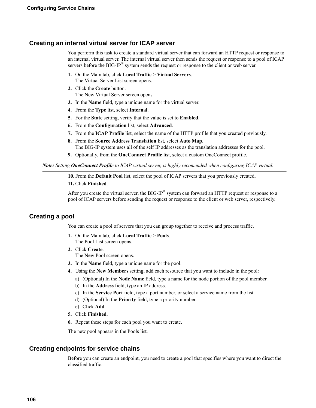### <span id="page-105-0"></span>**Creating an internal virtual server for ICAP server**

You perform this task to create a standard virtual server that can forward an HTTP request or response to an internal virtual server. The internal virtual server then sends the request or response to a pool of ICAP servers before the BIG-IP<sup>®</sup> system sends the request or response to the client or web server.

- **1.** On the Main tab, click **Local Traffic** > **Virtual Servers**. The Virtual Server List screen opens.
- **2.** Click the **Create** button. The New Virtual Server screen opens.
- **3.** In the **Name** field, type a unique name for the virtual server.
- **4.** From the **Type** list, select **Internal**.
- **5.** For the **State** setting, verify that the value is set to **Enabled**.
- **6.** From the **Configuration** list, select **Advanced**.
- **7.** From the **ICAP Profile** list, select the name of the HTTP profile that you created previously.
- **8.** From the **Source Address Translation** list, select **Auto Map**. The BIG-IP system uses all of the self IP addresses as the translation addresses for the pool.
- **9.** Optionally, from the **OneConnect Profile** list, select a custom OneConnect profile.

*Note: Setting OneConnect Profile to ICAP virtual server, is highly recomended when configuring ICAP virtual.*

**10.**From the **Default Pool** list, select the pool of ICAP servers that you previously created.

#### **11.** Click **Finished**.

After you create the virtual server, the BIG-IP<sup>®</sup> system can forward an HTTP request or response to a pool of ICAP servers before sending the request or response to the client or web server, respectively.

### **Creating a pool**

You can create a pool of servers that you can group together to receive and process traffic.

- **1.** On the Main tab, click **Local Traffic** > **Pools**. The Pool List screen opens.
- **2.** Click **Create**. The New Pool screen opens.
- **3.** In the **Name** field, type a unique name for the pool.
- **4.** Using the **New Members** setting, add each resource that you want to include in the pool:
	- a) (Optional) In the **Node Name** field, type a name for the node portion of the pool member.
	- b) In the **Address** field, type an IP address.
	- c) In the **Service Port** field, type a port number, or select a service name from the list.
	- d) (Optional) In the **Priority** field, type a priority number.
	- e) Click **Add**.
- **5.** Click **Finished**.
- **6.** Repeat these steps for each pool you want to create.

The new pool appears in the Pools list.

#### **Creating endpoints for service chains**

Before you can create an endpoint, you need to create a pool that specifies where you want to direct the classified traffic.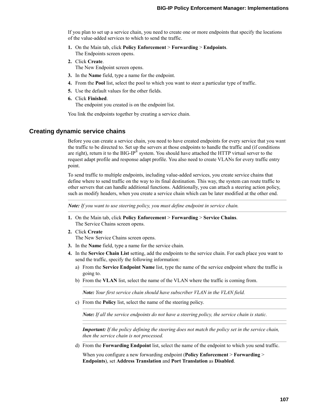<span id="page-106-0"></span>If you plan to set up a service chain, you need to create one or more endpoints that specify the locations of the value-added services to which to send the traffic.

- **1.** On the Main tab, click **Policy Enforcement** > **Forwarding** > **Endpoints**. The Endpoints screen opens.
- **2.** Click **Create**.

The New Endpoint screen opens.

- **3.** In the **Name** field, type a name for the endpoint.
- **4.** From the **Pool** list, select the pool to which you want to steer a particular type of traffic.
- **5.** Use the default values for the other fields.
- **6.** Click **Finished**.

The endpoint you created is on the endpoint list.

You link the endpoints together by creating a service chain.

### **Creating dynamic service chains**

Before you can create a service chain, you need to have created endpoints for every service that you want the traffic to be directed to. Set up the servers at those endpoints to handle the traffic and (if conditions are right), return it to the BIG-IP<sup>®</sup> system. You should have attached the HTTP virtual server to the request adapt profile and response adapt profile. You also need to create VLANs for every traffic entry point.

To send traffic to multiple endpoints, including value-added services, you create service chains that define where to send traffic on the way to its final destination. This way, the system can route traffic to other servers that can handle additional functions. Additionally, you can attach a steering action policy, such as modify headers, when you create a service chain which can be later modified at the other end.

*Note: If you want to use steering policy, you must define endpoint in service chain.*

- **1.** On the Main tab, click **Policy Enforcement** > **Forwarding** > **Service Chains**. The Service Chains screen opens.
- **2.** Click **Create**

The New Service Chains screen opens.

- **3.** In the **Name** field, type a name for the service chain.
- **4.** In the **Service Chain List** setting, add the endpoints to the service chain. For each place you want to send the traffic, specify the following information:
	- a) From the **Service Endpoint Name** list, type the name of the service endpoint where the traffic is going to.
	- b) From the **VLAN** list, select the name of the VLAN where the traffic is coming from.

*Note: Your first service chain should have subscriber VLAN in the VLAN field.*

c) From the **Policy** list, select the name of the steering policy.

*Note: If all the service endpoints do not have a steering policy, the service chain is static.*

*Important: If the policy defining the steering does not match the policy set in the service chain, then the service chain is not processed.*

d) From the **Forwarding Endpoint** list, select the name of the endpoint to which you send traffic.

When you configure a new forwarding endpoint (**Policy Enforcement** > **Forwarding** > **Endpoints**), set **Address Translation** and **Port Translation** as **Disabled**.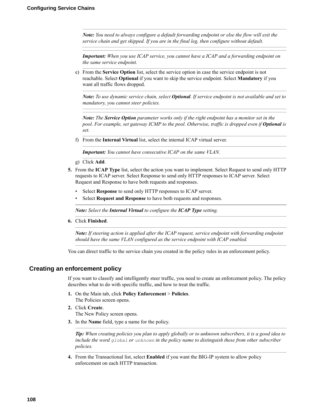*Note: You need to always configure a default forwarding endpoint or else the flow will exit the service chain and get skipped. If you are in the final leg, then configure without default.*

*Important: When you use ICAP service, you cannot have a ICAP and a forwarding endpoint on the same service endpoint.*

e) From the **Service Option** list, select the service option in case the service endpoint is not reachable. Select **Optional** if you want to skip the service endpoint. Select **Mandatory** if you want all traffic flows dropped.

*Note: To use dynamic service chain, select Optional. If service endpoint is not available and set to mandatory, you cannot steer policies.*

*Note: The Service Option parameter works only if the right endpoint has a monitor set in the pool. For example, set gateway ICMP to the pool. Otherwise, traffic is dropped even if Optional is set.*

f) From the **Internal Virtual** list, select the internal ICAP virtual server.

*Important: You cannot have consecutive ICAP on the same VLAN.*

- g) Click **Add**.
- **5.** From the **ICAP Type** list, select the action you want to implement. Select Request to send only HTTP requests to ICAP server. Select Response to send only HTTP responses to ICAP server. Select Request and Response to have both requests and responses.
	- Select **Response** to send only HTTP responses to ICAP server.
	- Select **Request and Response** to have both requests and responses.

*Note: Select the Internal Virtual to configure the ICAP Type setting.*

**6.** Click **Finished**.

*Note: If steering action is applied after the ICAP request, service endpoint with forwarding endpoint should have the same VLAN configured as the service endpoint with ICAP enabled.*

You can direct traffic to the service chain you created in the policy rules in an enforcement policy.

### **Creating an enforcement policy**

If you want to classify and intelligently steer traffic, you need to create an enforcement policy. The policy describes what to do with specific traffic, and how to treat the traffic.

- **1.** On the Main tab, click **Policy Enforcement** > **Policies**. The Policies screen opens.
- **2.** Click **Create**. The New Policy screen opens.
- **3.** In the **Name** field, type a name for the policy.

*Tip: When creating policies you plan to apply globally or to unknown subscribers, it is a good idea to include the word global or unknown in the policy name to distinguish these from other subscriber policies.*

**4.** From the Transactional list, select **Enabled** if you want the BIG-IP system to allow policy enforcement on each HTTP transaction.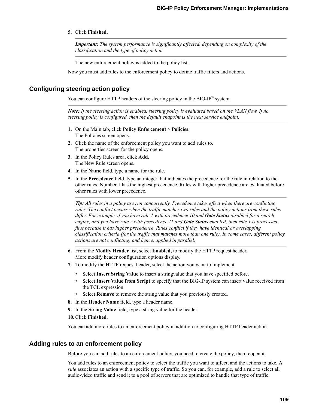### **5.** Click **Finished**.

*Important: The system performance is significantly affected, depending on complexity of the classification and the type of policy action.*

The new enforcement policy is added to the policy list.

Now you must add rules to the enforcement policy to define traffic filters and actions.

## **Configuring steering action policy**

You can configure HTTP headers of the steering policy in the BIG-IP<sup>®</sup> system.

*Note: If the steering action is enabled, steering policy is evaluated based on the VLAN flow. If no steering policy is configured, then the default endpoint is the next service endpoint.*

- **1.** On the Main tab, click **Policy Enforcement** > **Policies**. The Policies screen opens.
- **2.** Click the name of the enforcement policy you want to add rules to. The properties screen for the policy opens.
- **3.** In the Policy Rules area, click **Add**. The New Rule screen opens.
- **4.** In the **Name** field, type a name for the rule.
- **5.** In the **Precedence** field, type an integer that indicates the precedence for the rule in relation to the other rules. Number 1 has the highest precedence. Rules with higher precedence are evaluated before other rules with lower precedence.

*Tip: All rules in a policy are run concurrently. Precedence takes effect when there are conflicting rules. The conflict occurs when the traffic matches two rules and the policy actions from these rules differ. For example, if you have rule 1 with precedence 10 and Gate Status disabled for a search engine, and you have rule 2 with precedence 11 and Gate Status enabled, then rule 1 is processed first because it has higher precedence. Rules conflict if they have identical or overlapping classification criteria (for the traffic that matches more than one rule). In some cases, different policy actions are not conflicting, and hence, applied in parallel.*

- **6.** From the **Modify Header** list, select **Enabled**, to modify the HTTP request header. More modify header configuration options display.
- **7.** To modify the HTTP request header, select the action you want to implement.
	- Select **Insert String Value** to insert a stringvalue that you have specified before.
	- Select **Insert Value from Script** to specify that the BIG-IP system can insert value received from the TCL expression.
	- Select **Remove** to remove the string value that you previously created.
- **8.** In the **Header Name** field, type a header name.
- **9.** In the **String Value** field, type a string value for the header.
- **10.** Click **Finished**.

You can add more rules to an enforcement policy in addition to configuring HTTP header action.

## **Adding rules to an enforcement policy**

Before you can add rules to an enforcement policy, you need to create the policy, then reopen it.

You add rules to an enforcement policy to select the traffic you want to affect, and the actions to take. A *rule* associates an action with a specific type of traffic. So you can, for example, add a rule to select all audio-video traffic and send it to a pool of servers that are optimized to handle that type of traffic.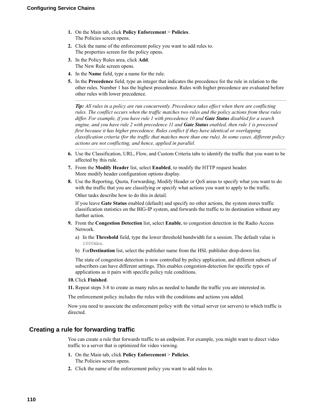- **1.** On the Main tab, click **Policy Enforcement** > **Policies**. The Policies screen opens.
- **2.** Click the name of the enforcement policy you want to add rules to. The properties screen for the policy opens.
- **3.** In the Policy Rules area, click **Add**. The New Rule screen opens.
- **4.** In the **Name** field, type a name for the rule.
- **5.** In the **Precedence** field, type an integer that indicates the precedence for the rule in relation to the other rules. Number 1 has the highest precedence. Rules with higher precedence are evaluated before other rules with lower precedence.

*Tip: All rules in a policy are run concurrently. Precedence takes effect when there are conflicting rules. The conflict occurs when the traffic matches two rules and the policy actions from these rules differ. For example, if you have rule 1 with precedence 10 and Gate Status disabled for a search engine, and you have rule 2 with precedence 11 and Gate Status enabled, then rule 1 is processed first because it has higher precedence. Rules conflict if they have identical or overlapping classification criteria (for the traffic that matches more than one rule). In some cases, different policy actions are not conflicting, and hence, applied in parallel.*

- **6.** Use the Classification, URL, Flow, and Custom Criteria tabs to identify the traffic that you want to be affected by this rule.
- **7.** From the **Modify Header** list, select **Enabled**, to modify the HTTP request header. More modify header configuration options display.
- **8.** Use the Reporting, Quota, Forwarding, Modify Header or QoS areas to specify what you want to do with the traffic that you are classifying or specify what actions you want to apply to the traffic. Other tasks describe how to do this in detail.

If you leave **Gate Status** enabled (default) and specify no other actions, the system stores traffic classification statistics on the BIG-IP system, and forwards the traffic to its destination without any further action.

- **9.** From the **Congestion Detection** list, select **Enable**, to congestion detection in the Radio Access Network.
	- a) In the **Threshold** field, type the lower threshold bandwidth for a session. The default value is 1000kbs.
	- b) For**Destination** list, select the publisher name from the HSL publisher drop-down list.

The state of congestion detection is now controlled by policy application, and different subsets of subscribers can have different settings. This enables congestion-detection for specific types of applications as it pairs with specific policy rule conditions.

**10.** Click **Finished**.

**11.** Repeat steps 3-8 to create as many rules as needed to handle the traffic you are interested in.

The enforcement policy includes the rules with the conditions and actions you added.

Now you need to associate the enforcement policy with the virtual server (or servers) to which traffic is directed.

## **Creating a rule for forwarding traffic**

You can create a rule that forwards traffic to an endpoint. For example, you might want to direct video traffic to a server that is optimized for video viewing.

- **1.** On the Main tab, click **Policy Enforcement** > **Policies**. The Policies screen opens.
- **2.** Click the name of the enforcement policy you want to add rules to.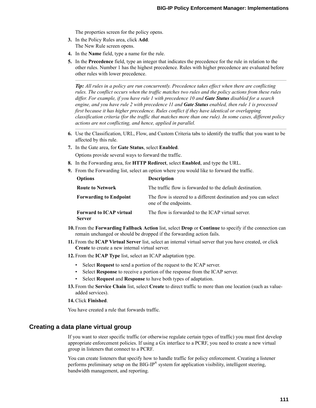The properties screen for the policy opens.

- **3.** In the Policy Rules area, click **Add**. The New Rule screen opens.
- **4.** In the **Name** field, type a name for the rule.
- **5.** In the **Precedence** field, type an integer that indicates the precedence for the rule in relation to the other rules. Number 1 has the highest precedence. Rules with higher precedence are evaluated before other rules with lower precedence.

*Tip: All rules in a policy are run concurrently. Precedence takes effect when there are conflicting rules. The conflict occurs when the traffic matches two rules and the policy actions from these rules differ. For example, if you have rule 1 with precedence 10 and Gate Status disabled for a search engine, and you have rule 2 with precedence 11 and Gate Status enabled, then rule 1 is processed first because it has higher precedence. Rules conflict if they have identical or overlapping classification criteria (for the traffic that matches more than one rule). In some cases, different policy actions are not conflicting, and hence, applied in parallel.*

- **6.** Use the Classification, URL, Flow, and Custom Criteria tabs to identify the traffic that you want to be affected by this rule.
- **7.** In the Gate area, for **Gate Status**, select **Enabled**. Options provide several ways to forward the traffic.
- **8.** In the Forwarding area, for **HTTP Redirect**, select **Enabled**, and type the URL.
- **9.** From the Forwarding list, select an option where you would like to forward the traffic.

| <b>Options</b>                                  | <b>Description</b>                                                                         |
|-------------------------------------------------|--------------------------------------------------------------------------------------------|
| <b>Route to Network</b>                         | The traffic flow is forwarded to the default destination.                                  |
| <b>Forwarding to Endpoint</b>                   | The flow is steered to a different destination and you can select<br>one of the endpoints. |
| <b>Forward to ICAP virtual</b><br><b>Server</b> | The flow is forwarded to the ICAP virtual server.                                          |

- **10.**From the **Forwarding Fallback Action** list, select **Drop** or **Continue** to specify if the connection can remain unchanged or should be dropped if the forwarding action fails.
- **11.** From the **ICAP Virtual Server** list, select an internal virtual server that you have created, or click **Create** to create a new internal virtual server.
- **12.**From the **ICAP Type** list, select an ICAP adaptation type.
	- Select **Request** to send a portion of the request to the ICAP server.
	- Select **Response** to receive a portion of the response from the ICAP server.
	- Select **Request** and **Response** to have both types of adaptation.
- **13.**From the **Service Chain** list, select **Create** to direct traffic to more than one location (such as valueadded services).
- **14.** Click **Finished**.

You have created a rule that forwards traffic.

## **Creating a data plane virtual group**

If you want to steer specific traffic (or otherwise regulate certain types of traffic) you must first develop appropriate enforcement policies. If using a Gx interface to a PCRF, you need to create a new virtual group in listeners that connect to a PCRF.

You can create listeners that specify how to handle traffic for policy enforcement. Creating a listener performs preliminary setup on the BIG-IP® system for application visibility, intelligent steering, bandwidth management, and reporting.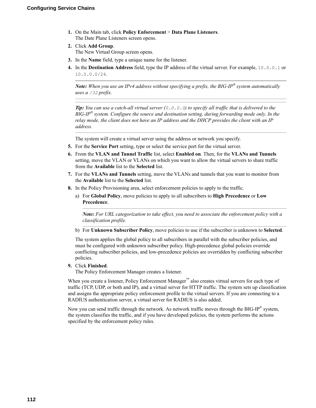- **1.** On the Main tab, click **Policy Enforcement** > **Data Plane Listeners**. The Date Plane Listeners screen opens.
- **2.** Click **Add Group**. The New Virtual Group screen opens.
- **3.** In the **Name** field, type a unique name for the listener.
- **4.** In the **Destination Address** field, type the IP address of the virtual server. For example, 10.0.0.1 or 10.0.0.0/24.

*Note: When you use an IPv4 address without specifying a prefix, the BIG-IP® system automatically uses a /32 prefix.*

*Tip: You can use a catch-all virtual server (0.0.0.0) to specify all traffic that is delivered to the BIG-IP® system. Configure the source and destination setting, during forwarding mode only. In the relay mode, the client does not have an IP address and the DHCP provides the client with an IP address.*

The system will create a virtual server using the address or network you specify.

- **5.** For the **Service Port** setting, type or select the service port for the virtual server.
- **6.** From the **VLAN and Tunnel Traffic** list, select **Enabled on**. Then, for the **VLANs and Tunnels** setting, move the VLAN or VLANs on which you want to allow the virtual servers to share traffic from the **Available** list to the **Selected** list.
- **7.** For the **VLANs and Tunnels** setting, move the VLANs and tunnels that you want to monitor from the **Available** list to the **Selected** list.
- **8.** In the Policy Provisioning area, select enforcement policies to apply to the traffic.
	- a) For **Global Policy**, move policies to apply to all subscribers to **High Precedence** or **Low Precedence**.

*Note: For URL categorization to take effect, you need to associate the enforcement policy with a classification profile.*

b) For **Unknown Subscriber Policy**, move policies to use if the subscriber is unknown to **Selected**.

The system applies the global policy to all subscribers in parallel with the subscriber policies, and must be configured with unknown subscriber policy. High-precedence global policies override conflicting subscriber policies, and low-precedence policies are overridden by conflicting subscriber policies.

**9.** Click **Finished**.

The Policy Enforcement Manager creates a listener.

When you create a listener, Policy Enforcement Manager<sup>™</sup> also creates virtual servers for each type of traffic (TCP, UDP, or both and IP), and a virtual server for HTTP traffic. The system sets up classification and assigns the appropriate policy enforcement profile to the virtual servers. If you are connecting to a RADIUS authentication server, a virtual server for RADIUS is also added.

Now you can send traffic through the network. As network traffic moves through the BIG-IP<sup>®</sup> system, the system classifies the traffic, and if you have developed policies, the system performs the actions specified by the enforcement policy rules.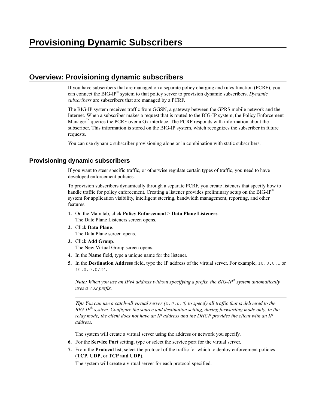## **Overview: Provisioning dynamic subscribers**

If you have subscribers that are managed on a separate policy charging and rules function (PCRF), you can connect the BIG-IP® system to that policy server to provision dynamic subscribers. *Dynamic subscribers* are subscribers that are managed by a PCRF.

The BIG-IP system receives traffic from GGSN, a gateway between the GPRS mobile network and the Internet. When a subscriber makes a request that is routed to the BIG-IP system, the Policy Enforcement Manager<sup>™</sup> queries the PCRF over a Gx interface. The PCRF responds with information about the subscriber. This information is stored on the BIG-IP system, which recognizes the subscriber in future requests.

You can use dynamic subscriber provisioning alone or in combination with static subscribers.

## **Provisioning dynamic subscribers**

If you want to steer specific traffic, or otherwise regulate certain types of traffic, you need to have developed enforcement policies.

To provision subscribers dynamically through a separate PCRF, you create listeners that specify how to handle traffic for policy enforcement. Creating a listener provides preliminary setup on the BIG-IP<sup>®</sup> system for application visibility, intelligent steering, bandwidth management, reporting, and other features.

- **1.** On the Main tab, click **Policy Enforcement** > **Data Plane Listeners**. The Date Plane Listeners screen opens.
- **2.** Click **Data Plane**. The Data Plane screen opens.
- **3.** Click **Add Group**. The New Virtual Group screen opens.
- **4.** In the **Name** field, type a unique name for the listener.
- **5.** In the **Destination Address** field, type the IP address of the virtual server. For example, 10.0.0.1 or 10.0.0.0/24.

*Note: When you use an IPv4 address without specifying a prefix, the BIG-IP® system automatically uses a /32 prefix.*

*Tip: You can use a catch-all virtual server (0.0.0.0) to specify all traffic that is delivered to the BIG-IP® system. Configure the source and destination setting, during forwarding mode only. In the relay mode, the client does not have an IP address and the DHCP provides the client with an IP address.*

The system will create a virtual server using the address or network you specify.

- **6.** For the **Service Port** setting, type or select the service port for the virtual server.
- **7.** From the **Protocol** list, select the protocol of the traffic for which to deploy enforcement policies (**TCP**, **UDP**, or **TCP and UDP**).

The system will create a virtual server for each protocol specified.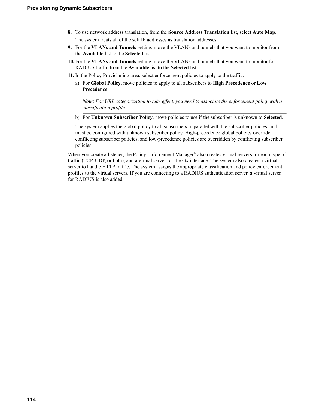- **8.** To use network address translation, from the **Source Address Translation** list, select **Auto Map**. The system treats all of the self IP addresses as translation addresses.
- **9.** For the **VLANs and Tunnels** setting, move the VLANs and tunnels that you want to monitor from the **Available** list to the **Selected** list.
- **10.**For the **VLANs and Tunnels** setting, move the VLANs and tunnels that you want to monitor for RADIUS traffic from the **Available** list to the **Selected** list.
- **11.** In the Policy Provisioning area, select enforcement policies to apply to the traffic.
	- a) For **Global Policy**, move policies to apply to all subscribers to **High Precedence** or **Low Precedence**.

*Note: For URL categorization to take effect, you need to associate the enforcement policy with a classification profile.*

b) For **Unknown Subscriber Policy**, move policies to use if the subscriber is unknown to **Selected**.

The system applies the global policy to all subscribers in parallel with the subscriber policies, and must be configured with unknown subscriber policy. High-precedence global policies override conflicting subscriber policies, and low-precedence policies are overridden by conflicting subscriber policies.

When you create a listener, the Policy Enforcement Manager® also creates virtual servers for each type of traffic (TCP, UDP, or both), and a virtual server for the Gx interface. The system also creates a virtual server to handle HTTP traffic. The system assigns the appropriate classification and policy enforcement profiles to the virtual servers. If you are connecting to a RADIUS authentication server, a virtual server for RADIUS is also added.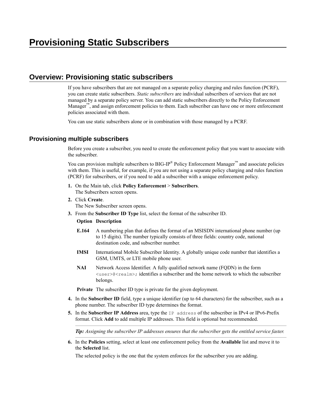## **Overview: Provisioning static subscribers**

If you have subscribers that are not managed on a separate policy charging and rules function (PCRF), you can create static subscribers. *Static subscribers* are individual subscribers of services that are not managed by a separate policy server. You can add static subscribers directly to the Policy Enforcement Manager<sup>™</sup>, and assign enforcement policies to them. Each subscriber can have one or more enforcement policies associated with them.

You can use static subscribers alone or in combination with those managed by a PCRF.

## **Provisioning multiple subscribers**

Before you create a subscriber, you need to create the enforcement policy that you want to associate with the subscriber.

You can provision multiple subscribers to BIG-IP<sup>®</sup> Policy Enforcement Manager<sup>™</sup> and associate policies with them. This is useful, for example, if you are not using a separate policy charging and rules function (PCRF) for subscribers, or if you need to add a subscriber with a unique enforcement policy.

- **1.** On the Main tab, click **Policy Enforcement** > **Subscribers**. The Subscribers screen opens.
- **2.** Click **Create**. The New Subscriber screen opens.
- **3.** From the **Subscriber ID Type** list, select the format of the subscriber ID.

### **Option Description**

- **E.164** A numbering plan that defines the format of an MSISDN international phone number (up to 15 digits). The number typically consists of three fields: country code, national destination code, and subscriber number.
- **IMSI** International Mobile Subscriber Identity. A globally unique code number that identifies a GSM, UMTS, or LTE mobile phone user.
- **NAI** Network Access Identifier. A fully qualified network name (FODN) in the form  $\langle$ user>@ $\langle$ realm $\rangle$ ; identifies a subscriber and the home network to which the subscriber belongs.

**Private** The subscriber ID type is private for the given deployment.

- **4.** In the **Subscriber ID** field, type a unique identifier (up to 64 characters) for the subscriber, such as a phone number. The subscriber ID type determines the format.
- **5.** In the **Subscriber IP Address** area, type the IP address of the subscriber in IPv4 or IPv6-Prefix format. Click **Add** to add multiple IP addresses. This field is optional but recommended.

*Tip: Assigning the subscriber IP addresses ensures that the subscriber gets the entitled service faster.*

**6.** In the **Policies** setting, select at least one enforcement policy from the **Available** list and move it to the **Selected** list.

The selected policy is the one that the system enforces for the subscriber you are adding.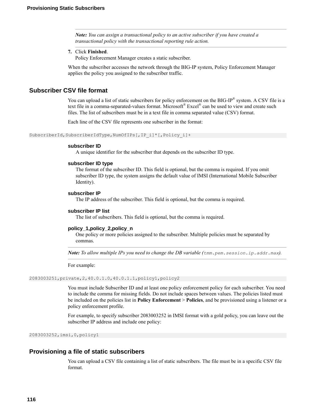*Note: You can assign a transactional policy to an active subscriber if you have created a transactional policy with the transactional reporting rule action.*

#### **7.** Click **Finished**.

Policy Enforcement Manager creates a static subscriber.

When the subscriber accesses the network through the BIG-IP system, Policy Enforcement Manager applies the policy you assigned to the subscriber traffic.

## **Subscriber CSV file format**

You can upload a list of static subscribers for policy enforcement on the BIG-IP<sup>®</sup> system. A CSV file is a text file in a comma-separated-values format. Microsoft® Excel® can be used to view and create such files. The list of subscribers must be in a text file in comma separated value (CSV) format.

Each line of the CSV file represents one subscriber in the format:

SubscriberId,SubscriberIdType,NumOfIPs[,IP\_i]\*[,Policy\_i]+

#### **subscriber ID**

A unique identifier for the subscriber that depends on the subscriber ID type.

#### **subscriber ID type**

The format of the subscriber ID. This field is optional, but the comma is required. If you omit subscriber ID type, the system assigns the default value of IMSI (International Mobile Subscriber Identity).

#### **subscriber IP**

The IP address of the subscriber. This field is optional, but the comma is required.

#### **subscriber IP list**

The list of subscribers. This field is optional, but the comma is required.

#### **policy\_1,policy\_2,policy\_n**

One policy or more policies assigned to the subscriber. Multiple policies must be separated by commas.

*Note: To allow multiple IPs you need to change the DB variable (tmm.pem.session.ip.addr.max).*

For example:

### 2083003251,private,2,40.0.1.0,40.0.1.1,policy1,policy2

You must include Subscriber ID and at least one policy enforcement policy for each subscriber. You need to include the comma for missing fields. Do not include spaces between values. The policies listed must be included on the policies list in **Policy Enforcement** > **Policies**, and be provisioned using a listener or a policy enforcement profile.

For example, to specify subscriber 2083003252 in IMSI format with a gold policy, you can leave out the subscriber IP address and include one policy:

2083003252,imsi,0,policy1

## **Provisioning a file of static subscribers**

You can upload a CSV file containing a list of static subscribers. The file must be in a specific CSV file format.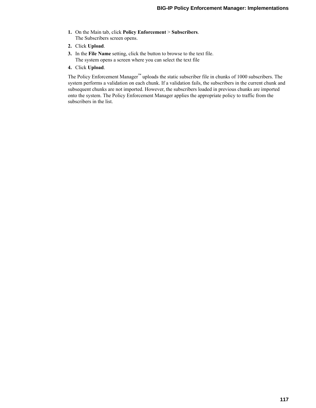- **1.** On the Main tab, click **Policy Enforcement** > **Subscribers**. The Subscribers screen opens.
- **2.** Click **Upload**.
- **3.** In the **File Name** setting, click the button to browse to the text file. The system opens a screen where you can select the text file
- **4.** Click **Upload**.

The Policy Enforcement Manager™ uploads the static subscriber file in chunks of 1000 subscribers. The system performs a validation on each chunk. If a validation fails, the subscribers in the current chunk and subsequent chunks are not imported. However, the subscribers loaded in previous chunks are imported onto the system. The Policy Enforcement Manager applies the appropriate policy to traffic from the subscribers in the list.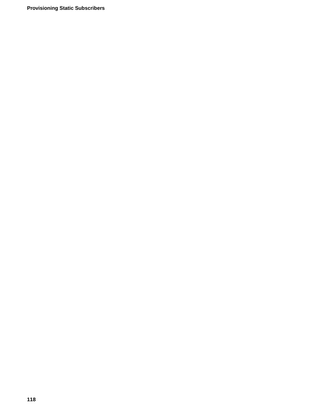**Provisioning Static Subscribers**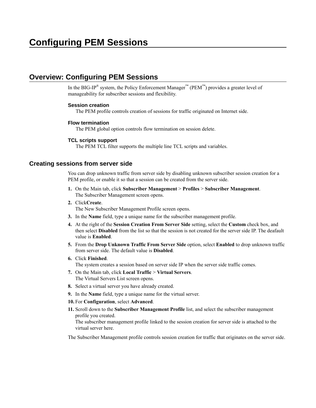## **Overview: Configuring PEM Sessions**

In the BIG-IP<sup>®</sup> system, the Policy Enforcement Manager<sup>™</sup> (PEM<sup>™</sup>) provides a greater level of manageability for subscriber sessions and flexibility.

### **Session creation**

The PEM profile controls creation of sessions for traffic originated on Internet side.

### **Flow termination**

The PEM global option controls flow termination on session delete.

### **TCL scripts support**

The PEM TCL filter supports the multiple line TCL scripts and variables.

### **Creating sessions from server side**

You can drop unknown traffic from server side by disabling unknown subscriber session creation for a PEM profile, or enable it so that a session can be created from the server side.

- **1.** On the Main tab, click **Subscriber Management** > **Profiles** > **Subscriber Management**. The Subscriber Management screen opens.
- **2.** Click**Create**. The New Subscriber Management Profile screen opens.
- **3.** In the **Name** field, type a unique name for the subscriber management profile.
- **4.** At the right of the **Session Creation From Server Side** setting, select the **Custom** check box, and then select **Disabled** from the list so that the session is not created for the server side IP. The deafault value is **Enabled**.
- **5.** From the **Drop Unknown Traffic From Server Side** option, select **Enabled** to drop unknown traffic from server side. The default value is **Disabled**.
- **6.** Click **Finished**. The system creates a session based on server side IP when the server side traffic comes.
- **7.** On the Main tab, click **Local Traffic** > **Virtual Servers**. The Virtual Servers List screen opens.
- **8.** Select a virtual server you have already created.
- **9.** In the **Name** field, type a unique name for the virtual server.
- **10.**For **Configuration**, select **Advanced**.
- **11.** Scroll down to the **Subscriber Management Profile** list, and select the subscriber management profile you created. The subscriber management profile linked to the session creation for server side is attached to the virtual server here.

The Subscriber Management profile controls session creation for traffic that originates on the server side.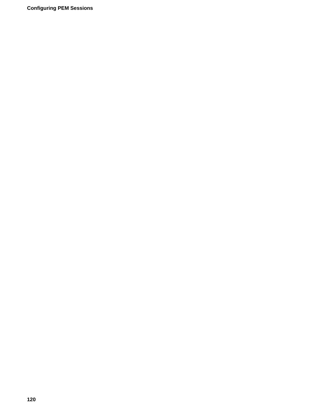**Configuring PEM Sessions**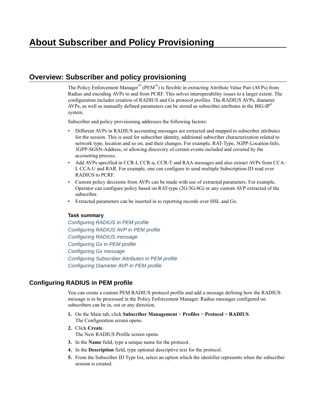## **Overview: Subscriber and policy provisioning**

The Policy Enforcement Manager™ (PEM<sup>™</sup>) is flexible in extracting Attribute Value Pair (AVPs) from Radius and encoding AVPs to and from PCRF. This solves interoperability issues to a larger extent. The configuration includes creation of RADIUS and Gx protocol profiles. The RADIUS AVPs, diameter AVPs, as well as manually defined parameters can be stored as subscriber attributes in the BIG-IP<sup>®</sup> system.

Subscriber and policy provisioning addresses the following factors:

- Different AVPs in RADIUS accounting messages are extracted and mapped to subscriber attributes for the session. This is used for subscriber identity, additional subscriber characterization related to network type, location and so on, and their changes. For example, RAT-Type, 3GPP-Location-Info, 3GPP-SGSN-Address, or allowing discovery of certain events included and covered by the accounting process.
- Add AVPs specified in CCR-I, CCR-u, CCR-T and RAA messages and also extract AVPs from CCA-I, CCA-U and RAR. For example, one can configure to send multiple Subscription-ID read over RADIUS to PCRF.
- Custom policy decisions from AVPs can be made with use of extracted parameters. For example, Operator can configure policy based on RAT-type (2G/3G/4G) or any custom AVP extracted of the subscriber.
- Extracted parameters can be inserted in to reporting records over HSL and Gx.

### **Task summary**

Configuring RADIUS in PEM profile [Configuring RADIUS AVP in PEM profile](#page-121-0) [Configuring RADIUS message](#page-122-0) [Configuring Gx in PEM profile](#page-123-0) [Configuring Gx message](#page-123-0) [Configuring Subscriber Attributes in PEM profile](#page-124-0) [Configuring Diameter AVP in PEM profile](#page-125-0)

## **Configuring RADIUS in PEM profile**

You can create a custom PEM RADIUS protocol profile and add a message defining how the RADIUS message is to be processed in the Policy Enforcement Manager. Radius messages configured on subscribers can be in, out or any direction.

- **1.** On the Main tab, click **Subscriber Management** > **Profiles** > **Protocol** > **RADIUS**. The Configuration screen opens.
- **2.** Click **Create**. The New RADIUS Profile screen opens.
- **3.** In the **Name** field, type a unique name for the protocol.
- **4.** In the **Description** field, type optional descriptive text for the protocol.
- **5.** From the Subscriber ID Type list, select an option which the identifier represents when the subscriber session is created.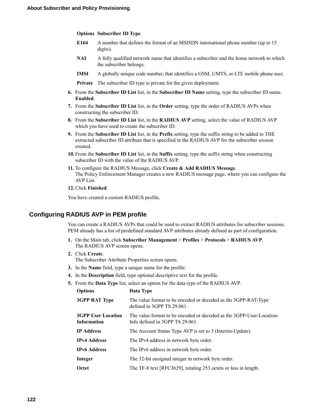#### <span id="page-121-0"></span>**Options Subscriber ID Type**

- **E164** A number that defines the format of an MSISDN international phone number (up to 15 digits).
- **NAI** A fully qualified network name that identifies a subscriber and the home network to which the subscriber belongs.
- **IMSI** A globally unique code number, that identifies a GSM, UMTS, or LTE mobile phone user.

**Private** The subscriber ID type is private for the given deployment.

- **6.** From the **Subscriber ID List** list, in the **Subscriber ID Name** setting, type the subscriber ID name. **Enabled**.
- **7.** From the **Subscriber ID List** list, in the **Order** setting, type the order of RADIUS AVPs when constructing the subscriber ID.
- **8.** From the **Subscriber ID List** list, in the **RADIUS AVP** setting, select the value of RADIUS AVP which you have used to create the subscriber ID.
- **9.** From the **Subscriber ID List** list, in the **Prefix** setting, type the suffix string to be added to THE extracted subscriber ID attribute that is specified in the RADIUS AVP for the subscriber session created.
- **10.**From the **Subscriber ID List** list, in the **Suffix** setting, type the suffix string when constructing subscriber ID with the value of the RADIUS AVP.
- **11.** To configure the RADIUS Message, click **Create & Add RADIUS Message**. The Policy Enforcement Manager creates a new RADIUS message page, where you can configure the AVP List.

### **12.** Click **Finished**.

You have created a custom RADIUS profile.

## **Configuring RADIUS AVP in PEM profile**

You can create a RADIUS AVPs that could be used to extract RADIUS attributes for subscriber sessions. PEM already has a list of predefined standard AVP attributes already defined as part of configuration.

- **1.** On the Main tab, click **Subscriber Management** > **Profiles** > **Protocols** > **RADIUS AVP**. The RADIUS AVP screen opens.
- **2.** Click **Create**. The Subscriber Attribute Properties screen opens.
- **3.** In the **Name** field, type a unique name for the profile.
- **4.** In the **Description** field, type optional descriptive text for the profile.
- **5.** From the **Data Type** list, select an option for the data type of the RADIUS AVP.

| <b>Options</b>                                  | Data Type                                                                                                    |
|-------------------------------------------------|--------------------------------------------------------------------------------------------------------------|
| <b>3GPP RAT Type</b>                            | The value format to be encoded or decoded as the 3GPP-RAT-Type<br>defined in $3GPP$ TS $29.061$ .            |
| <b>3GPP User Location</b><br><b>Information</b> | The value format to be encoded or decoded as the 3GPP-User-Location-<br>Info defined in $3GPP$ TS $29.061$ . |
| <b>IP</b> Address                               | The Account Status Type AVP is set to 3 (Interim-Update).                                                    |
| <b>IPv4 Address</b>                             | The IPv4 address in network byte order.                                                                      |
| <b>IPv6</b> Address                             | The IPv6 address in network byte order.                                                                      |
| Integer                                         | The 32-bit unsigned integer in network byte order.                                                           |
| <b>Octet</b>                                    | The TF-8 text [RFC3629], totaling 253 octets or less in length.                                              |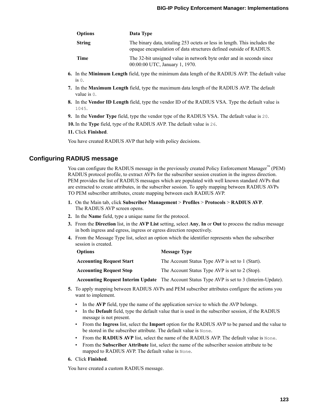<span id="page-122-0"></span>

| <b>Options</b> | Data Type                                                                                                                                       |
|----------------|-------------------------------------------------------------------------------------------------------------------------------------------------|
| <b>String</b>  | The binary data, totaling 253 octets or less in length. This includes the<br>opaque encapsulation of data structures defined outside of RADIUS. |
| <b>Time</b>    | The 32-bit unsigned value in network byte order and in seconds since<br>00:00:00 UTC, January 1, 1970.                                          |

- **6.** In the **Minimum Length** field, type the minimum data length of the RADIUS AVP. The default value is 0.
- **7.** In the **Maximum Length** field, type the maximum data length of the RADIUS AVP. The default value is 0.
- **8.** In the **Vendor ID Length** field, type the vendor ID of the RADIUS VSA. Type the default value is 1045.
- **9.** In the **Vendor Type** field, type the vendor type of the RADIUS VSA. The default value is 20.

**10.** In the **Type** field, type of the RADIUS AVP. The default value is 26.

**11.** Click **Finished**.

You have created RADIUS AVP that help with policy decisions.

## **Configuring RADIUS message**

You can configure the RADIUS message in the previously created Policy Enforcement Manager™ (PEM) RADIUS protocol profile, to extract AVPs for the subscriber session creation in the ingress direction. PEM provides the list of RADIUS messages which are populated with well known standard AVPs that are extracted to create attributes, in the subscriber session. To apply mapping between RADIUS AVPs TO PEM subscriber attributes, create mapping between each RADIUS AVP.

- **1.** On the Main tab, click **Subscriber Management** > **Profiles** > **Protocols** > **RADIUS AVP**. The RADIUS AVP screen opens.
- **2.** In the **Name** field, type a unique name for the protocol.
- **3.** From the **Direction** list, in the **AVP List** setting, select **Any**, **In** or **Out** to process the radius message in both ingress and egress, ingress or egress direction respectively.
- **4.** From the Message Type list, select an option which the identifier represents when the subscriber session is created.

| <b>Options</b>                  | <b>Message Type</b>                                                                                                                                                                                                                                                                             |
|---------------------------------|-------------------------------------------------------------------------------------------------------------------------------------------------------------------------------------------------------------------------------------------------------------------------------------------------|
| <b>Accounting Request Start</b> | The Account Status Type AVP is set to 1 (Start).                                                                                                                                                                                                                                                |
| <b>Accounting Request Stop</b>  | The Account Status Type AVP is set to 2 (Stop).                                                                                                                                                                                                                                                 |
|                                 | $\mathbf{A}$ at $\mathbf{B}$ and $\mathbf{B}$ and $\mathbf{B}$ and $\mathbf{B}$ and $\mathbf{B}$ and $\mathbf{B}$ and $\mathbf{B}$ and $\mathbf{B}$ and $\mathbf{B}$ and $\mathbf{B}$ and $\mathbf{B}$ and $\mathbf{B}$ and $\mathbf{B}$ and $\mathbf{B}$ and $\mathbf{B}$ and $\mathbf{B}$ and |

- **Accounting Request Interim Update** The Account Status Type AVP is set to 3 (Interim-Update).
- **5.** To apply mapping between RADIUS AVPs and PEM subscriber attributes configure the actions you want to implement.
	- In the **AVP** field, type the name of the application service to which the AVP belongs.
	- In the **Default** field, type the default value that is used in the subscriber session, if the RADIUS message is not present.
	- From the **Ingress** list, select the **Import** option for the RADIUS AVP to be parsed and the value to be stored in the subscriber attribute. The default value is None.
	- From the **RADIUS AVP** list, select the name of the RADIUS AVP. The default value is None.
	- From the **Subscriber Attribute** list, select the name of the subscriber session attribute to be mapped to RADIUS AVP. The default value is None.

### **6.** Click **Finished**.

You have created a custom RADIUS message.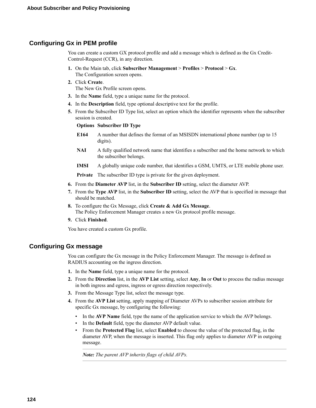## <span id="page-123-0"></span>**Configuring Gx in PEM profile**

You can create a custom GX protocol profile and add a message which is defined as the Gx Credit-Control-Request (CCR), in any direction.

- **1.** On the Main tab, click **Subscriber Management** > **Profiles** > **Protocol** > **Gx**. The Configuration screen opens.
- **2.** Click **Create**. The New Gx Profile screen opens.
- **3.** In the **Name** field, type a unique name for the protocol.
- **4.** In the **Description** field, type optional descriptive text for the profile.
- **5.** From the Subscriber ID Type list, select an option which the identifier represents when the subscriber session is created.

### **Options Subscriber ID Type**

- **E164** A number that defines the format of an MSISDN international phone number (up to 15 digits).
- **NAI** A fully qualified network name that identifies a subscriber and the home network to which the subscriber belongs.
- **IMSI** A globally unique code number, that identifies a GSM, UMTS, or LTE mobile phone user.

**Private** The subscriber ID type is private for the given deployment.

- **6.** From the **Diameter AVP** list, in the **Subscriber ID** setting, select the diameter AVP.
- **7.** From the **Type AVP** list, in the **Subscriber ID** setting, select the AVP that is specified in message that should be matched.
- **8.** To configure the Gx Message, click **Create & Add Gx Message**. The Policy Enforcement Manager creates a new Gx protocol profile message.
- **9.** Click **Finished**.

You have created a custom Gx profile.

## **Configuring Gx message**

You can configure the Gx message in the Policy Enforcement Manager. The message is defined as RADIUS accounting on the ingress direction.

- **1.** In the **Name** field, type a unique name for the protocol.
- **2.** From the **Direction** list, in the **AVP List** setting, select **Any**, **In** or **Out** to process the radius message in both ingress and egress, ingress or egress direction respectively.
- **3.** From the Message Type list, select the message type.
- **4.** From the **AVP List** setting, apply mapping of Diameter AVPs to subscriber session attribute for specific Gx message, by configuring the following:
	- In the **AVP Name** field, type the name of the application service to which the AVP belongs.
	- In the **Default** field, type the diameter AVP default value.
	- From the **Protected Flag** list, select **Enabled** to choose the value of the protected flag, in the diameter AVP, when the message is inserted. This flag only applies to diameter AVP in outgoing message.

*Note: The parent AVP inherits flags of child AVPs.*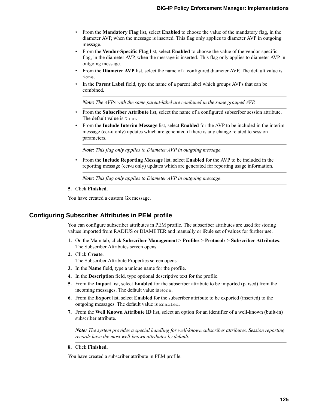- <span id="page-124-0"></span>• From the **Mandatory Flag** list, select **Enabled** to choose the value of the mandatory flag, in the diameter AVP, when the message is inserted. This flag only applies to diameter AVP in outgoing message.
- From the **Vendor-Specific Flag** list, select **Enabled** to choose the value of the vendor-specific flag, in the diameter AVP, when the message is inserted. This flag only applies to diameter AVP in outgoing message.
- From the **Diameter AVP** list, select the name of a configured diameter AVP. The default value is None.
- In the **Parent Label** field, type the name of a parent label which groups AVPs that can be combined.

*Note: The AVPs with the same parent-label are combined in the same grouped AVP.*

- From the **Subscriber Attribute** list, select the name of a configured subscriber session attribute. The default value is None.
- From the **Include Interim Message** list, select **Enabled** for the AVP to be included in the interimmessage (ccr-u only) updates which are generated if there is any change related to session parameters.

*Note: This flag only applies to Diameter AVP in outgoing message.*

• From the **Include Reporting Message** list, select **Enabled** for the AVP to be included in the reporting message (ccr-u only) updates which are generated for reporting usage information.

*Note: This flag only applies to Diameter AVP in outgoing message.*

### **5.** Click **Finished**.

You have created a custom Gx message.

## **Configuring Subscriber Attributes in PEM profile**

You can configure subscriber attributes in PEM profile. The subscriber attributes are used for storing values imported from RADIUS or DIAMETER and manually or iRule set of values for further use.

- **1.** On the Main tab, click **Subscriber Management** > **Profiles** > **Protocols** > **Subscriber Attributes**. The Subscriber Attributes screen opens.
- **2.** Click **Create**. The Subscriber Attribute Properties screen opens.
- **3.** In the **Name** field, type a unique name for the profile.
- **4.** In the **Description** field, type optional descriptive text for the profile.
- **5.** From the **Import** list, select **Enabled** for the subscriber attribute to be imported (parsed) from the incoming messages. The default value is None.
- **6.** From the **Export** list, select **Enabled** for the subscriber attribute to be exported (inserted) to the outgoing messages. The default value is Enabled.
- **7.** From the **Well Known Attribute ID** list, select an option for an identifier of a well-known (built-in) subscriber attribute.

*Note: The system provides a special handling for well-known subscriber attributes. Session reporting records have the most well-known attributes by default.*

**8.** Click **Finished**.

You have created a subscriber attribute in PEM profile.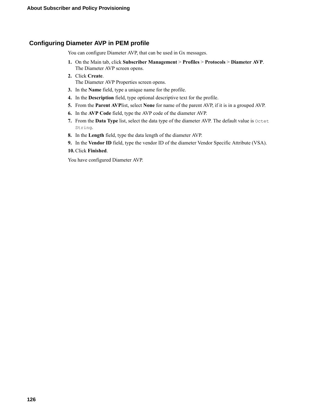## <span id="page-125-0"></span>**Configuring Diameter AVP in PEM profile**

You can configure Diameter AVP, that can be used in Gx messages.

- **1.** On the Main tab, click **Subscriber Management** > **Profiles** > **Protocols** > **Diameter AVP**. The Diameter AVP screen opens.
- **2.** Click **Create**. The Diameter AVP Properties screen opens.
- **3.** In the **Name** field, type a unique name for the profile.
- **4.** In the **Description** field, type optional descriptive text for the profile.
- **5.** From the **Parent AVP**list, select **None** for name of the parent AVP, if it is in a grouped AVP.
- **6.** In the **AVP Code** field, type the AVP code of the diameter AVP.
- **7.** From the **Data Type** list, select the data type of the diameter AVP. The default value is Octet String.
- **8.** In the **Length** field, type the data length of the diameter AVP.
- **9.** In the **Vendor ID** field, type the vendor ID of the diameter Vendor Specific Attribute (VSA). **10.** Click **Finished**.

You have configured Diameter AVP.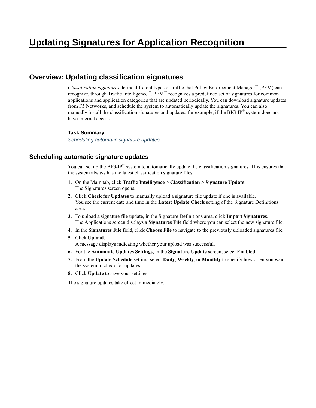## **Overview: Updating classification signatures**

*Classification signatures* define different types of traffic that Policy Enforcement Manager™ (PEM) can recognize, through Traffic Intelligence<sup>™</sup>. PEM<sup>™</sup> recognizes a predefined set of signatures for common applications and application categories that are updated periodically. You can download signature updates from F5 Networks, and schedule the system to automatically update the signatures. You can also manually install the classification signatures and updates, for example, if the BIG-IP<sup>®</sup> system does not have Internet access.

### **Task Summary**

Scheduling automatic signature updates

## **Scheduling automatic signature updates**

You can set up the BIG-IP<sup>®</sup> system to automatically update the classification signatures. This ensures that the system always has the latest classification signature files.

- **1.** On the Main tab, click **Traffic Intelligence** > **Classification** > **Signature Update**. The Signatures screen opens.
- **2.** Click **Check for Updates** to manually upload a signature file update if one is available. You see the current date and time in the **Latest Update Check** setting of the Signature Definitions area.
- **3.** To upload a signature file update, in the Signature Definitions area, click **Import Signatures**. The Applications screen displays a **Signatures File** field where you can select the new signature file.
- **4.** In the **Signatures File** field, click **Choose File** to navigate to the previously uploaded signatures file.
- **5.** Click **Upload**. A message displays indicating whether your upload was successful.
- **6.** For the **Automatic Updates Settings**, in the **Signature Update** screen, select **Enabled**.
- **7.** From the **Update Schedule** setting, select **Daily**, **Weekly**, or **Monthly** to specify how often you want the system to check for updates.
- **8.** Click **Update** to save your settings.

The signature updates take effect immediately.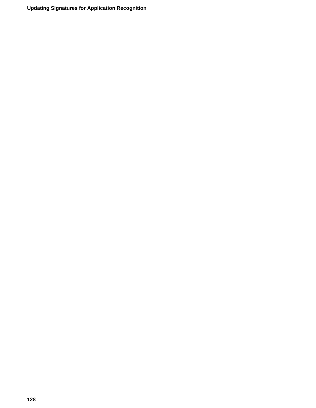**Updating Signatures for Application Recognition**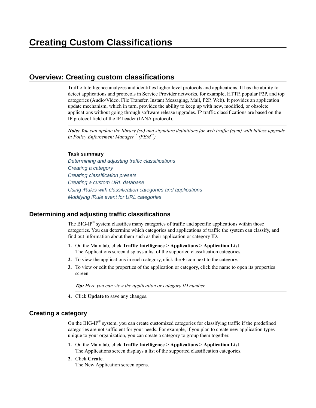## <span id="page-128-0"></span>**Overview: Creating custom classifications**

Traffic Intelligence analyzes and identifies higher level protocols and applications. It has the ability to detect applications and protocols in Service Provider networks, for example, HTTP, popular P2P, and top categories (Audio/Video, File Transfer, Instant Messaging, Mail, P2P, Web). It provides an application update mechanism, which in turn, provides the ability to keep up with new, modified, or obsolete applications without going through software release upgrades. IP traffic classifications are based on the IP protocol field of the IP header (IANA protocol).

*Note: You can update the library (so) and signature definitions for web traffic (cpm) with hitless upgrade in Policy Enforcement Manager™ (PEM™ ).*

## **Task summary**

[Determining and adjusting traffic classifications](#page-14-0) [Creating a category](#page-15-0) [Creating classification presets](#page-15-0) [Creating a custom URL database](#page-129-0) [Using iRules with classification categories and applications](#page-130-0) [Modifying iRule event for URL categories](#page-24-0)

## **Determining and adjusting traffic classifications**

The BIG-IP<sup>®</sup> system classifies many categories of traffic and specific applications within those categories. You can determine which categories and applications of traffic the system can classify, and find out information about them such as their application or category ID.

- **1.** On the Main tab, click **Traffic Intelligence** > **Applications** > **Application List**. The Applications screen displays a list of the supported classification categories.
- **2.** To view the applications in each category, click the **+** icon next to the category.
- **3.** To view or edit the properties of the application or category, click the name to open its properties screen.

*Tip: Here you can view the application or category ID number.*

**4.** Click **Update** to save any changes.

## **Creating a category**

On the BIG-IP<sup>®</sup> system, you can create customized categories for classifying traffic if the predefined categories are not sufficient for your needs. For example, if you plan to create new application types unique to your organization, you can create a category to group them together.

- **1.** On the Main tab, click **Traffic Intelligence** > **Applications** > **Application List**. The Applications screen displays a list of the supported classification categories.
- **2.** Click **Create**.

The New Application screen opens.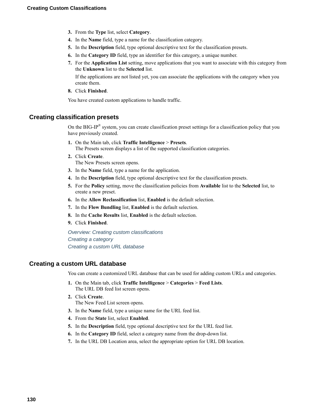- <span id="page-129-0"></span>**3.** From the **Type** list, select **Category**.
- **4.** In the **Name** field, type a name for the classification category.
- **5.** In the **Description** field, type optional descriptive text for the classification presets.
- **6.** In the **Category ID** field, type an identifier for this category, a unique number.
- **7.** For the **Application List** setting, move applications that you want to associate with this category from the **Unknown** list to the **Selected** list.

If the applications are not listed yet, you can associate the applications with the category when you create them.

**8.** Click **Finished**.

You have created custom applications to handle traffic.

## **Creating classification presets**

On the BIG-IP<sup>®</sup> system, you can create classification preset settings for a classification policy that you have previously created.

- **1.** On the Main tab, click **Traffic Intelligence** > **Presets**. The Presets screen displays a list of the supported classification categories.
- **2.** Click **Create**. The New Presets screen opens.
- **3.** In the **Name** field, type a name for the application.
- **4.** In the **Description** field, type optional descriptive text for the classification presets.
- **5.** For the **Policy** setting, move the classification policies from **Available** list to the **Selected** list, to create a new preset.
- **6.** In the **Allow Reclassification** list, **Enabled** is the default selection.
- **7.** In the **Flow Bundling** list, **Enabled** is the default selection.
- **8.** In the **Cache Results** list, **Enabled** is the default selection.
- **9.** Click **Finished**.

[Overview: Creating custom classifications](#page-128-0) [Creating a category](#page-15-0) Creating a custom URL database

### **Creating a custom URL database**

You can create a customized URL database that can be used for adding custom URLs and categories.

- **1.** On the Main tab, click **Traffic Intelligence** > **Categories** > **Feed Lists**. The URL DB feed list screen opens.
- **2.** Click **Create**. The New Feed List screen opens.
- **3.** In the **Name** field, type a unique name for the URL feed list.
- **4.** From the **State** list, select **Enabled**.
- **5.** In the **Description** field, type optional descriptive text for the URL feed list.
- **6.** In the **Category ID** field, select a category name from the drop-down list.
- **7.** In the URL DB Location area, select the appropriate option for URL DB location.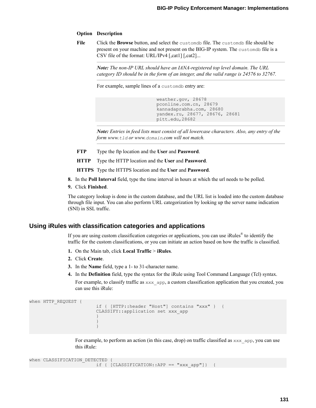#### <span id="page-130-0"></span>**Option Description**

**File** Click the **Browse** button, and select the customdb file. The customdb file should be present on your machine and not present on the BIG-IP system. The customdb file is a CSV file of the format: URL/IPv4 [,cat1] [,cat2]...

*Note: The non-IP URL should have an IANA-registered top level domain. The URL category ID should be in the form of an integer, and the valid range is 24576 to 32767.*

For example, sample lines of a customdb entry are:

```
 weather.gov, 28678
pconline.com.cn, 28679
kannadaprabha.com, 28680
yandex.ru, 28677, 28676, 28681
pitt.edu,28682
```
*Note: Entries in feed lists must consist of all lowercase characters. Also, any entry of the form www.tld or www.domain.com will not match.*

**FTP** Type the ftp location and the **User** and **Password**.

**HTTP** Type the HTTP location and the **User** and **Password**.

**HTTPS** Type the HTTPS location and the **User** and **Password**.

- **8.** In the **Poll Interval** field, type the time interval in hours at which the url needs to be polled.
- **9.** Click **Finished**.

The category lookup is done in the custom database, and the URL list is loaded into the custom database through file input. You can also perform URL categorization by looking up the server name indication (SNI) in SSL traffic.

### **Using iRules with classification categories and applications**

If you are using custom classification categories or applications, you can use iRules<sup>®</sup> to identify the traffic for the custom classifications, or you can initiate an action based on how the traffic is classified.

- **1.** On the Main tab, click **Local Traffic** > **iRules**.
- **2.** Click **Create**.
- **3.** In the **Name** field, type a 1- to 31-character name.
- **4.** In the **Definition** field, type the syntax for the iRule using Tool Command Language (Tcl) syntax.

For example, to classify traffic as  $xxx$  app, a custom classification application that you created, you can use this iRule:

```
when HTTP_REQUEST {
               if { [HTTP::header "Host"] contains "xxx" } { 
               CLASSIFY::application set xxx_app 
} 
} 
}
```
For example, to perform an action (in this case, drop) on traffic classified as  $xxx$  app, you can use this iRule:

```
when CLASSIFICATION DETECTED {
                         if { [CLASSIFICATION::APP == "xxx_app"]} {
```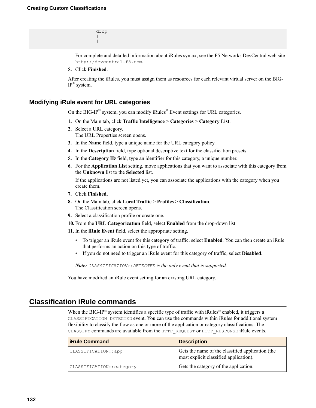drop } }

> For complete and detailed information about iRules syntax, see the F5 Networks DevCentral web site http://devcentral.f5.com.

**5.** Click **Finished**.

After creating the iRules, you must assign them as resources for each relevant virtual server on the BIG-IP® system.

## **Modifying iRule event for URL categories**

On the BIG-IP<sup>®</sup> system, you can modify iRules<sup>®</sup> Event settings for URL categories.

- **1.** On the Main tab, click **Traffic Intelligence** > **Categories** > **Category List**.
- **2.** Select a URL category. The URL Properties screen opens.
- **3.** In the **Name** field, type a unique name for the URL category policy.
- **4.** In the **Description** field, type optional descriptive text for the classification presets.
- **5.** In the **Category ID** field, type an identifier for this category, a unique number.
- **6.** For the **Application List** setting, move applications that you want to associate with this category from the **Unknown** list to the **Selected** list.

If the applications are not listed yet, you can associate the applications with the category when you create them.

- **7.** Click **Finished**.
- **8.** On the Main tab, click **Local Traffic** > **Profiles** > **Classification**. The Classification screen opens.
- **9.** Select a classification profile or create one.
- **10.**From the **URL Categorization** field, select **Enabled** from the drop-down list.
- **11.** In the **iRule Event** field, select the appropriate setting.
	- To trigger an iRule event for this category of traffic, select **Enabled**. You can then create an iRule that performs an action on this type of traffic.
	- If you do not need to trigger an iRule event for this category of traffic, select **Disabled**.

*Note: CLASSIFICATION::DETECTED is the only event that is supported.*

You have modified an iRule event setting for an existing URL category.

## **Classification iRule commands**

When the BIG-IP<sup>®</sup> system identifies a specific type of traffic with iRules<sup>®</sup> enabled, it triggers a CLASSIFICATION\_DETECTED event. You can use the commands within iRules for additional system flexibility to classify the flow as one or more of the application or category classifications. The CLASSIFY commands are available from the HTTP\_REQUEST or HTTP\_RESPONSE iRule events.

| <b>iRule Command</b>      | <b>Description</b>                                                                         |
|---------------------------|--------------------------------------------------------------------------------------------|
| CLASSIFICATION::app       | Gets the name of the classified application (the<br>most explicit classified application). |
| CLASSIFICATION:: category | Gets the category of the application.                                                      |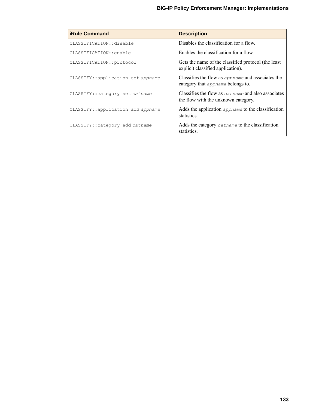| <b>iRule Command</b>              | <b>Description</b>                                                                          |
|-----------------------------------|---------------------------------------------------------------------------------------------|
| CLASSIFICATION::disable           | Disables the classification for a flow.                                                     |
| CLASSIFICATION::enable            | Enables the classification for a flow.                                                      |
| CLASSIFICATION::protocol          | Gets the name of the classified protocol (the least<br>explicit classified application).    |
| CLASSIFY::application set appname | Classifies the flow as appname and associates the<br>category that appname belongs to.      |
| CLASSIFY:: category set catname   | Classifies the flow as $catname$ and also associates<br>the flow with the unknown category. |
| CLASSIFY::application add appname | Adds the application apprame to the classification<br>statistics.                           |
| CLASSIFY:: category add catname   | Adds the category <i>catname</i> to the classification<br>statistics.                       |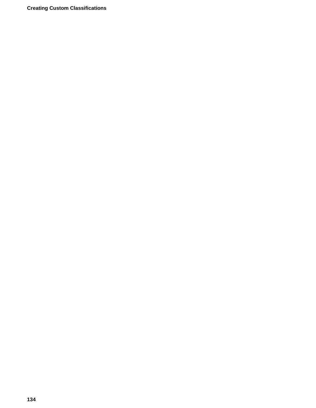**Creating Custom Classifications**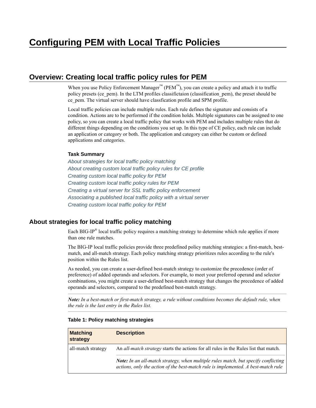## **Overview: Creating local traffic policy rules for PEM**

When you use Policy Enforcement Manager<sup>™</sup> (PEM<sup>™</sup>), you can create a policy and attach it to traffic policy presets (ce\_pem). In the LTM profiles classifictaion (classification\_pem), the preset should be ce\_pem. The virtual server should have classfication profile and SPM profile.

Local traffic policies can include multiple rules. Each rule defines the signature and consists of a condition. Actions are to be performed if the condition holds. Multiple signatures can be assigned to one policy, so you can create a local traffic policy that works with PEM and includes multiple rules that do different things depending on the conditions you set up. In this type of CE policy, each rule can include an application or category or both. The application and category can either be custom or defined applications and categories.

### **Task Summary**

About strategies for local traffic policy matching [About creating custom local traffic policy rules for CE profile](#page-135-0) [Creating custom local traffic policy for PEM](#page-135-0) [Creating custom local traffic policy rules for PEM](#page-136-0) [Creating a virtual server for SSL traffic policy enforcement](#page-137-0) [Associating a published local traffic policy with a virtual server](#page-137-0) [Creating custom local traffic policy for PEM](#page-138-0)

## **About strategies for local traffic policy matching**

Each BIG-IP<sup>®</sup> local traffic policy requires a matching strategy to determine which rule applies if more than one rule matches.

The BIG-IP local traffic policies provide three predefined policy matching strategies: a first-match, bestmatch, and all-match strategy. Each policy matching strategy prioritizes rules according to the rule's position within the Rules list.

As needed, you can create a user-defined best-match strategy to customize the precedence (order of preference) of added operands and selectors. For example, to meet your preferred operand and selector combinations, you might create a user-defined best-match strategy that changes the precedence of added operands and selectors, compared to the predefined best-match strategy.

*Note: In a best-match or first-match strategy, a rule without conditions becomes the default rule, when the rule is the last entry in the Rules list.*

| <b>Matching</b><br>strategy | <b>Description</b>                                                                                                                                                             |
|-----------------------------|--------------------------------------------------------------------------------------------------------------------------------------------------------------------------------|
| all-match strategy          | An <i>all-match strategy</i> starts the actions for all rules in the Rules list that match.                                                                                    |
|                             | <b>Note:</b> In an all-match strategy, when multiple rules match, but specify conflicting<br>actions, only the action of the best-match rule is implemented. A best-match rule |

### **Table 1: Policy matching strategies**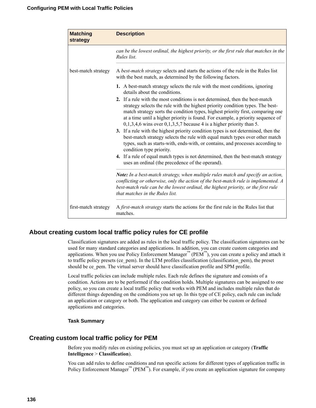<span id="page-135-0"></span>

| <b>Matching</b><br>strategy | <b>Description</b>                                                                                                                                                                                                                                                                                                                                                                                               |
|-----------------------------|------------------------------------------------------------------------------------------------------------------------------------------------------------------------------------------------------------------------------------------------------------------------------------------------------------------------------------------------------------------------------------------------------------------|
|                             | can be the lowest ordinal, the highest priority, or the first rule that matches in the<br>Rules list.                                                                                                                                                                                                                                                                                                            |
| best-match strategy         | A best-match strategy selects and starts the actions of the rule in the Rules list<br>with the best match, as determined by the following factors.                                                                                                                                                                                                                                                               |
|                             | 1. A best-match strategy selects the rule with the most conditions, ignoring<br>details about the conditions.                                                                                                                                                                                                                                                                                                    |
|                             | 2. If a rule with the most conditions is not determined, then the best-match<br>strategy selects the rule with the highest priority condition types. The best-<br>match strategy sorts the condition types, highest priority first, comparing one<br>at a time until a higher priority is found. For example, a priority sequence of<br>$0,1,3,4,6$ wins over $0,1,3,5,7$ because 4 is a higher priority than 5. |
|                             | 3. If a rule with the highest priority condition types is not determined, then the<br>best-match strategy selects the rule with equal match types over other match<br>types, such as starts-with, ends-with, or contains, and processes according to<br>condition type priority.                                                                                                                                 |
|                             | 4. If a rule of equal match types is not determined, then the best-match strategy<br>uses an ordinal (the precedence of the operand).                                                                                                                                                                                                                                                                            |
|                             | Note: In a best-match strategy, when multiple rules match and specify an action,<br>conflicting or otherwise, only the action of the best-match rule is implemented. A<br>best-match rule can be the lowest ordinal, the highest priority, or the first rule<br>that matches in the Rules list.                                                                                                                  |
| first-match strategy        | A first-match strategy starts the actions for the first rule in the Rules list that<br>matches.                                                                                                                                                                                                                                                                                                                  |

## **About creating custom local traffic policy rules for CE profile**

Classification signatures are added as rules in the local traffic policy. The classification signatures can be used for many standard categories and applications. In addition, you can create custom categories and applications. When you use Policy Enforcement Manager™ (PEM™ ), you can create a policy and attach it to traffic policy presets (ce\_pem). In the LTM profiles classification (classification\_pem), the preset should be ce\_pem. The virtual server should have classification profile and SPM profile.

Local traffic policies can include multiple rules. Each rule defines the signature and consists of a condition. Actions are to be performed if the condition holds. Multiple signatures can be assigned to one policy, so you can create a local traffic policy that works with PEM and includes multiple rules that do different things depending on the conditions you set up. In this type of CE policy, each rule can include an application or category or both. The application and category can either be custom or defined applications and categories.

### **Task Summary**

## **Creating custom local traffic policy for PEM**

Before you modify rules on existing policies, you must set up an application or category (**Traffic Intelligence** > **Classification**).

You can add rules to define conditions and run specific actions for different types of application traffic in Policy Enforcement Manager<sup>™</sup> (PEM<sup>™</sup>). For example, if you create an application signature for company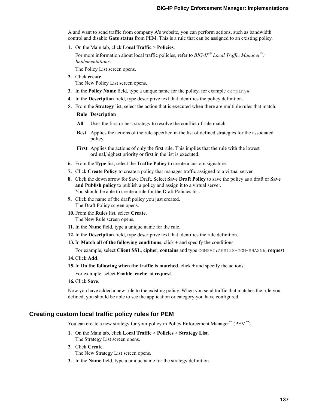<span id="page-136-0"></span>A and want to send traffic from company A's website, you can perform actions, such as bandwidth control and disable **Gate status** from PEM. This is a rule that can be assigned to an existing policy.

**1.** On the Main tab, click **Local Traffic** > **Policies**.

For more information about local traffic policies, refer to *BIG-IP® Local Traffic Manager™ : Implementations*.

The Policy List screen opens.

- **2.** Click **create**. The New Policy List screen opens.
- **3.** In the **Policy Name** field, type a unique name for the policy, for example companyA.
- **4.** In the **Description** field, type descriptive text that identifies the policy definition.
- **5.** From the **Strategy** list, select the action that is executed when there are multiple rules that match.

### **Rule Description**

- **All** Uses the first or best strategy to resolve the conflict of rule match.
- **Best** Applies the actions of the rule specified in the list of defined strategies for the associated policy.
- **First** Applies the actions of only the first rule. This implies that the rule with the lowest ordinal,highest priority or first in the list is executed.
- **6.** From the **Type** list, select the **Traffic Policy** to create a custom signature.
- **7.** Click **Create Policy** to create a policy that manages traffic assigned to a virtual server.
- **8.** Click the down arrow for Save Draft. Select **Save Draft Policy** to save the policy as a draft or **Save and Publish policy** to publish a policy and assign it to a virtual server. You should be able to create a rule for the Draft Policies list.
- **9.** Click the name of the draft policy you just created. The Draft Policy screen opens.
- **10.**From the **Rules** list, select **Create**. The New Rule screen opens.
- **11.** In the **Name** field, type a unique name for the rule.
- **12.** In the **Description** field, type descriptive text that identifies the rule definition.
- **13.** In **Match all of the following conditions**, click **+** and specify the conditions.

For example, select **Client SSL**, **cipher**, **contains** and type COMPAT:AES128-GCM-SHA256, **request**

- **14.** Click **Add**.
- **15.** In **Do the following when the traffic is matched**, click **+** and specify the actions:

For example, select **Enable**, **cache**, at **request**.

**16.** Click **Save**.

Now you have added a new rule to the existing policy. When you send traffic that matches the rule you defined, you should be able to see the application or category you have configured.

## **Creating custom local traffic policy rules for PEM**

You can create a new strategy for your policy in Policy Enforcement Manager<sup>™</sup> (PEM<sup>™</sup>).

- **1.** On the Main tab, click **Local Traffic** > **Policies** > **Strategy List**. The Strategy List screen opens.
- **2.** Click **Create**. The New Strategy List screen opens.
- **3.** In the **Name** field, type a unique name for the strategy definition.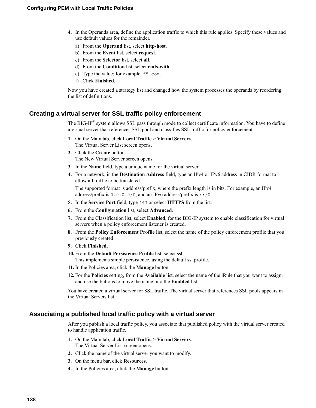- <span id="page-137-0"></span>**4.** In the Operands area, define the application traffic to which this rule applies. Specify these values and use default values for the remainder.
	- a) From the **Operand** list, select **http-host**.
	- b) From the **Event** list, select **request**.
	- c) From the **Selector** list, select **all**.
	- d) From the **Condition** list, select **ends-with**.
	- e) Type the value; for example, f5.com.
	- f) Click **Finished**.

Now you have created a strategy list and changed how the system processes the operands by reordering the list of definitions.

## **Creating a virtual server for SSL traffic policy enforcement**

The BIG-IP<sup>®</sup> system allows SSL pass through mode to collect certificate information. You have to define a virtual server that references SSL pool and classifies SSL traffic for policy enforcement.

- **1.** On the Main tab, click **Local Traffic** > **Virtual Servers**. The Virtual Server List screen opens.
- **2.** Click the **Create** button. The New Virtual Server screen opens.
- **3.** In the **Name** field, type a unique name for the virtual server.
- **4.** For a network, in the **Destination Address** field, type an IPv4 or IPv6 address in CIDR format to allow all traffic to be translated.

The supported format is address/prefix, where the prefix length is in bits. For example, an IPv4 address/prefix is  $0.0.0.0/0$ , and an IPv6 address/prefix is ::/0.

- **5.** In the **Service Port** field, type 443 or select **HTTPS** from the list.
- **6.** From the **Configuration** list, select **Advanced**.
- **7.** From the Classification list, select **Enabled**, for the BIG-IP system to enable classification for virtual servers when a policy enforcement listener is created.
- **8.** From the **Policy Enforcement Profile** list, select the name of the policy enforcement profile that you previously created.
- **9.** Click **Finished**.
- **10.**From the **Default Persistence Profile** list, select **ssl**. This implements simple persistence, using the default ssl profile.
- **11.** In the Policies area, click the **Manage** button.
- **12.**For the **Policies** setting, from the **Available** list, select the name of the iRule that you want to assign, and use the buttons to move the name into the **Enabled** list.

You have created a virtual server for SSL traffic. The virtual server that references SSL pools appears in the Virtual Servers list.

### **Associating a published local traffic policy with a virtual server**

After you publish a local traffic policy, you associate that published policy with the virtual server created to handle application traffic.

- **1.** On the Main tab, click **Local Traffic** > **Virtual Servers**. The Virtual Server List screen opens.
- **2.** Click the name of the virtual server you want to modify.
- **3.** On the menu bar, click **Resources**.
- **4.** In the Policies area, click the **Manage** button.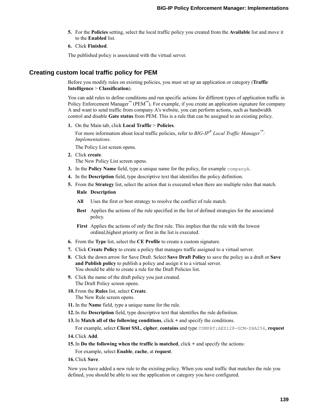- <span id="page-138-0"></span>**5.** For the **Policies** setting, select the local traffic policy you created from the **Available** list and move it to the **Enabled** list.
- **6.** Click **Finished**.

The published policy is associated with the virtual server.

## **Creating custom local traffic policy for PEM**

Before you modify rules on existing policies, you must set up an application or category (**Traffic Intelligence** > **Classification**).

You can add rules to define conditions and run specific actions for different types of application traffic in Policy Enforcement Manager<sup>™</sup> (PEM<sup>™</sup>). For example, if you create an application signature for company A and want to send traffic from company A's website, you can perform actions, such as bandwidth control and disable **Gate status** from PEM. This is a rule that can be assigned to an existing policy.

**1.** On the Main tab, click **Local Traffic** > **Policies**.

For more information about local traffic policies, refer to *BIG-IP® Local Traffic Manager™ : Implementations*.

The Policy List screen opens.

**2.** Click **create**.

The New Policy List screen opens.

- **3.** In the **Policy Name** field, type a unique name for the policy, for example companyA.
- **4.** In the **Description** field, type descriptive text that identifies the policy definition.
- **5.** From the **Strategy** list, select the action that is executed when there are multiple rules that match.

### **Rule Description**

- **All** Uses the first or best strategy to resolve the conflict of rule match.
- **Best** Applies the actions of the rule specified in the list of defined strategies for the associated policy.
- **First** Applies the actions of only the first rule. This implies that the rule with the lowest ordinal,highest priority or first in the list is executed.
- **6.** From the **Type** list, select the **CE Profile** to create a custom signature.
- **7.** Click **Create Policy** to create a policy that manages traffic assigned to a virtual server.
- **8.** Click the down arrow for Save Draft. Select **Save Draft Policy** to save the policy as a draft or **Save and Publish policy** to publish a policy and assign it to a virtual server. You should be able to create a rule for the Draft Policies list.
- **9.** Click the name of the draft policy you just created. The Draft Policy screen opens.
- **10.**From the **Rules** list, select **Create**. The New Rule screen opens.
- **11.** In the **Name** field, type a unique name for the rule.
- **12.** In the **Description** field, type descriptive text that identifies the rule definition.

**13.** In **Match all of the following conditions**, click **+** and specify the conditions.

For example, select **Client SSL**, **cipher**, **contains** and type COMPAT:AES128-GCM-SHA256, **request 14.** Click **Add**.

**15.** In **Do the following when the traffic is matched**, click **+** and specify the actions:

For example, select **Enable**, **cache**, at **request**.

**16.** Click **Save**.

Now you have added a new rule to the existing policy. When you send traffic that matches the rule you defined, you should be able to see the application or category you have configured.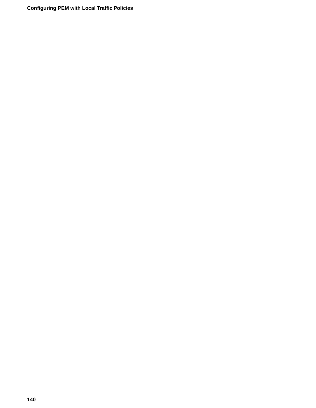**Configuring PEM with Local Traffic Policies**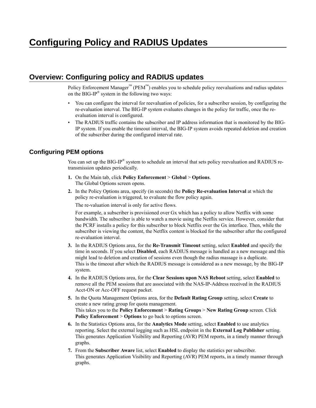# **Configuring Policy and RADIUS Updates**

## **Overview: Configuring policy and RADIUS updates**

Policy Enforcement Manager<sup>™</sup> (PEM<sup>™</sup>) enables you to schedule policy reevaluations and radius updates on the BIG-IP $^{\circledR}$  system in the following two ways:

- You can configure the interval for reevaluation of policies, for a subscriber session, by configuring the re-evaluation interval. The BIG-IP system evaluates changes in the policy for traffic, once the reevaluation interval is configured.
- The RADIUS traffic contains the subscriber and IP address information that is monitored by the BIG-IP system. If you enable the timeout interval, the BIG-IP system avoids repeated deletion and creation of the subscriber during the configured interval rate.

## **Configuring PEM options**

You can set up the BIG-IP<sup>®</sup> system to schedule an interval that sets policy reevaluation and RADIUS retransmission updates periodically.

- **1.** On the Main tab, click **Policy Enforcement** > **Global** > **Options**. The Global Options screen opens.
- **2.** In the Policy Options area, specify (in seconds) the **Policy Re-evaluation Interval** at which the policy re-evaluation is triggered, to evaluate the flow policy again.

The re-valuation interval is only for active flows.

For example, a subscriber is provisioned over Gx which has a policy to allow Netflix with some bandwidth. The subscriber is able to watch a movie using the Netflix service. However, consider that the PCRF installs a policy for this subscriber to block Netflix over the Gx interface. Then, while the subscriber is viewing the content, the Netflix content is blocked for the subscriber after the configured re-evaluation interval.

- **3.** In the RADIUS Options area, for the **Re-Transmit Timeout** setting, select **Enabled** and specify the time in seconds. If you select **Disabled**, each RADIUS message is handled as a new message and this might lead to deletion and creation of sessions even though the radius massage is a duplicate. This is the timeout after which the RADIUS message is considered as a new message, by the BIG-IP system.
- **4.** In the RADIUS Options area, for the **Clear Sessions upon NAS Reboot** setting, select **Enabled** to remove all the PEM sessions that are associated with the NAS-IP-Address received in the RADIUS Acct-ON or Acc-OFF request packet.
- **5.** In the Quota Management Options area, for the **Default Rating Group** setting, select **Create** to create a new rating group for quota management. This takes you to the **Policy Enforcement** > **Rating Groups** > **New Rating Group** screen. Click **Policy Enforcement** > **Options** to go back to options screen.
- **6.** In the Statistics Options area, for the **Analytics Mode** setting, select **Enabled** to use analytics reporting. Select the external logging such as HSL endpoint in the **External Log Publisher** setting. This generates Application Visibility and Reporting (AVR) PEM reports, in a timely manner through graphs.
- **7.** From the **Subscriber Aware** list, select **Enabled** to display the statistics per subscriber. This generates Application Visibility and Reporting (AVR) PEM reports, in a timely manner through graphs.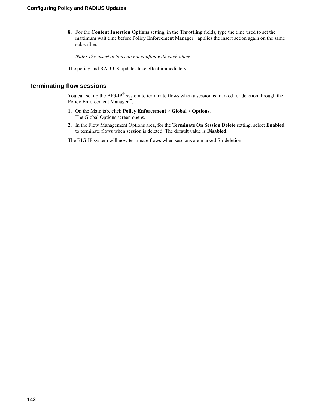**8.** For the **Content Insertion Options** setting, in the **Throttling** fields, type the time used to set the maximum wait time before Policy Enforcement Manager<sup>™</sup> applies the insert action again on the same subscriber.

*Note: The insert actions do not conflict with each other.*

The policy and RADIUS updates take effect immediately.

## **Terminating flow sessions**

You can set up the BIG-IP<sup>®</sup> system to terminate flows when a session is marked for deletion through the Policy Enforcement Manager™.

- **1.** On the Main tab, click **Policy Enforcement** > **Global** > **Options**. The Global Options screen opens.
- **2.** In the Flow Management Options area, for the **Terminate On Session Delete** setting, select **Enabled** to terminate flows when session is deleted. The default value is **Disabled**.

The BIG-IP system will now terminate flows when sessions are marked for deletion.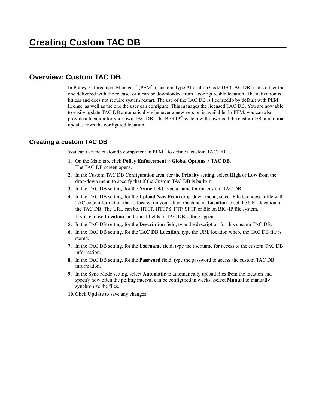## **Overview: Custom TAC DB**

In Policy Enforcement Manager™ (PEM™ ), custom Type Allocation Code DB (TAC DB) is dis either the one delivered with the release, or it can be downloaded from a configureable location. The activation is hitless and does not require system restart. The use of the TAC DB is licenseddb by default with PEM license, as well as the one the user can configure. This manages the licensed TAC DB. You are now able to easily update TAC DB automatically whenever a new version is available. In PEM, you can also provide a location for your own TAC DB. The BIG-IP<sup>®</sup> system will download the custom DB, and initial updates from the configured location.

## **Creating a custom TAC DB**

You can use the customdb component in  $PEM<sup>TM</sup>$  to define a custom TAC DB.

- **1.** On the Main tab, click **Policy Enforcement** > **Global Options** > **TAC DB**. The TAC DB screen opens.
- **2.** In the Custom TAC DB Configuration area, for the **Priority** setting, select **High** or **Low** from the drop-down menu to specify that if the Custom TAC DB is built-in.
- **3.** In the TAC DB setting, for the **Name** field, type a name for the custom TAC DB.
- **4.** In the TAC DB setting, for the **Upload New From** drop-down menu, select **File** to choose a file with TAC code information that is located on your client machine or **Location** to set the URL location of the TAC DB. The URL can be, HTTP, HTTPS, FTP, SFTP or file on BIG-IP file system.

If you choose **Location**, additional fields in TAC DB setting appear.

- **5.** In the TAC DB setting, for the **Description** field, type the description for this custom TAC DB.
- **6.** In the TAC DB setting, for the **TAC DB Location**, type the URL location where the TAC DB file is stored.
- **7.** In the TAC DB setting, for the **Username** field, type the username for access to the custom TAC DB information.
- **8.** In the TAC DB setting, for the **Password** field, type the password to access the custom TAC DB information.
- **9.** In the Sync Mode setting, select **Automatic** to automatically upload files from the location and specify how often the polling interval can be configured in weeks. Select **Manual** to manually synchronize the files.
- **10.** Click **Update** to save any changes.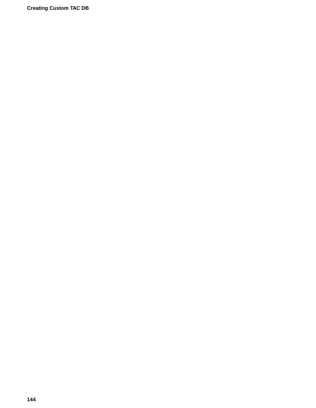**Creating Custom TAC DB**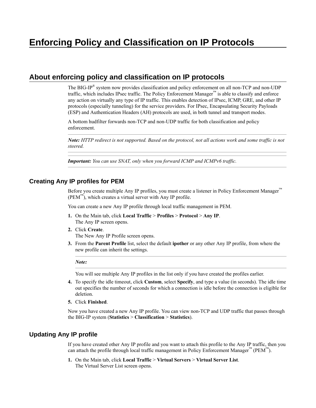# <span id="page-144-0"></span>**About enforcing policy and classification on IP protocols**

The BIG-IP<sup>®</sup> system now provides classification and policy enforcement on all non-TCP and non-UDP traffic, which includes IPsec traffic. The Policy Enforcement Manager™ is able to classify and enforce any action on virtually any type of IP traffic. This enables detection of IPsec, ICMP, GRE, and other IP protocols (especially tunneling) for the service providers. For IPsec, Encapsulating Security Payloads (ESP) and Authentication Headers (AH) protocols are used, in both tunnel and transport modes.

A bottom hudfilter forwards non-TCP and non-UDP traffic for both classification and policy enforcement.

*Note: HTTP redirect is not supported. Based on the protocol, not all actions work and some traffic is not steered.*

*Important: You can use SNAT, only when you forward ICMP and ICMPv6 traffic.*

#### **Creating Any IP profiles for PEM**

Before you create multiple Any IP profiles, you must create a listener in Policy Enforcement Manager™  $(PEM<sup>TM</sup>)$ , which creates a virtual server with Any IP profile.

You can create a new Any IP profile through local traffic management in PEM.

- **1.** On the Main tab, click **Local Traffic** > **Profiles** > **Protocol** > **Any IP**. The Any IP screen opens.
- **2.** Click **Create**.

The New Any IP Profile screen opens.

**3.** From the **Parent Profile** list, select the default **ipother** or any other Any IP profile, from where the new profile can inherit the settings.

*Note:*

You will see multiple Any IP profiles in the list only if you have created the profiles earlier.

- **4.** To specify the idle timeout, click **Custom**, select **Specify**, and type a value (in seconds). The idle time out specifies the number of seconds for which a connection is idle before the connection is eligible for deletion.
- **5.** Click **Finished**.

Now you have created a new Any IP profile. You can view non-TCP and UDP traffic that passes through the BIG-IP system (**Statistics** > **Classification** > **Statistics**).

### **Updating Any IP profile**

If you have created other Any IP profile and you want to attach this profile to the Any IP traffic, then you can attach the profile through local traffic management in Policy Enforcement Manager<sup>™</sup> (PEM<sup>™</sup>).

**1.** On the Main tab, click **Local Traffic** > **Virtual Servers** > **Virtual Server List**. The Virtual Server List screen opens.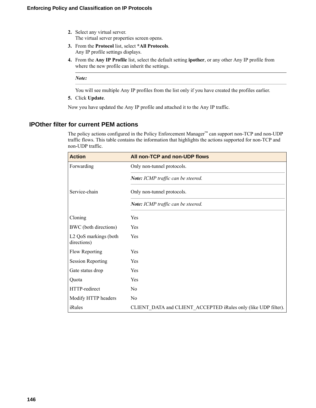- <span id="page-145-0"></span>**2.** Select any virtual server. The virtual server properties screen opens.
- **3.** From the **Protocol** list, select **\*All Protocols**. Any IP profile settings displays.
- **4.** From the **Any IP Profile** list, select the default setting **ipother**, or any other Any IP profile from where the new profile can inherit the settings.

*Note:*

You will see multiple Any IP profiles from the list only if you have created the profiles earlier.

**5.** Click **Update**.

Now you have updated the Any IP profile and attached it to the Any IP traffic.

#### **IPOther filter for current PEM actions**

The policy actions configured in the Policy Enforcement Manager™ can support non-TCP and non-UDP traffic flows. This table contains the information that highlights the actions supported for non-TCP and non-UDP traffic.

| <b>Action</b>                                                 | All non-TCP and non-UDP flows                                  |
|---------------------------------------------------------------|----------------------------------------------------------------|
| Forwarding                                                    | Only non-tunnel protocols.                                     |
|                                                               | Note: ICMP traffic can be steered.                             |
| Service-chain                                                 | Only non-tunnel protocols.                                     |
|                                                               | Note: ICMP traffic can be steered.                             |
| Cloning                                                       | Yes                                                            |
| BWC (both directions)                                         | Yes                                                            |
| L <sub>2</sub> Q <sub>o</sub> S markings (both<br>directions) | Yes                                                            |
| Flow Reporting                                                | Yes                                                            |
| <b>Session Reporting</b>                                      | Yes                                                            |
| Gate status drop                                              | Yes                                                            |
| Quota                                                         | Yes                                                            |
| HTTP-redirect                                                 | N <sub>0</sub>                                                 |
| Modify HTTP headers                                           | No                                                             |
| iRules                                                        | CLIENT DATA and CLIENT ACCEPTED iRules only (like UDP filter). |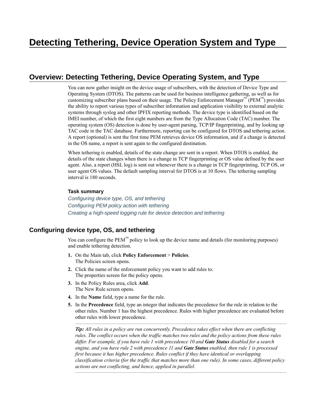# <span id="page-146-0"></span>**Overview: Detecting Tethering, Device Operating System, and Type**

You can now gather insight on the device usage of subscribers, with the detection of Device Type and Operating System (DTOS). The patterns can be used for business intelligence gathering, as well as for customizing subscriber plans based on their usage. The Policy Enforcement Manager<sup>™</sup> (PEM<sup>™</sup>) provides the ability to report various types of subscriber information and application visibility to external analytic systems through syslog and other IPFIX reporting methods. The device type is identified based on the IMEI number, of which the first eight numbers are from the Type Allocation Code (TAC) number. The operating system (OS) detection is done by user-agent parsing, TCP/IP fingerprinting, and by looking up TAC code in the TAC database. Furthermore, reporting can be configured for DTOS and tethering action. A report (optional) is sent the first time PEM retrieves device OS information, and if a change is detected in the OS name, a report is sent again to the configured destination.

When tethering is enabled, details of the state change are sent in a report. When DTOS is enabled, the details of the state changes when there is a change in TCP fingerprinting or OS value defined by the user agent. Also, a report (HSL log) is sent out whenever there is a change in TCP fingerprinting, TCP OS, or user agent OS values. The default sampling interval for DTOS is at 10 flows. The tethering sampling interval is 180 seconds.

#### **Task summary**

Configuring device type, OS, and tethering [Configuring PEM policy action with tethering](#page-147-0) [Creating a high-speed logging rule for device detection and tethering](#page-48-0)

### **Configuring device type, OS, and tethering**

You can configure the  $PEM^{\text{m}}$  policy to look up the device name and details (for monitoring purposes) and enable tethering detection.

- **1.** On the Main tab, click **Policy Enforcement** > **Policies**. The Policies screen opens.
- **2.** Click the name of the enforcement policy you want to add rules to. The properties screen for the policy opens.
- **3.** In the Policy Rules area, click **Add**. The New Rule screen opens.
- **4.** In the **Name** field, type a name for the rule.
- **5.** In the **Precedence** field, type an integer that indicates the precedence for the rule in relation to the other rules. Number 1 has the highest precedence. Rules with higher precedence are evaluated before other rules with lower precedence.

*Tip: All rules in a policy are run concurrently. Precedence takes effect when there are conflicting rules. The conflict occurs when the traffic matches two rules and the policy actions from these rules differ. For example, if you have rule 1 with precedence 10 and Gate Status disabled for a search engine, and you have rule 2 with precedence 11 and Gate Status enabled, then rule 1 is processed first because it has higher precedence. Rules conflict if they have identical or overlapping classification criteria (for the traffic that matches more than one rule). In some cases, different policy actions are not conflicting, and hence, applied in parallel.*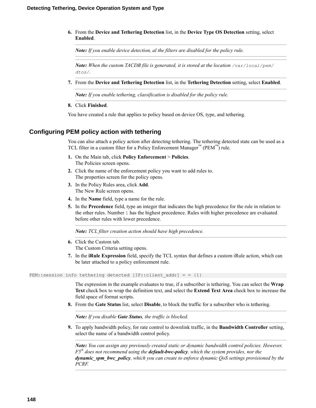<span id="page-147-0"></span>**6.** From the **Device and Tethering Detection** list, in the **Device Type OS Detection** setting, select **Enabled**.

*Note: If you enable device detection, al the filters are disabled for the policy rule.*

*Note: When the custom TACDB file is generated, it is stored at the location /var/local/pem/ dtos/.*

**7.** From the **Device and Tethering Detection** list, in the **Tethering Detection** setting, select **Enabled**.

*Note: If you enable tethering, classification is disabled for the policy rule.*

**8.** Click **Finished**.

You have created a rule that applies to policy based on device OS, type, and tethering.

#### **Configuring PEM policy action with tethering**

You can also attach a policy action after detecting tethering. The tethering detected state can be used as a TCL filter in a custom filter for a Policy Enforcement Manager<sup>™</sup> (PEM<sup>™</sup>) rule.

- **1.** On the Main tab, click **Policy Enforcement** > **Policies**. The Policies screen opens.
- **2.** Click the name of the enforcement policy you want to add rules to. The properties screen for the policy opens.
- **3.** In the Policy Rules area, click **Add**. The New Rule screen opens.
- **4.** In the **Name** field, type a name for the rule.
- **5.** In the **Precedence** field, type an integer that indicates the high precedence for the rule in relation to the other rules. Number 1 has the highest precedence. Rules with higher precedence are evaluated before other rules with lower precedence.

*Note: TCL filter creation action should have high precedence.*

- **6.** Click the Custom tab. The Custom Criteria setting opens.
- **7.** In the **iRule Expression** field, specify the TCL syntax that defines a custom iRule action, which can be later attached to a policy enforcement rule.

PEM::session info tethering detected [IP::client addr] = = {1}

The expression in the example evaluates to true, if a subscriber is tethering. You can select the **Wrap Text** check box to wrap the definition text, and select the **Extend Text Area** check box to increase the field space of format scripts.

**8.** From the **Gate Status** list, select **Disable**, to block the traffic for a subscriber who is tethering.

*Note: If you disable Gate Status, the traffic is blocked.*

**9.** To apply bandwidth policy, for rate control to downlink traffic, in the **Bandwidth Controller** setting, select the name of a bandwidth control policy.

*Note: You can assign any previously created static or dynamic bandwidth control policies. However, F5® does not recommend using the default-bwc-policy, which the system provides, nor the dynamic\_spm\_bwc\_policy, which you can create to enforce dynamic QoS settings provisioned by the PCRF.*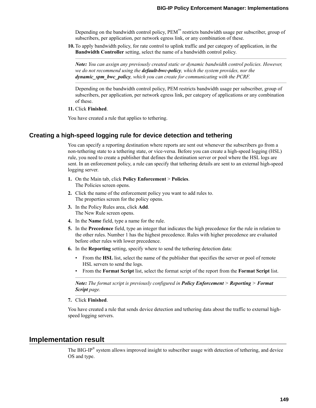<span id="page-148-0"></span>Depending on the bandwidth control policy,  $PEM^{\mu}$  restricts bandwidth usage per subscriber, group of subscribers, per application, per network egress link, or any combination of these.

**10.** To apply bandwidth policy, for rate control to uplink traffic and per category of application, in the **Bandwidth Controller** setting, select the name of a bandwidth control policy.

*Note: You can assign any previously created static or dynamic bandwidth control policies. However, we do not recommend using the default-bwc-policy, which the system provides, nor the dynamic\_spm\_bwc\_policy, which you can create for communicating with the PCRF.*

Depending on the bandwidth control policy, PEM restricts bandwidth usage per subscriber, group of subscribers, per application, per network egress link, per category of applications or any combination of these.

**11.** Click **Finished**.

You have created a rule that applies to tethering.

#### **Creating a high-speed logging rule for device detection and tethering**

You can specify a reporting destination where reports are sent out whenever the subscribers go from a non-tethering state to a tethering state, or vice-versa. Before you can create a high-speed logging (HSL) rule, you need to create a publisher that defines the destination server or pool where the HSL logs are sent. In an enforcement policy, a rule can specify that tethering details are sent to an external high-speed logging server.

- **1.** On the Main tab, click **Policy Enforcement** > **Policies**. The Policies screen opens.
- **2.** Click the name of the enforcement policy you want to add rules to. The properties screen for the policy opens.
- **3.** In the Policy Rules area, click **Add**. The New Rule screen opens.
- **4.** In the **Name** field, type a name for the rule.
- **5.** In the **Precedence** field, type an integer that indicates the high precedence for the rule in relation to the other rules. Number 1 has the highest precedence. Rules with higher precedence are evaluated before other rules with lower precedence.
- **6.** In the **Reporting** setting, specify where to send the tethering detection data:
	- From the **HSL** list, select the name of the publisher that specifies the server or pool of remote HSL servers to send the logs.
	- From the **Format Script** list, select the format script of the report from the **Format Script** list.

*Note: The format script is previously configured in Policy Enforcement > Reporting > Format Script page.*

#### **7.** Click **Finished**.

You have created a rule that sends device detection and tethering data about the traffic to external highspeed logging servers.

### **Implementation result**

The BIG-IP<sup>®</sup> system allows improved insight to subscriber usage with detection of tethering, and device OS and type.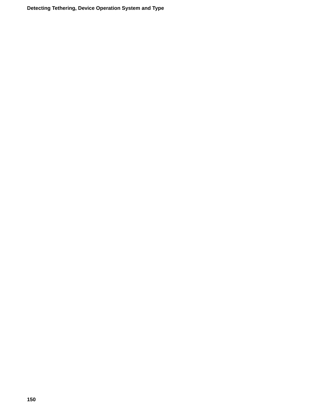**Detecting Tethering, Device Operation System and Type**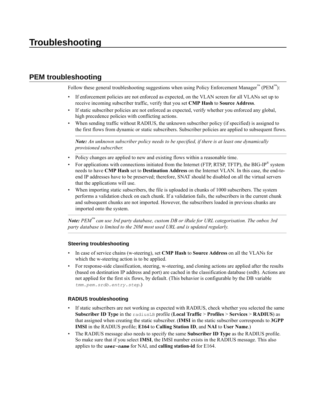# <span id="page-150-0"></span>**Troubleshooting**

## **PEM troubleshooting**

Follow these general troubleshooting suggestions when using Policy Enforcement Manager<sup>™</sup> (PEM<sup>™</sup>):

- If enforcement policies are not enforced as expected, on the VLAN screen for all VLANs set up to receive incoming subscriber traffic, verify that you set **CMP Hash** to **Source Address**.
- If static subscriber policies are not enforced as expected, verify whether you enforced any global, high precedence policies with conflicting actions.
- When sending traffic without RADIUS, the unknown subscriber policy (if specified) is assigned to the first flows from dynamic or static subscribers. Subscriber policies are applied to subsequent flows.

*Note: An unknown subscriber policy needs to be specified, if there is at least one dynamically provisioned subscriber.*

- Policy changes are applied to new and existing flows within a reasonable time.
- For applications with connections initiated from the Internet (FTP, RTSP, TFTP), the BIG-IP<sup>®</sup> system needs to have **CMP Hash** set to **Destination Address** on the Internet VLAN. In this case, the end-toend IP addresses have to be preserved; therefore, SNAT should be disabled on all the virtual servers that the applications will use.
- When importing static subscribers, the file is uploaded in chunks of 1000 subscribers. The system performs a validation check on each chunk. If a validation fails, the subscribers in the current chunk and subsequent chunks are not imported. However, the subscribers loaded in previous chunks are imported onto the system.

*Note: PEM™ can use 3rd party database, custom DB or iRule for URL categorisation. The onbox 3rd party database is limited to the 20M most used URL and is updated regularly.*

#### **Steering troubleshooting**

- In case of service chains (w-steering), set **CMP Hash** to **Source Address** on all the VLANs for which the w-steering action is to be applied.
- For response-side classification, steering, w-steering, and cloning actions are applied after the results (based on destination IP address and port) are cached in the classification database (srdb). Actions are not applied for the first six flows, by default. (This behavior is configurable by the DB variable *tmm.pem.srdb.entry.step*.)

#### **RADIUS troubleshooting**

- If static subscribers are not working as expected with RADIUS, check whether you selected the same **Subscriber ID Type** in the radiusLB profile (**Local Traffic** > **Profiles** > **Services** > **RADIUS**) as that assigned when creating the static subscriber. (**IMSI** in the static subscriber corresponds to **3GPP IMSI** in the RADIUS profile; **E164** to **Calling Station ID**, and **NAI** to **User Name**.)
- The RADIUS message also needs to specify the same **Subscriber ID Type** as the RADIUS profile. So make sure that if you select **IMSI**, the IMSI number exists in the RADIUS message. This also applies to the *user-name* for NAI, and **calling station-id** for E164.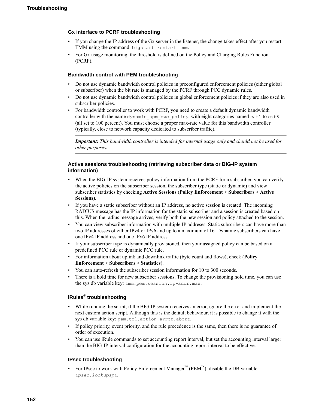#### **Gx interface to PCRF troubleshooting**

- If you change the IP address of the Gx server in the listener, the change takes effect after you restart TMM using the command: bigstart restart tmm.
- For Gx usage monitoring, the threshold is defined on the Policy and Charging Rules Function (PCRF).

#### **Bandwidth control with PEM troubleshooting**

- Do not use dynamic bandwidth control policies in preconfigured enforcement policies (either global or subscriber) when the bit rate is managed by the PCRF through PCC dynamic rules.
- Do not use dynamic bandwidth control policies in global enforcement policies if they are also used in subscriber policies.
- For bandwidth controller to work with PCRF, you need to create a default dynamic bandwidth controller with the name dynamic\_spm\_bwc\_policy, with eight categories named cat1 to cat8 (all set to 100 percent). You must choose a proper max-rate value for this bandwidth controller (typically, close to network capacity dedicated to subscriber traffic).

*Important: This bandwidth controller is intended for internal usage only and should not be used for other purposes.*

#### **Active sessions troubleshooting (retrieving subscriber data or BIG-IP system information)**

- When the BIG-IP system receives policy information from the PCRF for a subscriber, you can verify the active policies on the subscriber session, the subscriber type (static or dynamic) and view subscriber statistics by checking **Active Sessions** (**Policy Enforcement** > **Subscribers** > **Active Sessions**).
- If you have a static subscriber without an IP address, no active session is created. The incoming RADIUS message has the IP information for the static subscriber and a session is created based on this. When the radius message arrives, verify both the new session and policy attached to the session.
- You can view subscriber information with multiple IP addreses. Static subscribers can have more than two IP addresses of either IPv4 or IPv6 and up to a maximum of 16. Dynamic subscribers can have one IPv4 IP address and one IPv6 IP address.
- If your subscriber type is dynamically provisioned, then your assigned policy can be based on a predefined PCC rule or dynamic PCC rule.
- For information about uplink and downlink traffic (byte count and flows), check (**Policy Enforcement** > **Subscribers** > **Statistics**).
- You can auto-refresh the subscriber session information for 10 to 300 seconds.
- There is a hold time for new subscriber sessions. To change the provisioning hold time, you can use the sys db variable key: tmm.pem.session.ip-addr.max.

#### **iRules® troubleshooting**

- While running the script, if the BIG-IP system receives an error, ignore the error and implement the next custom action script. Although this is the default behaviour, it is possible to change it with the sys db variable key: pem.tcl.action.error.abort.
- If policy priority, event priority, and the rule precedence is the same, then there is no guarantee of order of execution.
- You can use iRule commands to set accounting report interval, but set the accounting interval larger than the BIG-IP interval configuration for the accounting report interval to be effective.

#### **IPsec troubleshooting**

• For IPsec to work with Policy Enforcement Manager<sup>™</sup> (PEM<sup>™</sup>), disable the DB variable *ipsec.lookupspi*.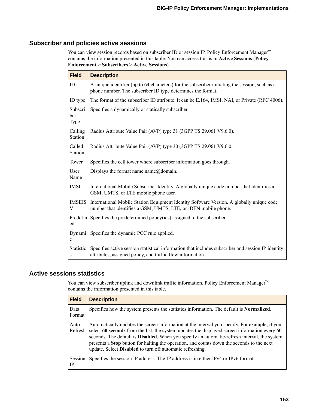### <span id="page-152-0"></span>**Subscriber and policies active sessions**

You can view session records based on subscriber ID or session IP. Policy Enforcement Manager™ contains the information presented in this table. You can access this is in **Active Sessions** (**Policy Enforcement** > **Subscribers** > **Active Sessions**).

| <b>Field</b>           | <b>Description</b>                                                                                                                                                |
|------------------------|-------------------------------------------------------------------------------------------------------------------------------------------------------------------|
| ID                     | A unique identifier (up to 64 characters) for the subscriber initiating the session, such as a<br>phone number. The subscriber ID type determines the format.     |
| ID type                | The format of the subscriber ID attribute. It can be E.164, IMSI, NAI, or Private (RFC 4006).                                                                     |
| Subscri<br>ber<br>Type | Specifies a dynamically or statically subscriber.                                                                                                                 |
| Calling<br>Station     | Radius Attribute Value Pair (AVP) type 31 (3GPP TS 29.061 V9.6.0).                                                                                                |
| Called<br>Station      | Radius Attribute Value Pair (AVP) type 30 (3GPP TS 29.061 V9.6.0.                                                                                                 |
| Tower                  | Specifies the cell tower where subscriber information goes through.                                                                                               |
| User<br>Name           | Displays the format name name $@$ domain.                                                                                                                         |
| <b>IMSI</b>            | International Mobile Subscriber Identity. A globally unique code number that identifies a<br>GSM, UMTS, or LTE mobile phone user.                                 |
| V                      | IMSEIS International Mobile Station Equipment Identity Software Version. A globally unique code<br>number that identifies a GSM, UMTS, LTE, or iDEN mobile phone. |
| ed                     | Predefin Specifies the predetermined policy (ies) assigned to the subscriber.                                                                                     |
| c                      | Dynami Specifies the dynamic PCC rule applied.                                                                                                                    |
| Statistic<br>S         | Specifies active session statistical information that includes subscriber and session IP identity<br>attributes, assigned policy, and traffic flow information.   |

### **Active sessions statistics**

You can view subscriber uplink and downlink traffic information. Policy Enforcement Manager™ contains the information presented in this table.

| <b>Field</b>    | <b>Description</b>                                                                                                                                                                                                                                                                                                                                                                                                                                                      |
|-----------------|-------------------------------------------------------------------------------------------------------------------------------------------------------------------------------------------------------------------------------------------------------------------------------------------------------------------------------------------------------------------------------------------------------------------------------------------------------------------------|
| Data<br>Format  | Specifies how the system presents the statistics information. The default is <b>Normalized</b> .                                                                                                                                                                                                                                                                                                                                                                        |
| Auto<br>Refresh | Automatically updates the screen information at the interval you specify. For example, if you<br>select 60 seconds from the list, the system updates the displayed screen information every 60<br>seconds. The default is <b>Disabled</b> . When you specify an automatic-refresh interval, the system<br>presents a <b>Stop</b> button for halting the operation, and counts down the seconds to the next<br>update. Select Disabled to turn off automatic refreshing. |
| Session<br>IP   | Specifies the session IP address. The IP address is in either IPv4 or IPv6 format.                                                                                                                                                                                                                                                                                                                                                                                      |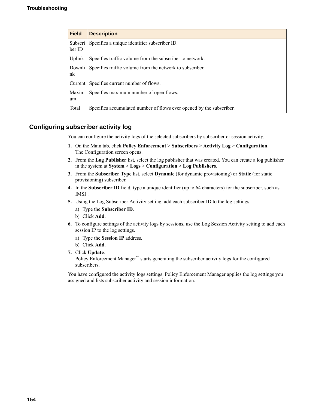<span id="page-153-0"></span>

| <b>Field</b>      | <b>Description</b>                                                   |
|-------------------|----------------------------------------------------------------------|
| Subscri<br>ber ID | Specifies a unique identifier subscriber ID.                         |
| Uplink            | Specifies traffic volume from the subscriber to network.             |
| nk                | Downli Specifies traffic volume from the network to subscriber.      |
|                   | Current Specifies current number of flows.                           |
| um                | Maxim Specifies maximum number of open flows.                        |
| Total             | Specifies accumulated number of flows ever opened by the subscriber. |

#### **Configuring subscriber activity log**

You can configure the activity logs of the selected subscribers by subscriber or session activity.

- **1.** On the Main tab, click **Policy Enforcement** > **Subscribers** > **Activity Log** > **Configuration**. The Configuration screen opens.
- **2.** From the **Log Publisher** list, select the log publisher that was created. You can create a log publisher in the system at **System** > **Logs** > **Configuration** > **Log Publishers**.
- **3.** From the **Subscriber Type** list, select **Dynamic** (for dynamic provisioning) or **Static** (for static provisioning) subscriber.
- **4.** In the **Subscriber ID** field, type a unique identifier (up to 64 characters) for the subscriber, such as IMSI .
- **5.** Using the Log Subscriber Activity setting, add each subscriber ID to the log settings.
	- a) Type the **Subscriber ID**.
	- b) Click **Add**.
- **6.** To configure settings of the activity logs by sessions, use the Log Session Activity setting to add each session IP to the log settings.
	- a) Type the **Session IP** address.
	- b) Click **Add**.
- **7.** Click **Update**.

Policy Enforcement Manager<sup>™</sup> starts generating the subscriber activity logs for the configured subscribers.

You have configured the activity logs settings. Policy Enforcement Manager applies the log settings you assigned and lists subscriber activity and session information.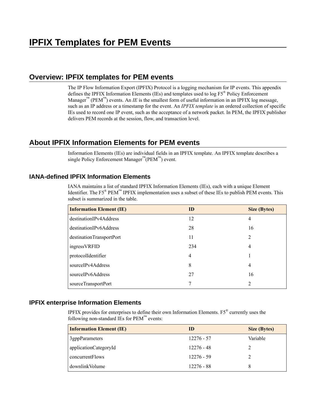# <span id="page-154-0"></span>**Overview: IPFIX templates for PEM events**

The IP Flow Information Export (IPFIX) Protocol is a logging mechanism for IP events. This appendix defines the IPFIX Information Elements (IEs) and templates used to log F5® Policy Enforcement Manager<sup>™</sup> (PEM<sup>™</sup>) events. An *IE* is the smallest form of useful information in an IPFIX log message, such as an IP address or a timestamp for the event. An *IPFIX template* is an ordered collection of specific IEs used to record one IP event, such as the acceptance of a network packet. In PEM, the IPFIX publisher delivers PEM records at the session, flow, and transaction level.

# **About IPFIX Information Elements for PEM events**

Information Elements (IEs) are individual fields in an IPFIX template. An IPFIX template describes a single Policy Enforcement Manager<sup>™</sup>(PEM™) event.

### **IANA-defined IPFIX Information Elements**

IANA maintains a list of standard IPFIX Information Elements (IEs), each with a unique Element Identifier. The  $FS^{\circledast}$  PEM<sup>™</sup> IPFIX implementation uses a subset of these IEs to publish PEM events. This subset is summarized in the table.

| <b>Information Element (IE)</b> | ID             | Size (Bytes) |
|---------------------------------|----------------|--------------|
| destinationIPv4Address          | 12             | 4            |
| destinationIPv6Address          | 28             | 16           |
| destinationTransportPort        | 11             | 2            |
| ingressVRFID                    | 234            | 4            |
| protocolIdentifier              | $\overline{4}$ | 1            |
| sourceIPv4Address               | 8              | 4            |
| sourceIPv6Address               | 27             | 16           |
| sourceTransportPort             | 7              | 2            |

### **IPFIX enterprise Information Elements**

IPFIX provides for enterprises to define their own Information Elements.  $F5^{\circledast}$  currently uses the following non-standard IEs for  $PEM^{\pi}$  events:

| <b>Information Element (IE)</b> | ID           | Size (Bytes) |
|---------------------------------|--------------|--------------|
| 3gppParameters                  | 12276 - 57   | Variable     |
| applicationCategoryId           | 12276 - 48   | 2            |
| concurrent Flows                | $12276 - 59$ |              |
| downlinkVolume                  | 12276 - 88   | 8            |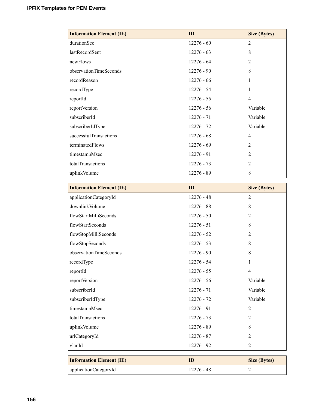| <b>Information Element (IE)</b> | ID           | <b>Size (Bytes)</b> |
|---------------------------------|--------------|---------------------|
| durationSec                     | $12276 - 60$ | $\overline{2}$      |
| lastRecordSent                  | $12276 - 63$ | 8                   |
| newFlows                        | $12276 - 64$ | $\overline{2}$      |
| observationTimeSeconds          | $12276 - 90$ | 8                   |
| recordReason                    | $12276 - 66$ | 1                   |
| recordType                      | $12276 - 54$ | 1                   |
| reportId                        | $12276 - 55$ | 4                   |
| reportVersion                   | $12276 - 56$ | Variable            |
| subscriberId                    | $12276 - 71$ | Variable            |
| subscriberIdType                | $12276 - 72$ | Variable            |
| successfulTransactions          | $12276 - 68$ | 4                   |
| terminatedFlows                 | $12276 - 69$ | $\overline{2}$      |
| timestampMsec                   | $12276 - 91$ | 2                   |
| totalTransactions               | $12276 - 73$ | 2                   |
| uplinkVolume                    | $12276 - 89$ | 8                   |

| <b>Information Element (IE)</b> | ID           | <b>Size (Bytes)</b> |
|---------------------------------|--------------|---------------------|
| applicationCategoryId           | $12276 - 48$ | $\overline{2}$      |
| downlinkVolume                  | $12276 - 88$ | 8                   |
| flowStartMilliSeconds           | $12276 - 50$ | $\overline{2}$      |
| flowStartSeconds                | $12276 - 51$ | 8                   |
| flowStopMilliSeconds            | $12276 - 52$ | $\overline{2}$      |
| flowStopSeconds                 | $12276 - 53$ | 8                   |
| observationTimeSeconds          | $12276 - 90$ | 8                   |
| recordType                      | $12276 - 54$ | 1                   |
| reportId                        | $12276 - 55$ | $\overline{4}$      |
| reportVersion                   | $12276 - 56$ | Variable            |
| subscriberId                    | $12276 - 71$ | Variable            |
| subscriberIdType                | $12276 - 72$ | Variable            |
| timestampMsec                   | $12276 - 91$ | $\overline{2}$      |
| totalTransactions               | $12276 - 73$ | $\overline{2}$      |
| uplinkVolume                    | $12276 - 89$ | 8                   |
| urlCategoryId                   | $12276 - 87$ | $\overline{2}$      |
| vlanId                          | $12276 - 92$ | $\overline{2}$      |
| <b>Information Element (IE)</b> | ID           | Size (Bytes)        |

| <b>Information Element (IE)</b> |            | Size (Bytes) |
|---------------------------------|------------|--------------|
| applicationCategoryId           | 12276 - 48 |              |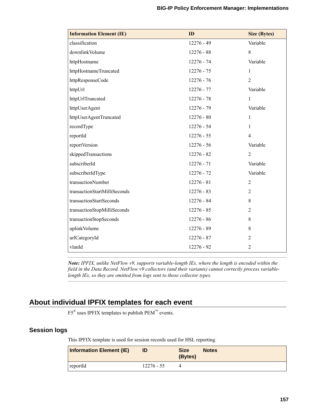<span id="page-156-0"></span>

| <b>Information Element (IE)</b> | ID           | <b>Size (Bytes)</b> |
|---------------------------------|--------------|---------------------|
| classification                  | $12276 - 49$ | Variable            |
| downlinkVolume                  | $12276 - 88$ | 8                   |
| httpHostname                    | 12276 - 74   | Variable            |
| httpHostnameTruncated           | $12276 - 75$ | $\mathbf{1}$        |
| httpResponseCode                | $12276 - 76$ | $\overline{2}$      |
| httpUrl                         | 12276 - 77   | Variable            |
| httpUrlTruncated                | $12276 - 78$ | 1                   |
| httpUserAgent                   | 12276 - 79   | Variable            |
| httpUserAgentTruncated          | $12276 - 80$ | $\mathbf{1}$        |
| recordType                      | $12276 - 54$ | 1                   |
| reportId                        | $12276 - 55$ | $\overline{4}$      |
| reportVersion                   | $12276 - 56$ | Variable            |
| skippedTransactions             | $12276 - 82$ | $\overline{2}$      |
| subscriberId                    | $12276 - 71$ | Variable            |
| subscriberIdType                | $12276 - 72$ | Variable            |
| transactionNumber               | $12276 - 81$ | $\overline{2}$      |
| transactionStartMilliSeconds    | $12276 - 83$ | $\overline{2}$      |
| transactionStartSeconds         | $12276 - 84$ | 8                   |
| transactionStopMilliSeconds     | $12276 - 85$ | $\mathfrak{2}$      |
| transactionStopSeconds          | $12276 - 86$ | 8                   |
| uplinkVolume                    | $12276 - 89$ | $8\,$               |
| urlCategoryId                   | $12276 - 87$ | $\overline{2}$      |
| vlanId                          | 12276 - 92   | $\overline{2}$      |

*Note: IPFIX, unlike NetFlow v9, supports variable-length IEs, where the length is encoded within the field in the Data Record. NetFlow v9 collectors (and their variants) cannot correctly process variablelength IEs, so they are omitted from logs sent to those collector types.*

# **About individual IPFIX templates for each event**

 $FS^{\circledast}$  uses IPFIX templates to publish PEM<sup>™</sup> events.

## **Session logs**

This IPFIX template is used for session records used for HSL reporting.

| <b>Information Element (IE)</b> | ID           | <b>Size</b><br>(Bytes) | <b>Notes</b> |
|---------------------------------|--------------|------------------------|--------------|
| reportId                        | $12276 - 55$ |                        |              |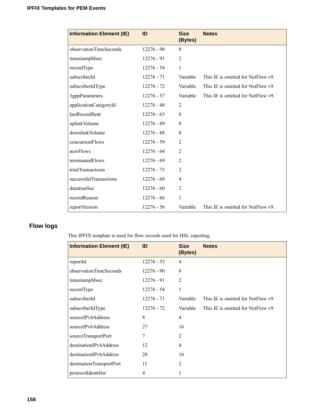<span id="page-157-0"></span>

| <b>Information Element (IE)</b> | ID           | <b>Size</b><br>(Bytes) | <b>Notes</b>                       |
|---------------------------------|--------------|------------------------|------------------------------------|
| observationTimeSeconds          | $12276 - 90$ | 8                      |                                    |
| timestampMsec                   | $12276 - 91$ | $\overline{2}$         |                                    |
| recordType                      | $12276 - 54$ | 1                      |                                    |
| subscriberId                    | $12276 - 71$ | Variable               | This IE is omitted for NetFlow v9. |
| subscriberIdType                | $12276 - 72$ | Variable               | This IE is omitted for NetFlow v9. |
| 3gppParameters                  | $12276 - 57$ | Variable               | This IE is omitted for NetFlow v9. |
| applicationCategoryId           | $12276 - 48$ | $\overline{2}$         |                                    |
| lastRecordSent                  | $12276 - 63$ | 8                      |                                    |
| uplinkVolume                    | 12276 - 89   | 8                      |                                    |
| downlinkVolume                  | $12276 - 88$ | 8                      |                                    |
| concurrentFlows                 | $12276 - 59$ | 2                      |                                    |
| newFlows                        | $12276 - 64$ | 2                      |                                    |
| terminatedFlows                 | $12276 - 69$ | $\overline{2}$         |                                    |
| totalTransactions               | $12276 - 73$ | 2                      |                                    |
| successfulTransactions          | $12276 - 68$ | $\overline{4}$         |                                    |
| durationSec                     | $12276 - 60$ | 2                      |                                    |
| recordReason                    | $12276 - 66$ | 1                      |                                    |
| reportVersion                   | $12276 - 56$ | Variable               | This IE is omitted for NetFlow v9. |

# **Flow logs**

This IPFIX template is used for flow records used for HSL reporting.

| <b>Information Element (IE)</b> | ID             | <b>Size</b><br>(Bytes) | <b>Notes</b>                       |
|---------------------------------|----------------|------------------------|------------------------------------|
| reportId                        | $12276 - 55$   | $\overline{4}$         |                                    |
| observationTimeSeconds          | $12276 - 90$   | 8                      |                                    |
| timestampMsec                   | $12276 - 91$   | 2                      |                                    |
| recordType                      | $12276 - 54$   | 1                      |                                    |
| subscriberId                    | $12276 - 71$   | Variable               | This IE is omitted for NetFlow v9. |
| subscriberIdType                | $12276 - 72$   | Variable               | This IE is omitted for NetFlow v9. |
| sourceIPv4Address               | 8              | 4                      |                                    |
| sourceIPv6Address               | 27             | 16                     |                                    |
| sourceTransportPort             | 7              | 2                      |                                    |
| destinationIPv4Address          | 12             | 4                      |                                    |
| destinationIPv6Address          | 28             | 16                     |                                    |
| destinationTransportPort        | 11             | 2                      |                                    |
| protocolIdentifier              | $\overline{4}$ |                        |                                    |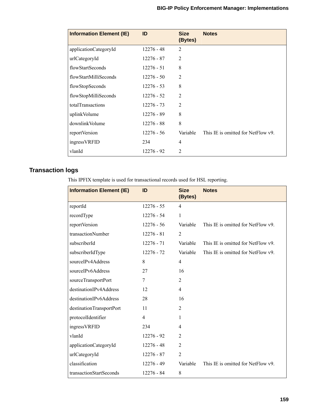<span id="page-158-0"></span>

| <b>Information Element (IE)</b> | ID           | <b>Size</b><br>(Bytes) | <b>Notes</b>                       |
|---------------------------------|--------------|------------------------|------------------------------------|
| applicationCategoryId           | $12276 - 48$ | 2                      |                                    |
| urlCategoryId                   | $12276 - 87$ | 2                      |                                    |
| flowStartSeconds                | $12276 - 51$ | 8                      |                                    |
| flowStartMilliSeconds           | $12276 - 50$ | 2                      |                                    |
| flowStopSeconds                 | $12276 - 53$ | 8                      |                                    |
| flowStopMilliSeconds            | $12276 - 52$ | 2                      |                                    |
| totalTransactions               | $12276 - 73$ | $\overline{2}$         |                                    |
| uplinkVolume                    | $12276 - 89$ | 8                      |                                    |
| downlinkVolume                  | $12276 - 88$ | 8                      |                                    |
| reportVersion                   | $12276 - 56$ | Variable               | This IE is omitted for NetFlow v9. |
| ingressVRFID                    | 234          | 4                      |                                    |
| vlanId                          | $12276 - 92$ | 2                      |                                    |

# **Transaction logs**

This IPFIX template is used for transactional records used for HSL reporting.

| <b>Information Element (IE)</b> | ID             | <b>Size</b><br>(Bytes) | <b>Notes</b>                       |
|---------------------------------|----------------|------------------------|------------------------------------|
| reportId                        | $12276 - 55$   | 4                      |                                    |
| recordType                      | $12276 - 54$   | 1                      |                                    |
| reportVersion                   | $12276 - 56$   | Variable               | This IE is omitted for NetFlow v9. |
| transactionNumber               | $12276 - 81$   | $\overline{2}$         |                                    |
| subscriberId                    | $12276 - 71$   | Variable               | This IE is omitted for NetFlow v9. |
| subscriberIdType                | $12276 - 72$   | Variable               | This IE is omitted for NetFlow v9. |
| sourceIPv4Address               | 8              | $\overline{4}$         |                                    |
| sourceIPv6Address               | 27             | 16                     |                                    |
| sourceTransportPort             | 7              | $\overline{2}$         |                                    |
| destinationIPv4Address          | 12             | $\overline{4}$         |                                    |
| destinationIPv6Address          | 28             | 16                     |                                    |
| destinationTransportPort        | 11             | $\overline{2}$         |                                    |
| protocolIdentifier              | $\overline{4}$ | 1                      |                                    |
| ingressVRFID                    | 234            | $\overline{4}$         |                                    |
| vlanId                          | 12276 - 92     | 2                      |                                    |
| applicationCategoryId           | $12276 - 48$   | $\overline{2}$         |                                    |
| urlCategoryId                   | $12276 - 87$   | $\overline{2}$         |                                    |
| classification                  | 12276 - 49     | Variable               | This IE is omitted for NetFlow v9. |
| transactionStartSeconds         | $12276 - 84$   | $\,$ 8 $\,$            |                                    |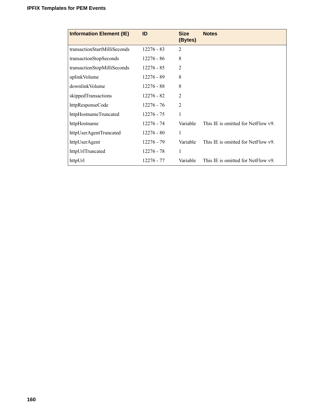| <b>Information Element (IE)</b> | ID           | <b>Size</b><br>(Bytes) | <b>Notes</b>                       |
|---------------------------------|--------------|------------------------|------------------------------------|
| transactionStartMilliSeconds    | $12276 - 83$ | 2                      |                                    |
| transactionStopSeconds          | $12276 - 86$ | 8                      |                                    |
| transactionStopMilliSeconds     | $12276 - 85$ | $\overline{2}$         |                                    |
| uplinkVolume                    | $12276 - 89$ | 8                      |                                    |
| downlinkVolume                  | $12276 - 88$ | 8                      |                                    |
| skippedTransactions             | $12276 - 82$ | $\overline{2}$         |                                    |
| httpResponseCode                | $12276 - 76$ | $\overline{2}$         |                                    |
| httpHostnameTruncated           | $12276 - 75$ | 1                      |                                    |
| httpHostname                    | $12276 - 74$ | Variable               | This IE is omitted for NetFlow v9. |
| httpUserAgentTruncated          | $12276 - 80$ | 1                      |                                    |
| httpUserAgent                   | $12276 - 79$ | Variable               | This IE is omitted for NetFlow y9. |
| httpUrlTruncated                | $12276 - 78$ | 1                      |                                    |
| httpUrl                         | 12276 - 77   | Variable               | This IE is omitted for NetFlow v9. |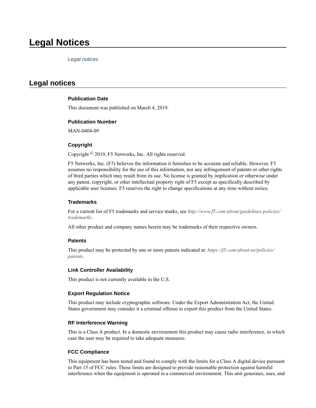# <span id="page-160-0"></span>**Legal Notices**

Legal notices

### **Legal notices**

#### **Publication Date**

This document was published on March 4, 2019.

#### **Publication Number**

MAN-0404-09

#### **Copyright**

Copyright © 2019, F5 Networks, Inc. All rights reserved.

F5 Networks, Inc. (F5) believes the information it furnishes to be accurate and reliable. However, F5 assumes no responsibility for the use of this information, nor any infringement of patents or other rights of third parties which may result from its use. No license is granted by implication or otherwise under any patent, copyright, or other intellectual property right of F5 except as specifically described by applicable user licenses. F5 reserves the right to change specifications at any time without notice.

#### **Trademarks**

For a current list of F5 trademarks and service marks, see *[http://www.f5.com/about/guidelines-policies/](http://www.f5.com/about/guidelines-policies/trademarks/) [trademarks](http://www.f5.com/about/guidelines-policies/trademarks/)*.

All other product and company names herein may be trademarks of their respective owners.

#### **Patents**

This product may be protected by one or more patents indicated at: *[https://f5.com/about-us/policies/](https://f5.com/about-us/policies/patents) [patents](https://f5.com/about-us/policies/patents)*.

#### **Link Controller Availability**

This product is not currently available in the U.S.

#### **Export Regulation Notice**

This product may include cryptographic software. Under the Export Administration Act, the United States government may consider it a criminal offense to export this product from the United States.

#### **RF Interference Warning**

This is a Class A product. In a domestic environment this product may cause radio interference, in which case the user may be required to take adequate measures.

#### **FCC Compliance**

This equipment has been tested and found to comply with the limits for a Class A digital device pursuant to Part 15 of FCC rules. These limits are designed to provide reasonable protection against harmful interference when the equipment is operated in a commercial environment. This unit generates, uses, and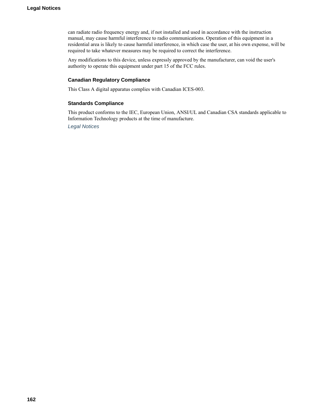can radiate radio frequency energy and, if not installed and used in accordance with the instruction manual, may cause harmful interference to radio communications. Operation of this equipment in a residential area is likely to cause harmful interference, in which case the user, at his own expense, will be required to take whatever measures may be required to correct the interference.

Any modifications to this device, unless expressly approved by the manufacturer, can void the user's authority to operate this equipment under part 15 of the FCC rules.

#### **Canadian Regulatory Compliance**

This Class A digital apparatus complies with Canadian ICES-003.

#### **Standards Compliance**

This product conforms to the IEC, European Union, ANSI/UL and Canadian CSA standards applicable to Information Technology products at the time of manufacture.

[Legal Notices](#page-160-0)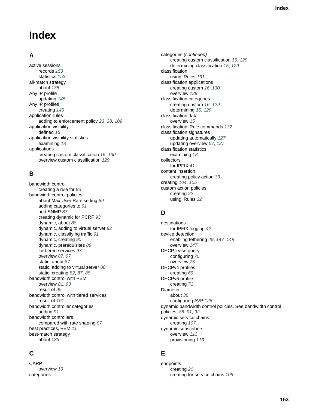# <span id="page-162-0"></span>**Index**

### **A**

active sessions records [153](#page-152-0) statistics [153](#page-152-0) all-match strategy about [135](#page-134-0) Any IP profile updating [145](#page-144-0) Any IP profiles creating [145](#page-144-0) application rules adding to enforcement policy [23](#page-22-0), [38](#page-37-0), [109](#page-108-0) application visibility defined [15](#page-14-0) application visibility statistics examining [18](#page-17-0) applications creating custom classification [16](#page-15-0), [130](#page-129-0) overview custom classification [129](#page-128-0)

## **B**

bandwidth control creating a rule for [83](#page-82-0) bandwidth control policies about Max User Rate setting [89](#page-88-0) adding categories to [91](#page-90-0) and SNMP [87](#page-86-0) creating dynamic for PCRF [93](#page-92-0) dynamic, about [88](#page-87-0) dynamic, adding to virtual server [92](#page-91-0) dynamic, classifying traffic [91](#page-90-0) dynamic, creating [90](#page-89-0) dynamic, prerequisites [89](#page-88-0) for tiered services [97](#page-96-0) overview [87](#page-86-0), [97](#page-96-0) static, about [87](#page-86-0) static, adding to virtual server [88](#page-87-0) static, creating [82](#page-81-0), [87](#page-86-0), [88](#page-87-0) bandwidth control with PEM overview [81](#page-80-0), [93](#page-92-0) result of [95](#page-94-0) bandwidth control with tiered services result of [101](#page-100-0) bandwidth controller categories adding [91](#page-90-0) bandwidth controllers compared with rate shaping [87](#page-86-0) best practices, PEM [11](#page-10-0) best-match strategy about [135](#page-134-0)

# **C**

CARP overview [19](#page-18-0) categories

categories (continued) creating custom classification [16](#page-15-0), [129](#page-128-0) determining classification [15](#page-14-0), [129](#page-128-0) classification using iRules [131](#page-130-0) classification applications creating custom [16](#page-15-0), [130](#page-129-0) overview [129](#page-128-0) classification categories creating custom [16](#page-15-0), [129](#page-128-0) determining [15](#page-14-0), [129](#page-128-0) classification data overview [15](#page-14-0) classification iRule commands [132](#page-131-0) classification signatures updating automatically [127](#page-126-0) updating overview [57](#page-56-0), [127](#page-126-0) classification statistics examining [18](#page-17-0) collectors for IPFIX [41](#page-40-0) content insertion creating policy action [33](#page-32-0) creating [104](#page-103-0), [105](#page-104-0) custom action policies creating [22](#page-21-0) using iRules [22](#page-21-0)

# **D**

destinations for IPFIX logging [42](#page-41-0) device detection enabling tethering [49](#page-48-0), [147](#page-146-0)–[149](#page-148-0) overview [147](#page-146-0) DHCP lease query configuring [75](#page-74-0) overview [75](#page-74-0) DHCPv4 profiles creating [69](#page-68-0) DHCPv6 profile creating [71](#page-70-0) Diameter about [36](#page-35-0) configuring AVP [126](#page-125-0) dynamic bandwidth control policies, See bandwidth control policies. [88](#page-87-0), [91](#page-90-0), [92](#page-91-0) dynamic service chains creating [107](#page-106-0) dynamic subscribers overview [113](#page-112-0) provisioning [113](#page-112-0)

# **E**

endpoints creating [20](#page-19-0) creating for service chains [106](#page-105-0)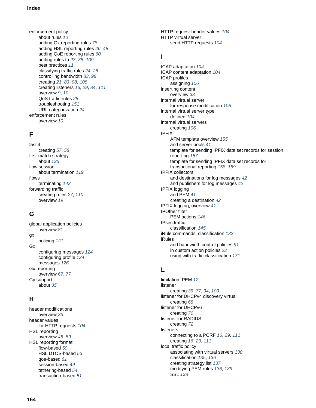#### **Index**

enforcement policy about rules [10](#page-9-0) adding Gx reporting rules [78](#page-77-0) adding HSL reporting rules [46](#page-45-0)–[48](#page-47-0) adding QoE reporting rules [60](#page-59-0) adding rules to [23](#page-22-0), [38](#page-37-0), [109](#page-108-0) best practices [11](#page-10-0) classifying traffic rules [24](#page-23-0), [26](#page-25-0) controlling bandwidth [83](#page-82-0), [98](#page-97-0) creating [21](#page-20-0), [83](#page-82-0), [98](#page-97-0), [108](#page-107-0) creating listeners [16](#page-15-0), [29](#page-28-0), [84](#page-83-0), [111](#page-110-0) overview [9](#page-8-0), [10](#page-9-0) QoS traffic rules [28](#page-27-0) troubleshooting [151](#page-150-0) URL categorization [24](#page-23-0) enforcement rules overview [10](#page-9-0)

# **F**

fastl4 creating [57](#page-56-0), [58](#page-57-0) first-match strategy about [135](#page-134-0) flow session about termination [119](#page-118-0) flows terminating [142](#page-141-0) forwarding traffic creating rules [27](#page-26-0), [110](#page-109-0) overview [19](#page-18-0)

# **G**

global application policies overview [81](#page-80-0) gx policing [121](#page-120-0) Gx configuring messages [124](#page-123-0) configuring profile [124](#page-123-0) messages [126](#page-125-0) Gx reporting overview [67](#page-66-0), [77](#page-76-0) Gy support about [35](#page-34-0)

### **H**

header modifications overview [33](#page-32-0) header values for HTTP requests [104](#page-103-0) HSL reporting overview [45](#page-44-0), [59](#page-58-0) HSL reporting format flow-based [50](#page-49-0) HSL DTOS-based [53](#page-52-0) qoe-based [61](#page-60-0) session-based [49](#page-48-0) tethering-based [54](#page-53-0) transaction-based [51](#page-50-0)

HTTP request-header values [104](#page-103-0) HTTP virtual server send HTTP requests [104](#page-103-0)

### **I**

ICAP adaptation [104](#page-103-0) ICAP content adaptation [104](#page-103-0) ICAP profiles assigning [106](#page-105-0) inserting content overview [33](#page-32-0) internal virtual server for response modification [105](#page-104-0) internal virtual server type defined [104](#page-103-0) internal virtual servers creating [106](#page-105-0) IPFIX AFM template overview [155](#page-154-0) and server pools [41](#page-40-0) template for sending IPFIX data set records for session reporting [157](#page-156-0) template for sending IPFIX data set records for transactional reporting [158](#page-157-0), [159](#page-158-0) IPFIX collectors and destinations for log messages [42](#page-41-0) and publishers for log messages [42](#page-41-0) IPFIX logging and PEM [41](#page-40-0) creating a destination [42](#page-41-0) IPFIX logging, overview [41](#page-40-0) IPOther filter PEM actions [146](#page-145-0) IPsec traffic classification [145](#page-144-0) iRule commands, classification [132](#page-131-0) iRules and bandwidth control policies [91](#page-90-0) in custom action policies [22](#page-21-0) using with traffic classification [131](#page-130-0)

### **L**

limitation, PEM [12](#page-11-0) listener creating [39](#page-38-0), [77](#page-76-0), [94](#page-93-0), [100](#page-99-0) listener for DHCPv4 discovery virtual creating [68](#page-67-0) listener for DHCPv6 creating [70](#page-69-0) listener for RADIUS creating [72](#page-71-0) listeners connecting to a PCRF [16](#page-15-0), [29](#page-28-0), [111](#page-110-0) creating [16](#page-15-0), [29](#page-28-0), [111](#page-110-0) local traffic policy associating with virtual servers [138](#page-137-0) classification [135](#page-134-0), [136](#page-135-0) creating strategy list [137](#page-136-0) modifying PEM rules [136](#page-135-0), [139](#page-138-0) SSL [138](#page-137-0)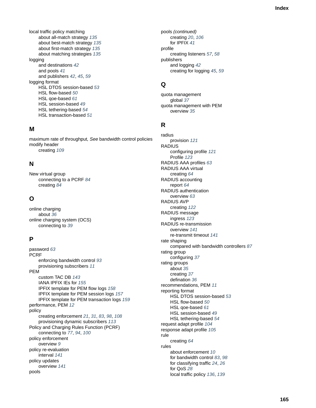local traffic policy matching about all-match strategy [135](#page-134-0) about best-match strategy [135](#page-134-0) about first-match strategy [135](#page-134-0) about matching strategies [135](#page-134-0) logging and destinations [42](#page-41-0) and pools [41](#page-40-0) and publishers [42](#page-41-0), [45](#page-44-0), [59](#page-58-0) logging format HSL DTOS session-based [53](#page-52-0) HSL flow-based [50](#page-49-0) HSL qoe-based [61](#page-60-0) HSL session-based [49](#page-48-0) HSL tethering-based [54](#page-53-0) HSL transaction-based [51](#page-50-0)

### **M**

maximum rate of throughput, See [bandwidth control policies](#page-162-0) modify header creating [109](#page-108-0)

## **N**

New virtual group connecting to a PCRF [84](#page-83-0) creating [84](#page-83-0)

# **O**

online charging about [36](#page-35-0) online charging system (OCS) connecting to [39](#page-38-0)

# **P**

password [63](#page-62-0) PCRF enforcing bandwidth control [93](#page-92-0) provisioning subscribers [11](#page-10-0) PEM custom TAC DB [143](#page-142-0) IANA IPFIX IEs for [155](#page-154-0) IPFIX template for PEM flow logs [158](#page-157-0) IPFIX template for PEM session logs [157](#page-156-0) IPFIX template for PEM transaction logs [159](#page-158-0) performance, PEM [12](#page-11-0) policy creating enforcement [21](#page-20-0), [31](#page-30-0), [83](#page-82-0), [98](#page-97-0), [108](#page-107-0) provisioning dynamic subscribers [113](#page-112-0) Policy and Charging Rules Function (PCRF) connecting to [77](#page-76-0), [94](#page-93-0), [100](#page-99-0) policy enforcement overview [9](#page-8-0) policy re-evaluation interval [141](#page-140-0) policy updates overview [141](#page-140-0) pools

pools (continued) creating [20](#page-19-0), [106](#page-105-0) for IPFIX [41](#page-40-0) profile creating listeners [57](#page-56-0), [58](#page-57-0) publishers and logging [42](#page-41-0) creating for logging [45](#page-44-0), [59](#page-58-0)

# **Q**

quota management global [37](#page-36-0) quota management with PEM overview [35](#page-34-0)

## **R**

radius provision [121](#page-120-0) RADIUS configuring profile [121](#page-120-0) Profile [123](#page-122-0) RADIUS AAA profiles [63](#page-62-0) RADIUS AAA virtual creating [64](#page-63-0) RADIUS accounting report [64](#page-63-0) RADIUS authentication overview [63](#page-62-0) RADIUS AVP creating [122](#page-121-0) RADIUS message ingress [123](#page-122-0) RADIUS re-transmission overview [141](#page-140-0) re-transmit timeout [141](#page-140-0) rate shaping compared with bandwidth controllers [87](#page-86-0) rating group configuring [37](#page-36-0) rating groups about [35](#page-34-0) creating [37](#page-36-0) defination [36](#page-35-0) recommendations, PEM [11](#page-10-0) reporting format HSL DTOS session-based [53](#page-52-0) HSL flow-based [50](#page-49-0) HSL qoe-based [61](#page-60-0) HSL session-based [49](#page-48-0) HSL tethering-based [54](#page-53-0) request adapt profile [104](#page-103-0) response adapt profile [105](#page-104-0) rule creating [64](#page-63-0) rules about enforcement [10](#page-9-0) for bandwidth control [83](#page-82-0), [98](#page-97-0) for classifying traffic [24](#page-23-0), [26](#page-25-0) for QoS [28](#page-27-0) local traffic policy [136](#page-135-0), [139](#page-138-0)